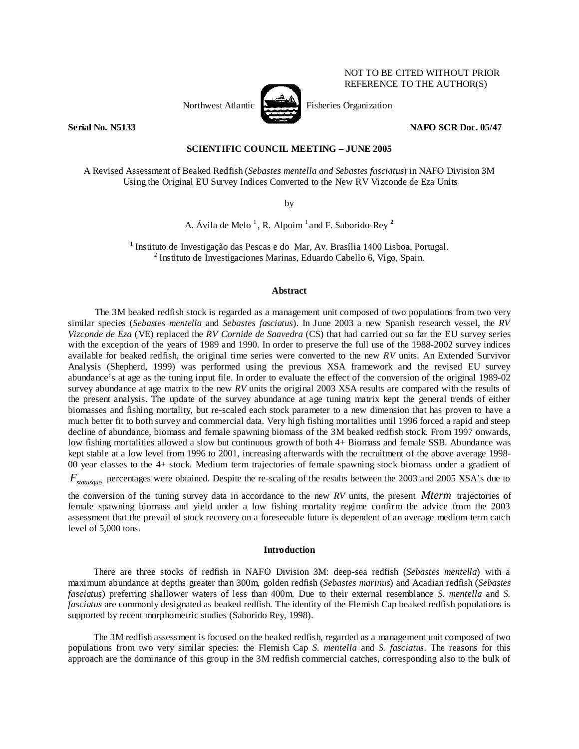

NOT TO BE CITED WITHOUT PRIOR REFERENCE TO THE AUTHOR(S)

## **Serial No. N5133** NAFO SCR Doc. 05/47

## **SCIENTIFIC COUNCIL MEETING – JUNE 2005**

A Revised Assessment of Beaked Redfish (*Sebastes mentella and Sebastes fasciatus*) in NAFO Division 3M Using the Original EU Survey Indices Converted to the New RV Vizconde de Eza Units

by

A. Ávila de Melo<sup>1</sup>, R. Alpoim<sup>1</sup> and F. Saborido-Rey<sup>2</sup>

<sup>1</sup> Instituto de Investigação das Pescas e do Mar, Av. Brasília 1400 Lisboa, Portugal.<br><sup>2</sup> Instituto de Investigaciones Merines, Eduardo Cebello 6, Vice, Spein.  $<sup>2</sup>$  Instituto de Investigaciones Marinas, Eduardo Cabello 6, Vigo, Spain.</sup>

## **Abstract**

The 3M beaked redfish stock is regarded as a management unit composed of two populations from two very similar species (*Sebastes mentella* and *Sebastes fasciatus*). In June 2003 a new Spanish research vessel, the *RV Vizconde de Eza* (VE) replaced the *RV Cornide de Saavedra* (CS) that had carried out so far the EU survey series with the exception of the years of 1989 and 1990. In order to preserve the full use of the 1988-2002 survey indices available for beaked redfish, the original time series were converted to the new *RV* units. An Extended Survivor Analysis (Shepherd, 1999) was performed using the previous XSA framework and the revised EU survey abundance's at age as the tuning input file. In order to evaluate the effect of the conversion of the original 1989-02 survey abundance at age matrix to the new *RV* units the original 2003 XSA results are compared with the results of the present analysis. The update of the survey abundance at age tuning matrix kept the general trends of either biomasses and fishing mortality, but re-scaled each stock parameter to a new dimension that has proven to have a much better fit to both survey and commercial data. Very high fishing mortalities until 1996 forced a rapid and steep decline of abundance, biomass and female spawning biomass of the 3M beaked redfish stock. From 1997 onwards, low fishing mortalities allowed a slow but continuous growth of both 4+ Biomass and female SSB. Abundance was kept stable at a low level from 1996 to 2001, increasing afterwards with the recruitment of the above average 1998- 00 year classes to the 4+ stock. Medium term trajectories of female spawning stock biomass under a gradient of *F<sub>statusquo</sub>* percentages were obtained. Despite the re-scaling of the results between the 2003 and 2005 XSA's due to

the conversion of the tuning survey data in accordance to the new *RV* units, the present *Mterm* trajectories of female spawning biomass and yield under a low fishing mortality regime confirm the advice from the 2003 assessment that the prevail of stock recovery on a foreseeable future is dependent of an average medium term catch level of 5,000 tons.

#### **Introduction**

There are three stocks of redfish in NAFO Division 3M: deep-sea redfish (*Sebastes mentella*) with a maximum abundance at depths greater than 300m, golden redfish (*Sebastes marinus*) and Acadian redfish (*Sebastes fasciatus*) preferring shallower waters of less than 400m. Due to their external resemblance *S. mentella* and *S. fasciatus* are commonly designated as beaked redfish. The identity of the Flemish Cap beaked redfish populations is supported by recent morphometric studies (Saborido Rey, 1998).

The 3M redfish assessment is focused on the beaked redfish, regarded as a management unit composed of two populations from two very similar species: the Flemish Cap *S. mentella* and *S. fasciatus*. The reasons for this approach are the dominance of this group in the 3M redfish commercial catches, corresponding also to the bulk of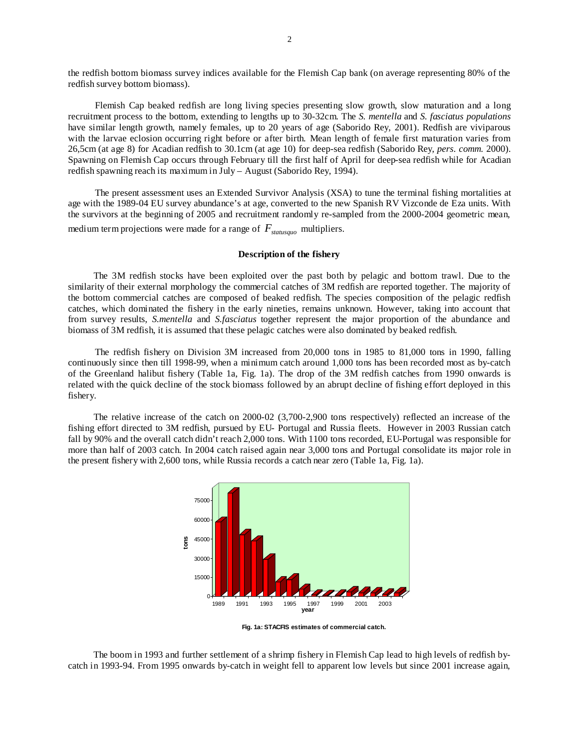the redfish bottom biomass survey indices available for the Flemish Cap bank (on average representing 80% of the redfish survey bottom biomass).

Flemish Cap beaked redfish are long living species presenting slow growth, slow maturation and a long recruitment process to the bottom, extending to lengths up to 30-32cm. The *S. mentella* and *S. fasciatus populations* have similar length growth, namely females, up to 20 years of age (Saborido Rey, 2001). Redfish are viviparous with the larvae eclosion occurring right before or after birth. Mean length of female first maturation varies from 26,5cm (at age 8) for Acadian redfish to 30.1cm (at age 10) for deep-sea redfish (Saborido Rey, *pers. comm.* 2000). Spawning on Flemish Cap occurs through February till the first half of April for deep-sea redfish while for Acadian redfish spawning reach its maximum in July – August (Saborido Rey, 1994).

The present assessment uses an Extended Survivor Analysis (XSA) to tune the terminal fishing mortalities at age with the 1989-04 EU survey abundance's at age, converted to the new Spanish RV Vizconde de Eza units. With the survivors at the beginning of 2005 and recruitment randomly re-sampled from the 2000-2004 geometric mean, medium term projections were made for a range of  $F_{statusawa}$  multipliers.

#### **Description of the fishery**

The 3M redfish stocks have been exploited over the past both by pelagic and bottom trawl. Due to the similarity of their external morphology the commercial catches of 3M redfish are reported together. The majority of the bottom commercial catches are composed of beaked redfish. The species composition of the pelagic redfish catches, which dominated the fishery in the early nineties, remains unknown. However, taking into account that from survey results, *S.mentella* and *S.fasciatus* together represent the major proportion of the abundance and biomass of 3M redfish, it is assumed that these pelagic catches were also dominated by beaked redfish.

The redfish fishery on Division 3M increased from 20,000 tons in 1985 to 81,000 tons in 1990, falling continuously since then till 1998-99, when a minimum catch around 1,000 tons has been recorded most as by-catch of the Greenland halibut fishery (Table 1a, Fig. 1a). The drop of the 3M redfish catches from 1990 onwards is related with the quick decline of the stock biomass followed by an abrupt decline of fishing effort deployed in this fishery.

The relative increase of the catch on 2000-02 (3,700-2,900 tons respectively) reflected an increase of the fishing effort directed to 3M redfish, pursued by EU- Portugal and Russia fleets. However in 2003 Russian catch fall by 90% and the overall catch didn't reach 2,000 tons. With 1100 tons recorded, EU-Portugal was responsible for more than half of 2003 catch. In 2004 catch raised again near 3,000 tons and Portugal consolidate its major role in the present fishery with 2,600 tons, while Russia records a catch near zero (Table 1a, Fig. 1a).



**Fig. 1a: STACFIS estimates of commercial catch.** 

The boom in 1993 and further settlement of a shrimp fishery in Flemish Cap lead to high levels of redfish bycatch in 1993-94. From 1995 onwards by-catch in weight fell to apparent low levels but since 2001 increase again,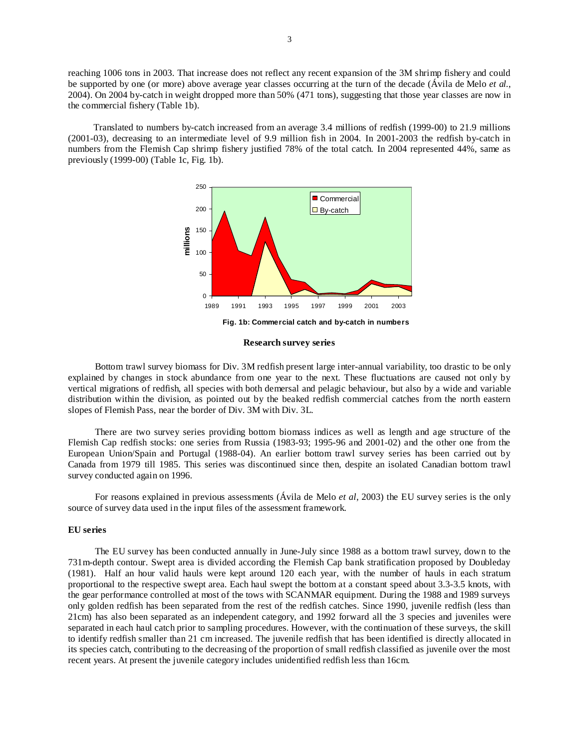reaching 1006 tons in 2003. That increase does not reflect any recent expansion of the 3M shrimp fishery and could be supported by one (or more) above average year classes occurring at the turn of the decade (Ávila de Melo *et al.*, 2004). On 2004 by-catch in weight dropped more than 50% (471 tons), suggesting that those year classes are now in the commercial fishery (Table 1b).

Translated to numbers by-catch increased from an average 3.4 millions of redfish (1999-00) to 21.9 millions (2001-03), decreasing to an intermediate level of 9.9 million fish in 2004. In 2001-2003 the redfish by-catch in numbers from the Flemish Cap shrimp fishery justified 78% of the total catch. In 2004 represented 44%, same as previously (1999-00) (Table 1c, Fig. 1b).



**Research survey series** 

Bottom trawl survey biomass for Div. 3M redfish present large inter-annual variability, too drastic to be only explained by changes in stock abundance from one year to the next. These fluctuations are caused not only by vertical migrations of redfish, all species with both demersal and pelagic behaviour, but also by a wide and variable distribution within the division, as pointed out by the beaked redfish commercial catches from the north eastern slopes of Flemish Pass, near the border of Div. 3M with Div. 3L.

There are two survey series providing bottom biomass indices as well as length and age structure of the Flemish Cap redfish stocks: one series from Russia (1983-93; 1995-96 and 2001-02) and the other one from the European Union/Spain and Portugal (1988-04). An earlier bottom trawl survey series has been carried out by Canada from 1979 till 1985. This series was discontinued since then, despite an isolated Canadian bottom trawl survey conducted again on 1996.

For reasons explained in previous assessments (Ávila de Melo *et al*, 2003) the EU survey series is the only source of survey data used in the input files of the assessment framework.

## **EU series**

The EU survey has been conducted annually in June-July since 1988 as a bottom trawl survey, down to the 731m-depth contour. Swept area is divided according the Flemish Cap bank stratification proposed by Doubleday (1981). Half an hour valid hauls were kept around 120 each year, with the number of hauls in each stratum proportional to the respective swept area. Each haul swept the bottom at a constant speed about 3.3-3.5 knots, with the gear performance controlled at most of the tows with SCANMAR equipment. During the 1988 and 1989 surveys only golden redfish has been separated from the rest of the redfish catches. Since 1990, juvenile redfish (less than 21cm) has also been separated as an independent category, and 1992 forward all the 3 species and juveniles were separated in each haul catch prior to sampling procedures. However, with the continuation of these surveys, the skill to identify redfish smaller than 21 cm increased. The juvenile redfish that has been identified is directly allocated in its species catch, contributing to the decreasing of the proportion of small redfish classified as juvenile over the most recent years. At present the juvenile category includes unidentified redfish less than 16cm.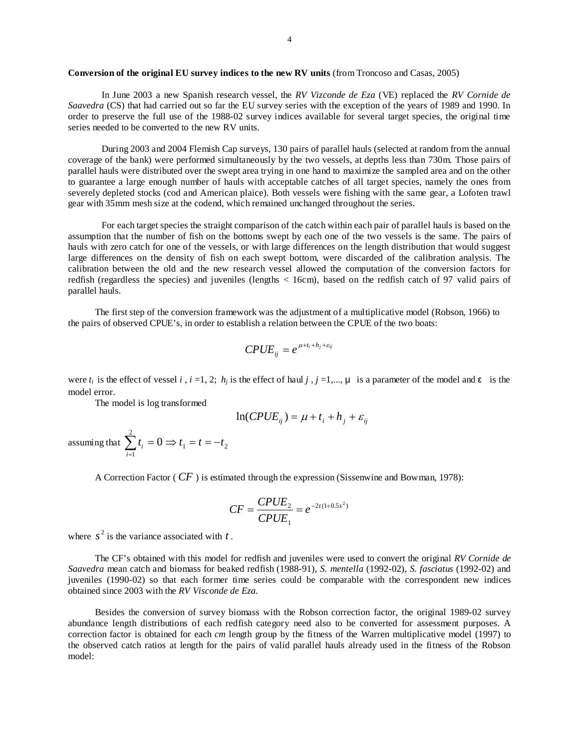## **Conversion of the original EU survey indices to the new RV units** (from Troncoso and Casas, 2005)

In June 2003 a new Spanish research vessel, the *RV Vizconde de Eza* (VE) replaced the *RV Cornide de Saavedra* (CS) that had carried out so far the EU survey series with the exception of the years of 1989 and 1990. In order to preserve the full use of the 1988-02 survey indices available for several target species, the original time series needed to be converted to the new RV units.

During 2003 and 2004 Flemish Cap surveys, 130 pairs of parallel hauls (selected at random from the annual coverage of the bank) were performed simultaneously by the two vessels, at depths less than 730m. Those pairs of parallel hauls were distributed over the swept area trying in one hand to maximize the sampled area and on the other to guarantee a large enough number of hauls with acceptable catches of all target species, namely the ones from severely depleted stocks (cod and American plaice). Both vessels were fishing with the same gear, a Lofoten trawl gear with 35mm mesh size at the codend, which remained unchanged throughout the series.

For each target species the straight comparison of the catch within each pair of parallel hauls is based on the assumption that the number of fish on the bottoms swept by each one of the two vessels is the same. The pairs of hauls with zero catch for one of the vessels, or with large differences on the length distribution that would suggest large differences on the density of fish on each swept bottom, were discarded of the calibration analysis. The calibration between the old and the new research vessel allowed the computation of the conversion factors for redfish (regardless the species) and juveniles (lengths < 16cm), based on the redfish catch of 97 valid pairs of parallel hauls.

The first step of the conversion framework was the adjustment of a multiplicative model (Robson, 1966) to the pairs of observed CPUE's, in order to establish a relation between the CPUE of the two boats:

$$
CPUE_{ij} = e^{\mu + t_i + h_j + \varepsilon_{ij}}
$$

were  $t_i$  is the effect of vessel *i*,  $i = 1, 2$ ;  $h_i$  is the effect of haul  $j$ ,  $j = 1,..., \mu$  is a parameter of the model and  $\epsilon$  is the model error.

The model is log transformed

$$
\ln(CPUE_{ij}) = \mu + t_i + h_j + \varepsilon_{ij}
$$

assuming that  $\sum_{i=1}^{2} t_i = 0 \implies t_1 = t = -$ 1  $0 \Rightarrow t_1 = t = -t_2$ *i*  $t_i = 0 \Rightarrow t_1 = t = -t$ 

A Correction Factor ( $CF$ ) is estimated through the expression (Sissenwine and Bowman, 1978):

$$
CF = \frac{CPUE_2}{CPUE_1} = e^{-2t(1+0.5s^2)}
$$

where  $s^2$  is the variance associated with  $t$ .

The CF's obtained with this model for redfish and juveniles were used to convert the original *RV Cornide de Saavedra* mean catch and biomass for beaked redfish (1988-91), *S. mentella* (1992-02), *S. fasciatus* (1992-02) and juveniles (1990-02) so that each former time series could be comparable with the correspondent new indices obtained since 2003 with the *RV Visconde de Eza.* 

Besides the conversion of survey biomass with the Robson correction factor, the original 1989-02 survey abundance length distributions of each redfish category need also to be converted for assessment purposes. A correction factor is obtained for each *cm* length group by the fitness of the Warren multiplicative model (1997) to the observed catch ratios at length for the pairs of valid parallel hauls already used in the fitness of the Robson model: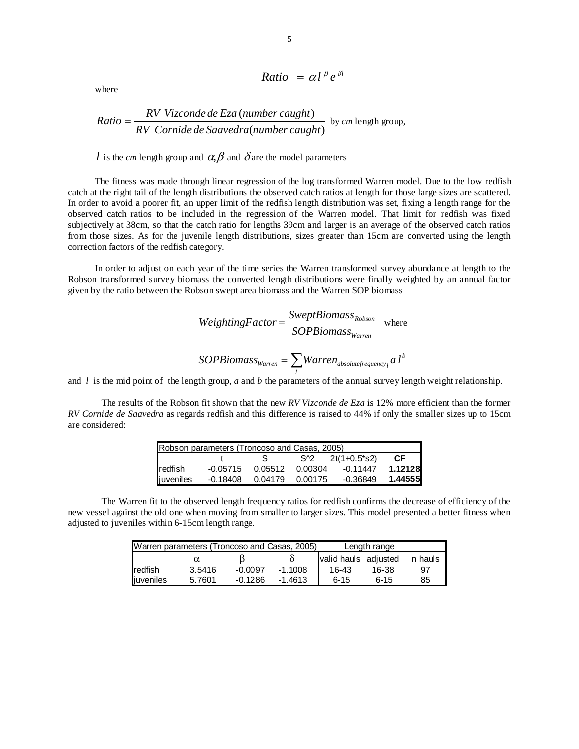Ratio = 
$$
\alpha l^{\beta} e^{\delta l}
$$

where

Ratio = 
$$
\frac{RV \text{ Vizconde de Eza (number caught)}}{RV \text{ Cornide de Saavedra (number caught)}}
$$
 by cm length group,

*l* is the *cm* length group and  $\alpha$ ,  $\beta$  and  $\delta$  are the model parameters

The fitness was made through linear regression of the log transformed Warren model. Due to the low redfish catch at the right tail of the length distributions the observed catch ratios at length for those large sizes are scattered. In order to avoid a poorer fit, an upper limit of the redfish length distribution was set, fixing a length range for the observed catch ratios to be included in the regression of the Warren model. That limit for redfish was fixed subjectively at 38cm, so that the catch ratio for lengths 39cm and larger is an average of the observed catch ratios from those sizes. As for the juvenile length distributions, sizes greater than 15cm are converted using the length correction factors of the redfish category.

In order to adjust on each year of the time series the Warren transformed survey abundance at length to the Robson transformed survey biomass the converted length distributions were finally weighted by an annual factor given by the ratio between the Robson swept area biomass and the Warren SOP biomass

*WeightingFactor* = 
$$
\frac{SweptBiomass_{Robson}}{SOPBiomass_{Warren}}
$$
 where  
SOPBiomass<sub>Warren</sub> = 
$$
\sum_{l} Warren_{absolute frequency_{l}} a l^{b}
$$

and  $l$  is the mid point of the length group, *a* and *b* the parameters of the annual survey length weight relationship.

The results of the Robson fit shown that the new *RV Vizconde de Eza* is 12% more efficient than the former *RV Cornide de Saavedra* as regards redfish and this difference is raised to 44% if only the smaller sizes up to 15cm are considered:

|           | Robson parameters (Troncoso and Casas, 2005) |         |         |                 |         |  |  |  |  |  |
|-----------|----------------------------------------------|---------|---------|-----------------|---------|--|--|--|--|--|
|           |                                              |         | S^2     | $2t(1+0.5^*s2)$ | СF      |  |  |  |  |  |
| redfish   | $-0.05715$                                   | 0.05512 | 0.00304 | -0.11447        | 1.12128 |  |  |  |  |  |
| juveniles | -0.18408                                     | 0.04179 | 0.00175 | -0.36849        | 1.44555 |  |  |  |  |  |

The Warren fit to the observed length frequency ratios for redfish confirms the decrease of efficiency of the new vessel against the old one when moving from smaller to larger sizes. This model presented a better fitness when adjusted to juveniles within 6-15cm length range.

|                | Warren parameters (Troncoso and Casas, 2005) |           | Length range |                      |          |         |  |
|----------------|----------------------------------------------|-----------|--------------|----------------------|----------|---------|--|
|                |                                              |           |              | valid hauls adjusted |          | n hauls |  |
| <b>redfish</b> | 3.5416                                       | $-0.0097$ | $-1.1008$    | $16-43$              | 16-38    | 97      |  |
| juveniles      | 5.7601                                       | $-0.1286$ | $-1.4613$    | $6 - 15$             | $6 - 15$ | 85      |  |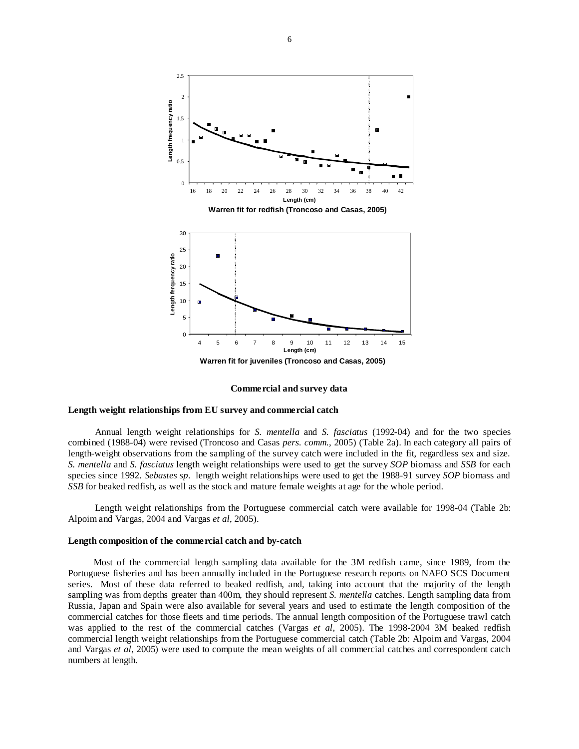

**Commercial and survey data** 

## **Length weight relationships from EU survey and commercial catch**

Annual length weight relationships for *S. mentella* and *S. fasciatus* (1992-04) and for the two species combined (1988-04) were revised (Troncoso and Casas *pers. comm.*, 2005) (Table 2a). In each category all pairs of length-weight observations from the sampling of the survey catch were included in the fit, regardless sex and size. *S. mentella* and *S. fasciatus* length weight relationships were used to get the survey *SOP* biomass and *SSB* for each species since 1992. *Sebastes sp*. length weight relationships were used to get the 1988-91 survey *SOP* biomass and *SSB* for beaked redfish, as well as the stock and mature female weights at age for the whole period.

Length weight relationships from the Portuguese commercial catch were available for 1998-04 (Table 2b: Alpoim and Vargas, 2004 and Vargas *et al*, 2005).

#### **Length composition of the commercial catch and by-catch**

Most of the commercial length sampling data available for the 3M redfish came, since 1989, from the Portuguese fisheries and has been annually included in the Portuguese research reports on NAFO SCS Document series. Most of these data referred to beaked redfish, and, taking into account that the majority of the length sampling was from depths greater than 400m, they should represent *S. mentella* catches. Length sampling data from Russia, Japan and Spain were also available for several years and used to estimate the length composition of the commercial catches for those fleets and time periods. The annual length composition of the Portuguese trawl catch was applied to the rest of the commercial catches (Vargas *et al*, 2005). The 1998-2004 3M beaked redfish commercial length weight relationships from the Portuguese commercial catch (Table 2b: Alpoim and Vargas, 2004 and Vargas *et al*, 2005) were used to compute the mean weights of all commercial catches and correspondent catch numbers at length.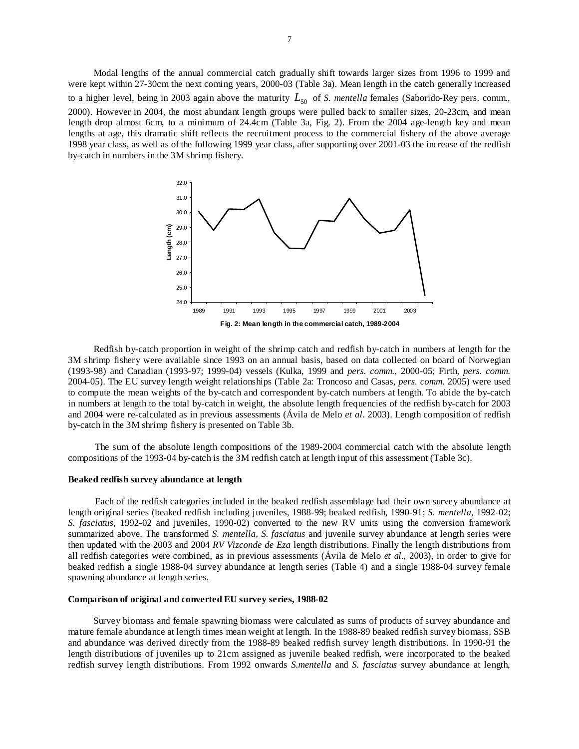Modal lengths of the annual commercial catch gradually shift towards larger sizes from 1996 to 1999 and were kept within 27-30cm the next coming years, 2000-03 (Table 3a). Mean length in the catch generally increased to a higher level, being in 2003 again above the maturity  $L_{50}$  of *S. mentella* females (Saborido-Rey pers. comm., 2000). However in 2004, the most abundant length groups were pulled back to smaller sizes, 20-23cm, and mean length drop almost 6cm, to a minimum of 24.4cm (Table 3a, Fig. 2). From the 2004 age-length key and mean lengths at age, this dramatic shift reflects the recruitment process to the commercial fishery of the above average 1998 year class, as well as of the following 1999 year class, after supporting over 2001-03 the increase of the redfish by-catch in numbers in the 3M shrimp fishery.



Redfish by-catch proportion in weight of the shrimp catch and redfish by-catch in numbers at length for the 3M shrimp fishery were available since 1993 on an annual basis, based on data collected on board of Norwegian (1993-98) and Canadian (1993-97; 1999-04) vessels (Kulka, 1999 and *pers. comm.*, 2000-05; Firth, *pers. comm.* 2004-05). The EU survey length weight relationships (Table 2a: Troncoso and Casas, *pers. comm.* 2005) were used to compute the mean weights of the by-catch and correspondent by-catch numbers at length. To abide the by-catch in numbers at length to the total by-catch in weight, the absolute length frequencies of the redfish by-catch for 2003 and 2004 were re-calculated as in previous assessments (Ávila de Melo *et al*. 2003). Length composition of redfish by-catch in the 3M shrimp fishery is presented on Table 3b.

The sum of the absolute length compositions of the 1989-2004 commercial catch with the absolute length compositions of the 1993-04 by-catch is the 3M redfish catch at length input of this assessment (Table 3c).

#### **Beaked redfish survey abundance at length**

Each of the redfish categories included in the beaked redfish assemblage had their own survey abundance at length original series (beaked redfish including juveniles, 1988-99; beaked redfish, 1990-91; *S. mentella*, 1992-02; *S. fasciatus*, 1992-02 and juveniles, 1990-02) converted to the new RV units using the conversion framework summarized above. The transformed *S. mentella, S. fasciatus* and juvenile survey abundance at length series were then updated with the 2003 and 2004 *RV Vizconde de Eza* length distributions. Finally the length distributions from all redfish categories were combined, as in previous assessments (Ávila de Melo *et al*., 2003), in order to give for beaked redfish a single 1988-04 survey abundance at length series (Table 4) and a single 1988-04 survey female spawning abundance at length series.

#### **Comparison of original and converted EU survey series, 1988-02**

Survey biomass and female spawning biomass were calculated as sums of products of survey abundance and mature female abundance at length times mean weight at length. In the 1988-89 beaked redfish survey biomass, SSB and abundance was derived directly from the 1988-89 beaked redfish survey length distributions. In 1990-91 the length distributions of juveniles up to 21cm assigned as juvenile beaked redfish, were incorporated to the beaked redfish survey length distributions. From 1992 onwards *S.mentella* and *S. fasciatus* survey abundance at length,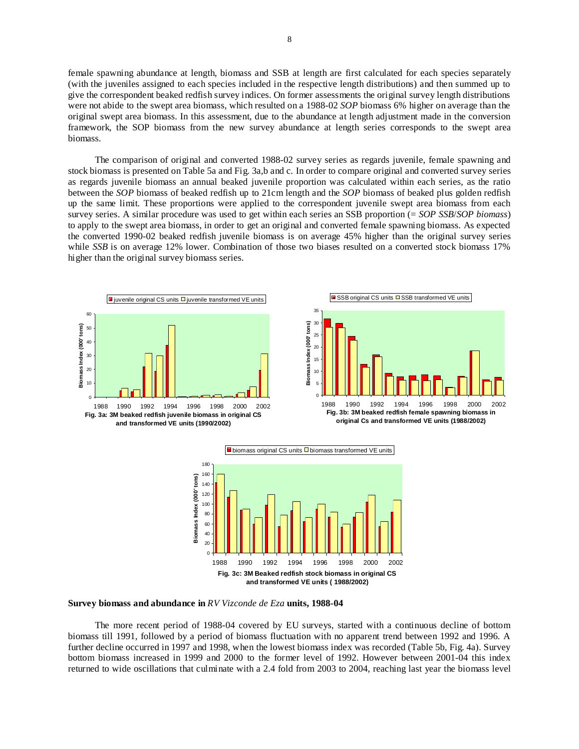female spawning abundance at length, biomass and SSB at length are first calculated for each species separately (with the juveniles assigned to each species included in the respective length distributions) and then summed up to give the correspondent beaked redfish survey indices. On former assessments the original survey length distributions were not abide to the swept area biomass, which resulted on a 1988-02 *SOP* biomass 6% higher on average than the original swept area biomass. In this assessment, due to the abundance at length adjustment made in the conversion framework, the SOP biomass from the new survey abundance at length series corresponds to the swept area biomass.

The comparison of original and converted 1988-02 survey series as regards juvenile, female spawning and stock biomass is presented on Table 5a and Fig. 3a,b and c. In order to compare original and converted survey series as regards juvenile biomass an annual beaked juvenile proportion was calculated within each series, as the ratio between the *SOP* biomass of beaked redfish up to 21cm length and the *SOP* biomass of beaked plus golden redfish up the same limit. These proportions were applied to the correspondent juvenile swept area biomass from each survey series. A similar procedure was used to get within each series an SSB proportion (= *SOP SSB*/*SOP biomass*) to apply to the swept area biomass, in order to get an original and converted female spawning biomass. As expected the converted 1990-02 beaked redfish juvenile biomass is on average 45% higher than the original survey series while *SSB* is on average 12% lower. Combination of those two biases resulted on a converted stock biomass 17% higher than the original survey biomass series.









**Survey biomass and abundance in** *RV Vizconde de Eza* **units, 1988-04** 

The more recent period of 1988-04 covered by EU surveys, started with a continuous decline of bottom biomass till 1991, followed by a period of biomass fluctuation with no apparent trend between 1992 and 1996. A further decline occurred in 1997 and 1998, when the lowest biomass index was recorded (Table 5b, Fig. 4a). Survey bottom biomass increased in 1999 and 2000 to the former level of 1992. However between 2001-04 this index returned to wide oscillations that culminate with a 2.4 fold from 2003 to 2004, reaching last year the biomass level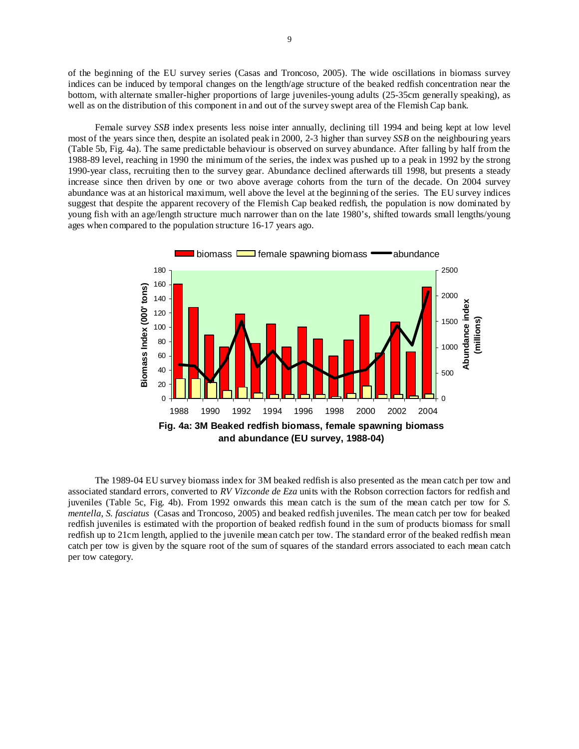of the beginning of the EU survey series (Casas and Troncoso, 2005). The wide oscillations in biomass survey indices can be induced by temporal changes on the length/age structure of the beaked redfish concentration near the bottom, with alternate smaller-higher proportions of large juveniles-young adults (25-35cm generally speaking), as well as on the distribution of this component in and out of the survey swept area of the Flemish Cap bank.

Female survey *SSB* index presents less noise inter annually, declining till 1994 and being kept at low level most of the years since then, despite an isolated peak in 2000, 2-3 higher than survey *SSB* on the neighbouring years (Table 5b, Fig. 4a). The same predictable behaviour is observed on survey abundance. After falling by half from the 1988-89 level, reaching in 1990 the minimum of the series, the index was pushed up to a peak in 1992 by the strong 1990-year class, recruiting then to the survey gear. Abundance declined afterwards till 1998, but presents a steady increase since then driven by one or two above average cohorts from the turn of the decade. On 2004 survey abundance was at an historical maximum, well above the level at the beginning of the series. The EU survey indices suggest that despite the apparent recovery of the Flemish Cap beaked redfish, the population is now dominated by young fish with an age/length structure much narrower than on the late 1980's, shifted towards small lengths/young ages when compared to the population structure 16-17 years ago.



The 1989-04 EU survey biomass index for 3M beaked redfish is also presented as the mean catch per tow and associated standard errors, converted to *RV Vizconde de Eza* units with the Robson correction factors for redfish and juveniles (Table 5c, Fig. 4b). From 1992 onwards this mean catch is the sum of the mean catch per tow for *S. mentella*, *S. fasciatus* (Casas and Troncoso, 2005) and beaked redfish juveniles. The mean catch per tow for beaked redfish juveniles is estimated with the proportion of beaked redfish found in the sum of products biomass for small redfish up to 21cm length, applied to the juvenile mean catch per tow. The standard error of the beaked redfish mean catch per tow is given by the square root of the sum of squares of the standard errors associated to each mean catch per tow category.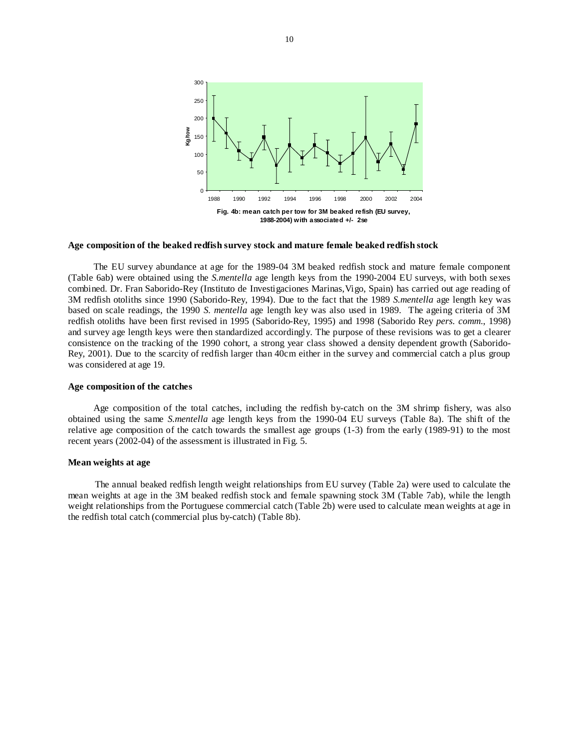

#### **Age composition of the beaked redfish survey stock and mature female beaked redfish stock**

The EU survey abundance at age for the 1989-04 3M beaked redfish stock and mature female component (Table 6ab) were obtained using the *S.mentella* age length keys from the 1990-2004 EU surveys, with both sexes combined. Dr. Fran Saborido-Rey (Instituto de Investigaciones Marinas,Vigo, Spain) has carried out age reading of 3M redfish otoliths since 1990 (Saborido-Rey, 1994). Due to the fact that the 1989 *S.mentella* age length key was based on scale readings, the 1990 *S. mentella* age length key was also used in 1989. The ageing criteria of 3M redfish otoliths have been first revised in 1995 (Saborido-Rey, 1995) and 1998 (Saborido Rey *pers. comm*., 1998) and survey age length keys were then standardized accordingly. The purpose of these revisions was to get a clearer consistence on the tracking of the 1990 cohort, a strong year class showed a density dependent growth (Saborido-Rey, 2001). Due to the scarcity of redfish larger than 40cm either in the survey and commercial catch a plus group was considered at age 19.

#### **Age composition of the catches**

Age composition of the total catches, including the redfish by-catch on the 3M shrimp fishery, was also obtained using the same *S.mentella* age length keys from the 1990-04 EU surveys (Table 8a). The shift of the relative age composition of the catch towards the smallest age groups (1-3) from the early (1989-91) to the most recent years (2002-04) of the assessment is illustrated in Fig. 5.

#### **Mean weights at age**

The annual beaked redfish length weight relationships from EU survey (Table 2a) were used to calculate the mean weights at age in the 3M beaked redfish stock and female spawning stock 3M (Table 7ab), while the length weight relationships from the Portuguese commercial catch (Table 2b) were used to calculate mean weights at age in the redfish total catch (commercial plus by-catch) (Table 8b).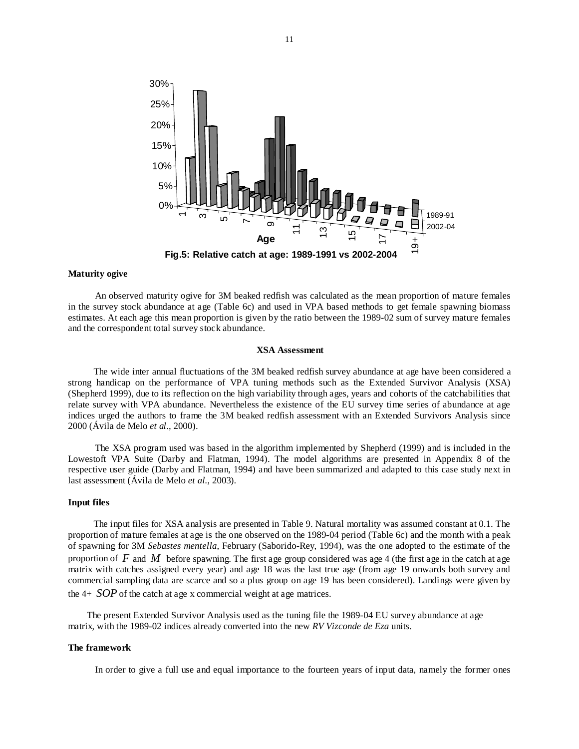

#### **Maturity ogive**

An observed maturity ogive for 3M beaked redfish was calculated as the mean proportion of mature females in the survey stock abundance at age (Table 6c) and used in VPA based methods to get female spawning biomass estimates. At each age this mean proportion is given by the ratio between the 1989-02 sum of survey mature females and the correspondent total survey stock abundance.

#### **XSA Assessment**

The wide inter annual fluctuations of the 3M beaked redfish survey abundance at age have been considered a strong handicap on the performance of VPA tuning methods such as the Extended Survivor Analysis (XSA) (Shepherd 1999), due to its reflection on the high variability through ages, years and cohorts of the catchabilities that relate survey with VPA abundance. Nevertheless the existence of the EU survey time series of abundance at age indices urged the authors to frame the 3M beaked redfish assessment with an Extended Survivors Analysis since 2000 (Ávila de Melo *et al*., 2000).

The XSA program used was based in the algorithm implemented by Shepherd (1999) and is included in the Lowestoft VPA Suite (Darby and Flatman, 1994). The model algorithms are presented in Appendix 8 of the respective user guide (Darby and Flatman, 1994) and have been summarized and adapted to this case study next in last assessment (Ávila de Melo *et al.*, 2003).

#### **Input files**

The input files for XSA analysis are presented in Table 9. Natural mortality was assumed constant at 0.1. The proportion of mature females at age is the one observed on the 1989-04 period (Table 6c) and the month with a peak of spawning for 3M *Sebastes mentella*, February (Saborido-Rey, 1994), was the one adopted to the estimate of the proportion of *F* and *M* before spawning. The first age group considered was age 4 (the first age in the catch at age matrix with catches assigned every year) and age 18 was the last true age (from age 19 onwards both survey and commercial sampling data are scarce and so a plus group on age 19 has been considered). Landings were given by the 4+ *SOP* of the catch at age x commercial weight at age matrices.

 The present Extended Survivor Analysis used as the tuning file the 1989-04 EU survey abundance at age matrix, with the 1989-02 indices already converted into the new *RV Vizconde de Eza* units.

## **The framework**

In order to give a full use and equal importance to the fourteen years of input data, namely the former ones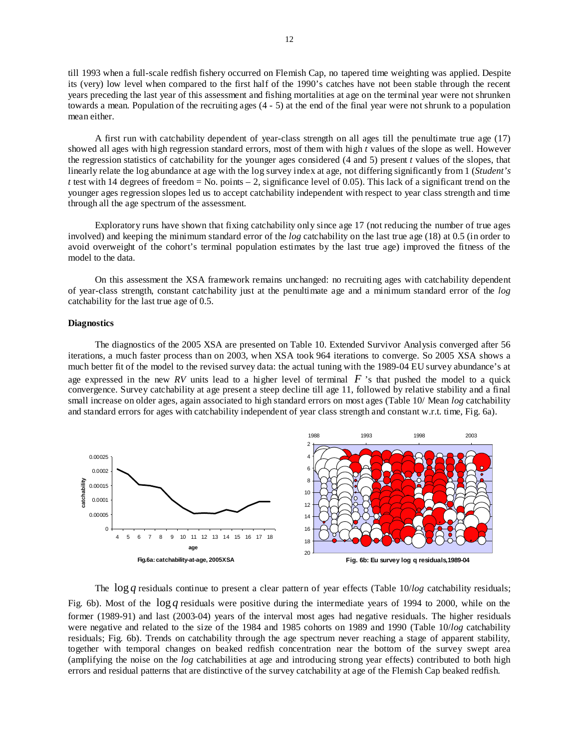till 1993 when a full-scale redfish fishery occurred on Flemish Cap, no tapered time weighting was applied. Despite its (very) low level when compared to the first half of the 1990's catches have not been stable through the recent years preceding the last year of this assessment and fishing mortalities at age on the terminal year were not shrunken towards a mean. Population of the recruiting ages (4 - 5) at the end of the final year were not shrunk to a population mean either.

A first run with catchability dependent of year-class strength on all ages till the penultimate true age (17) showed all ages with high regression standard errors, most of them with high *t* values of the slope as well. However the regression statistics of catchability for the younger ages considered (4 and 5) present *t* values of the slopes, that linearly relate the log abundance at age with the log survey index at age, not differing significantly from 1 (*Student's t* test with 14 degrees of freedom = No. points  $-2$ , significance level of 0.05). This lack of a significant trend on the younger ages regression slopes led us to accept catchability independent with respect to year class strength and time through all the age spectrum of the assessment.

Exploratory runs have shown that fixing catchability only since age 17 (not reducing the number of true ages involved) and keeping the minimum standard error of the *log* catchability on the last true age (18) at 0.5 (in order to avoid overweight of the cohort's terminal population estimates by the last true age) improved the fitness of the model to the data.

On this assessment the XSA framework remains unchanged: no recruiting ages with catchability dependent of year-class strength, constant catchability just at the penultimate age and a minimum standard error of the *log*  catchability for the last true age of 0.5.

## **Diagnostics**

The diagnostics of the 2005 XSA are presented on Table 10. Extended Survivor Analysis converged after 56 iterations, a much faster process than on 2003, when XSA took 964 iterations to converge. So 2005 XSA shows a much better fit of the model to the revised survey data: the actual tuning with the 1989-04 EU survey abundance's at age expressed in the new RV units lead to a higher level of terminal  $F$  's that pushed the model to a quick convergence. Survey catchability at age present a steep decline till age 11, followed by relative stability and a final small increase on older ages, again associated to high standard errors on most ages (Table 10/ Mean *log* catchability and standard errors for ages with catchability independent of year class strength and constant w.r.t. time, Fig. 6a).



The log *q* residuals continue to present a clear pattern of year effects (Table 10/*log* catchability residuals; Fig. 6b). Most of the log *q* residuals were positive during the intermediate years of 1994 to 2000, while on the former (1989-91) and last (2003-04) years of the interval most ages had negative residuals. The higher residuals were negative and related to the size of the 1984 and 1985 cohorts on 1989 and 1990 (Table 10/*log* catchability residuals; Fig. 6b). Trends on catchability through the age spectrum never reaching a stage of apparent stability, together with temporal changes on beaked redfish concentration near the bottom of the survey swept area (amplifying the noise on the *log* catchabilities at age and introducing strong year effects) contributed to both high errors and residual patterns that are distinctive of the survey catchability at age of the Flemish Cap beaked redfish.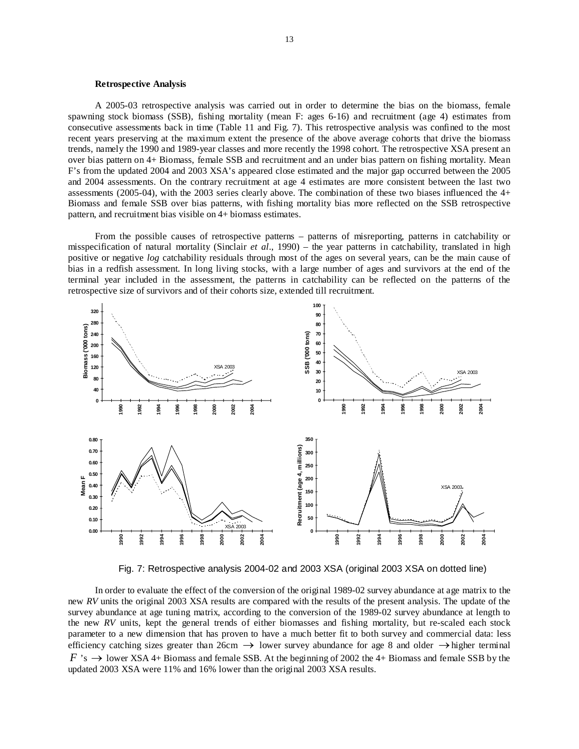#### **Retrospective Analysis**

A 2005-03 retrospective analysis was carried out in order to determine the bias on the biomass, female spawning stock biomass (SSB), fishing mortality (mean F: ages 6-16) and recruitment (age 4) estimates from consecutive assessments back in time (Table 11 and Fig. 7). This retrospective analysis was confined to the most recent years preserving at the maximum extent the presence of the above average cohorts that drive the biomass trends, namely the 1990 and 1989-year classes and more recently the 1998 cohort. The retrospective XSA present an over bias pattern on 4+ Biomass, female SSB and recruitment and an under bias pattern on fishing mortality. Mean F's from the updated 2004 and 2003 XSA's appeared close estimated and the major gap occurred between the 2005 and 2004 assessments. On the contrary recruitment at age 4 estimates are more consistent between the last two assessments (2005-04), with the 2003 series clearly above. The combination of these two biases influenced the 4+ Biomass and female SSB over bias patterns, with fishing mortality bias more reflected on the SSB retrospective pattern, and recruitment bias visible on 4+ biomass estimates.

From the possible causes of retrospective patterns – patterns of misreporting, patterns in catchability or misspecification of natural mortality (Sinclair *et al*., 1990) – the year patterns in catchability, translated in high positive or negative *log* catchability residuals through most of the ages on several years, can be the main cause of bias in a redfish assessment. In long living stocks, with a large number of ages and survivors at the end of the terminal year included in the assessment, the patterns in catchability can be reflected on the patterns of the retrospective size of survivors and of their cohorts size, extended till recruitment.



Fig. 7: Retrospective analysis 2004-02 and 2003 XSA (original 2003 XSA on dotted line)

In order to evaluate the effect of the conversion of the original 1989-02 survey abundance at age matrix to the new *RV* units the original 2003 XSA results are compared with the results of the present analysis. The update of the survey abundance at age tuning matrix, according to the conversion of the 1989-02 survey abundance at length to the new *RV* units, kept the general trends of either biomasses and fishing mortality, but re-scaled each stock parameter to a new dimension that has proven to have a much better fit to both survey and commercial data: less efficiency catching sizes greater than  $26 \text{cm} \rightarrow$  lower survey abundance for age 8 and older  $\rightarrow$  higher terminal  $F$  's  $\rightarrow$  lower XSA 4+ Biomass and female SSB. At the beginning of 2002 the 4+ Biomass and female SSB by the updated 2003 XSA were 11% and 16% lower than the original 2003 XSA results.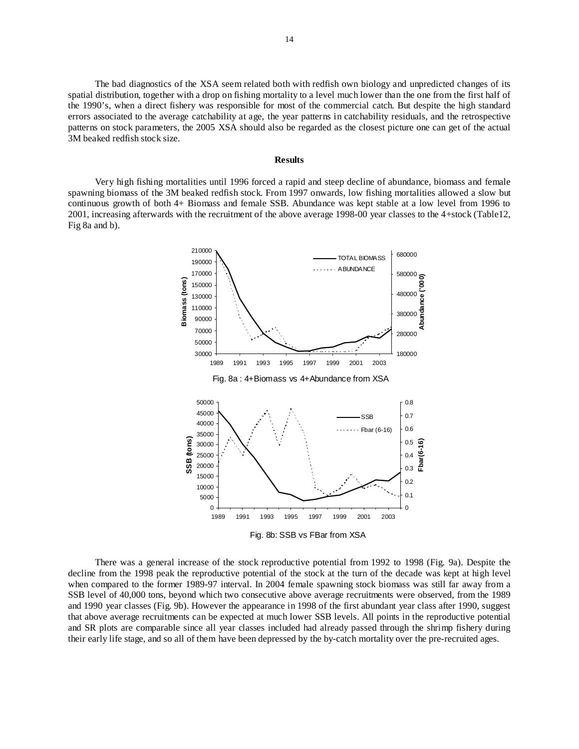The bad diagnostics of the XSA seem related both with redfish own biology and unpredicted changes of its spatial distribution, together with a drop on fishing mortality to a level much lower than the one from the first half of the 1990's, when a direct fishery was responsible for most of the commercial catch. But despite the high standard errors associated to the average catchability at age, the year patterns in catchability residuals, and the retrospective patterns on stock parameters, the 2005 XSA should also be regarded as the closest picture one can get of the actual 3M beaked redfish stock size.

#### **Results**

Very high fishing mortalities until 1996 forced a rapid and steep decline of abundance, biomass and female spawning biomass of the 3M beaked redfish stock. From 1997 onwards, low fishing mortalities allowed a slow but continuous growth of both 4+ Biomass and female SSB. Abundance was kept stable at a low level from 1996 to 2001, increasing afterwards with the recruitment of the above average 1998-00 year classes to the 4+stock (Table12, Fig 8a and b).



There was a general increase of the stock reproductive potential from 1992 to 1998 (Fig. 9a). Despite the decline from the 1998 peak the reproductive potential of the stock at the turn of the decade was kept at high level when compared to the former 1989-97 interval. In 2004 female spawning stock biomass was still far away from a SSB level of 40,000 tons, beyond which two consecutive above average recruitments were observed, from the 1989 and 1990 year classes (Fig. 9b). However the appearance in 1998 of the first abundant year class after 1990, suggest that above average recruitments can be expected at much lower SSB levels. All points in the reproductive potential and SR plots are comparable since all year classes included had already passed through the shrimp fishery during their early life stage, and so all of them have been depressed by the by-catch mortality over the pre-recruited ages.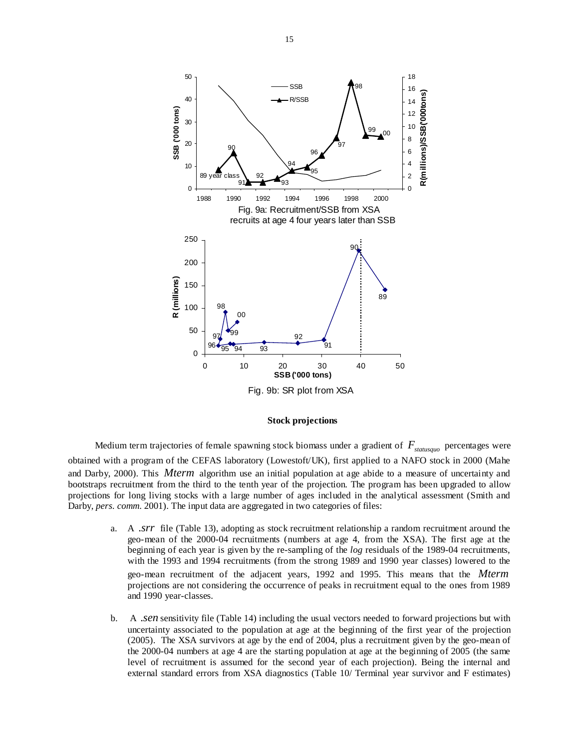

## **Stock projections**

Medium term trajectories of female spawning stock biomass under a gradient of  $F_{statusque}$  percentages were obtained with a program of the CEFAS laboratory (Lowestoft/UK), first applied to a NAFO stock in 2000 (Mahe and Darby, 2000). This *Mterm* algorithm use an initial population at age abide to a measure of uncertainty and bootstraps recruitment from the third to the tenth year of the projection. The program has been upgraded to allow projections for long living stocks with a large number of ages included in the analytical assessment (Smith and Darby, *pers. comm*. 2001). The input data are aggregated in two categories of files:

- a. A .*srr* file (Table 13), adopting as stock recruitment relationship a random recruitment around the geo-mean of the 2000-04 recruitments (numbers at age 4, from the XSA). The first age at the beginning of each year is given by the re-sampling of the *log* residuals of the 1989-04 recruitments, with the 1993 and 1994 recruitments (from the strong 1989 and 1990 year classes) lowered to the geo-mean recruitment of the adjacent years, 1992 and 1995. This means that the *Mterm* projections are not considering the occurrence of peaks in recruitment equal to the ones from 1989 and 1990 year-classes.
- b. A .*sen* sensitivity file (Table 14) including the usual vectors needed to forward projections but with uncertainty associated to the population at age at the beginning of the first year of the projection (2005). The XSA survivors at age by the end of 2004, plus a recruitment given by the geo-mean of the 2000-04 numbers at age 4 are the starting population at age at the beginning of 2005 (the same level of recruitment is assumed for the second year of each projection). Being the internal and external standard errors from XSA diagnostics (Table 10/ Terminal year survivor and F estimates)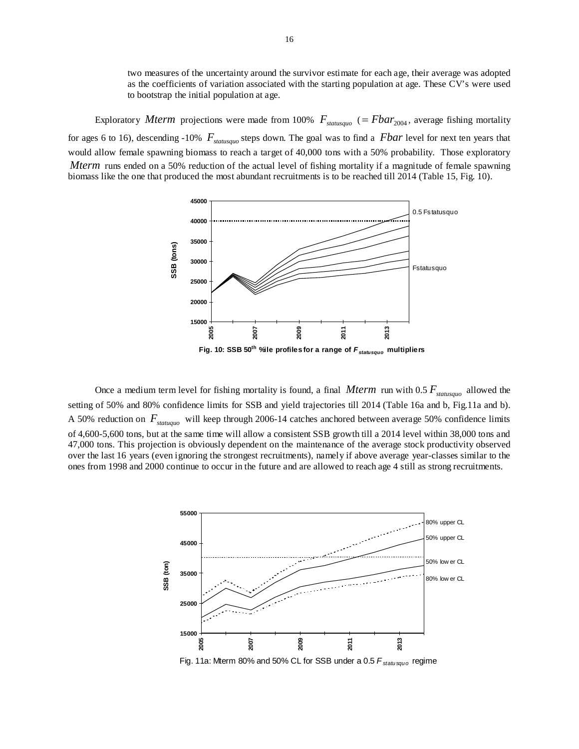two measures of the uncertainty around the survivor estimate for each age, their average was adopted as the coefficients of variation associated with the starting population at age. These CV's were used to bootstrap the initial population at age.

Exploratory *Mterm* projections were made from 100%  $F_{statusquo}$  (=  $Fbar_{2004}$ , average fishing mortality for ages 6 to 16), descending -10%  $F_{statusque}$  steps down. The goal was to find a *Fbar* level for next ten years that would allow female spawning biomass to reach a target of 40,000 tons with a 50% probability. Those exploratory *Mterm* runs ended on a 50% reduction of the actual level of fishing mortality if a magnitude of female spawning biomass like the one that produced the most abundant recruitments is to be reached till 2014 (Table 15, Fig. 10).



Once a medium term level for fishing mortality is found, a final *Mterm* run with 0.5  $F_{\text{statusque}}$  allowed the setting of 50% and 80% confidence limits for SSB and yield trajectories till 2014 (Table 16a and b, Fig.11a and b). A 50% reduction on  $F_{statuquo}$  will keep through 2006-14 catches anchored between average 50% confidence limits of 4,600-5,600 tons, but at the same time will allow a consistent SSB growth till a 2014 level within 38,000 tons and 47,000 tons. This projection is obviously dependent on the maintenance of the average stock productivity observed over the last 16 years (even ignoring the strongest recruitments), namely if above average year-classes similar to the ones from 1998 and 2000 continue to occur in the future and are allowed to reach age 4 still as strong recruitments.

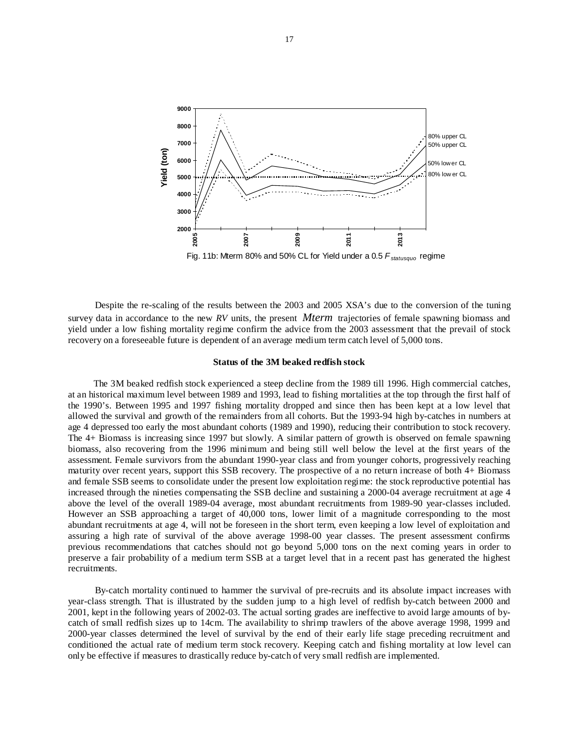

Fig. 11b: Mterm 80% and 50% CL for Yield under a 0.5 F<sub>statusquo</sub> regime

Despite the re-scaling of the results between the 2003 and 2005 XSA's due to the conversion of the tuning survey data in accordance to the new *RV* units, the present *Mterm* trajectories of female spawning biomass and yield under a low fishing mortality regime confirm the advice from the 2003 assessment that the prevail of stock recovery on a foreseeable future is dependent of an average medium term catch level of 5,000 tons.

#### **Status of the 3M beaked redfish stock**

The 3M beaked redfish stock experienced a steep decline from the 1989 till 1996. High commercial catches, at an historical maximum level between 1989 and 1993, lead to fishing mortalities at the top through the first half of the 1990's. Between 1995 and 1997 fishing mortality dropped and since then has been kept at a low level that allowed the survival and growth of the remainders from all cohorts. But the 1993-94 high by-catches in numbers at age 4 depressed too early the most abundant cohorts (1989 and 1990), reducing their contribution to stock recovery. The 4+ Biomass is increasing since 1997 but slowly. A similar pattern of growth is observed on female spawning biomass, also recovering from the 1996 minimum and being still well below the level at the first years of the assessment. Female survivors from the abundant 1990-year class and from younger cohorts, progressively reaching maturity over recent years, support this SSB recovery. The prospective of a no return increase of both 4+ Biomass and female SSB seems to consolidate under the present low exploitation regime: the stock reproductive potential has increased through the nineties compensating the SSB decline and sustaining a 2000-04 average recruitment at age 4 above the level of the overall 1989-04 average, most abundant recruitments from 1989-90 year-classes included. However an SSB approaching a target of 40,000 tons, lower limit of a magnitude corresponding to the most abundant recruitments at age 4, will not be foreseen in the short term, even keeping a low level of exploitation and assuring a high rate of survival of the above average 1998-00 year classes. The present assessment confirms previous recommendations that catches should not go beyond 5,000 tons on the next coming years in order to preserve a fair probability of a medium term SSB at a target level that in a recent past has generated the highest recruitments.

By-catch mortality continued to hammer the survival of pre-recruits and its absolute impact increases with year-class strength. That is illustrated by the sudden jump to a high level of redfish by-catch between 2000 and 2001, kept in the following years of 2002-03. The actual sorting grades are ineffective to avoid large amounts of bycatch of small redfish sizes up to 14cm. The availability to shrimp trawlers of the above average 1998, 1999 and 2000-year classes determined the level of survival by the end of their early life stage preceding recruitment and conditioned the actual rate of medium term stock recovery. Keeping catch and fishing mortality at low level can only be effective if measures to drastically reduce by-catch of very small redfish are implemented.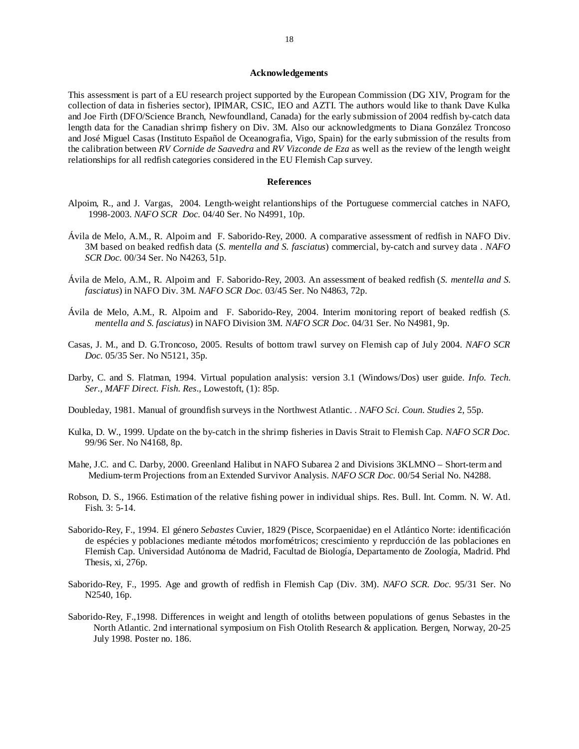## **Acknowledgements**

This assessment is part of a EU research project supported by the European Commission (DG XIV, Program for the collection of data in fisheries sector), IPIMAR, CSIC, IEO and AZTI. The authors would like to thank Dave Kulka and Joe Firth (DFO/Science Branch, Newfoundland, Canada) for the early submission of 2004 redfish by-catch data length data for the Canadian shrimp fishery on Div. 3M. Also our acknowledgments to Diana González Troncoso and José Miguel Casas (Instituto Español de Oceanografia, Vigo, Spain) for the early submission of the results from the calibration between *RV Cornide de Saavedra* and *RV Vizconde de Eza* as well as the review of the length weight relationships for all redfish categories considered in the EU Flemish Cap survey.

#### **References**

- Alpoim, R., and J. Vargas, 2004. Length-weight relantionships of the Portuguese commercial catches in NAFO, 1998-2003. *NAFO SCR Doc.* 04/40 Ser. No N4991, 10p.
- Ávila de Melo, A.M., R. Alpoim and F. Saborido-Rey, 2000. A comparative assessment of redfish in NAFO Div. 3M based on beaked redfish data (*S. mentella and S. fasciatus*) commercial, by-catch and survey data . *NAFO SCR Doc.* 00/34 Ser. No N4263, 51p.
- Ávila de Melo, A.M., R. Alpoim and F. Saborido-Rey, 2003. An assessment of beaked redfish (*S. mentella and S. fasciatus*) in NAFO Div. 3M. *NAFO SCR Doc.* 03/45 Ser. No N4863, 72p.
- Ávila de Melo, A.M., R. Alpoim and F. Saborido-Rey, 2004. Interim monitoring report of beaked redfish (*S. mentella and S. fasciatus*) in NAFO Division 3M. *NAFO SCR Doc.* 04/31 Ser. No N4981, 9p.
- Casas, J. M., and D. G.Troncoso, 2005. Results of bottom trawl survey on Flemish cap of July 2004. *NAFO SCR Doc.* 05/35 Ser. No N5121, 35p.
- Darby, C. and S. Flatman, 1994. Virtual population analysis: version 3.1 (Windows/Dos) user guide. *Info. Tech. Ser., MAFF Direct. Fish. Res*., Lowestoft, (1): 85p.
- Doubleday, 1981. Manual of groundfish surveys in the Northwest Atlantic. . *NAFO Sci. Coun. Studies* 2, 55p.
- Kulka, D. W., 1999. Update on the by-catch in the shrimp fisheries in Davis Strait to Flemish Cap. *NAFO SCR Doc.*  99/96 Ser. No N4168, 8p.
- Mahe, J.C. and C. Darby, 2000. Greenland Halibut in NAFO Subarea 2 and Divisions 3KLMNO Short-term and Medium-term Projections from an Extended Survivor Analysis. *NAFO SCR Doc.* 00/54 Serial No. N4288.
- Robson, D. S., 1966. Estimation of the relative fishing power in individual ships. Res. Bull. Int. Comm. N. W. Atl. Fish. 3: 5-14.
- Saborido-Rey, F., 1994. El género *Sebastes* Cuvier, 1829 (Pisce, Scorpaenidae) en el Atlántico Norte: identificación de espécies y poblaciones mediante métodos morfométricos; crescimiento y reprducción de las poblaciones en Flemish Cap. Universidad Autónoma de Madrid, Facultad de Biología, Departamento de Zoología, Madrid. Phd Thesis, xi, 276p.
- Saborido-Rey, F., 1995. Age and growth of redfish in Flemish Cap (Div. 3M). *NAFO SCR. Doc.* 95/31 Ser. No N2540, 16p.
- Saborido-Rey, F.,1998. Differences in weight and length of otoliths between populations of genus Sebastes in the North Atlantic. 2nd international symposium on Fish Otolith Research & application. Bergen, Norway, 20-25 July 1998. Poster no. 186.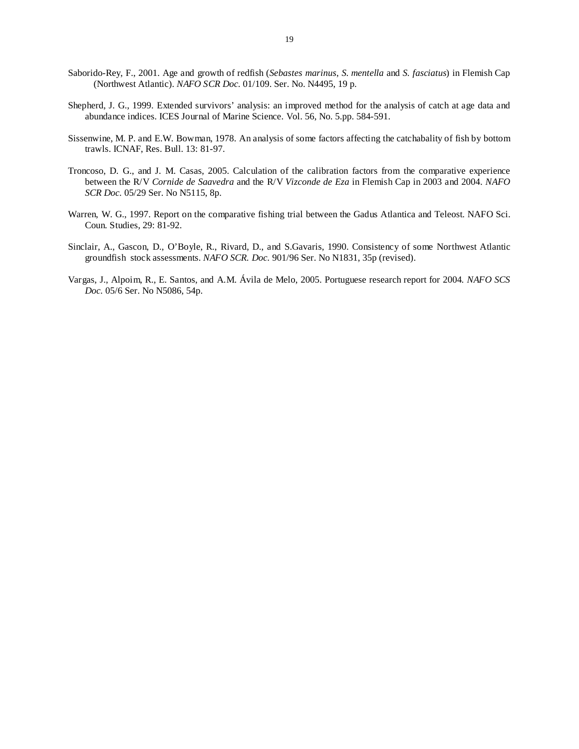- Saborido-Rey, F., 2001. Age and growth of redfish (*Sebastes marinus*, *S. mentella* and *S. fasciatus*) in Flemish Cap (Northwest Atlantic). *NAFO SCR Doc.* 01/109. Ser. No. N4495, 19 p.
- Shepherd, J. G., 1999. Extended survivors' analysis: an improved method for the analysis of catch at age data and abundance indices. ICES Journal of Marine Science. Vol. 56, No. 5.pp. 584-591.
- Sissenwine, M. P. and E.W. Bowman, 1978. An analysis of some factors affecting the catchabality of fish by bottom trawls. ICNAF, Res. Bull. 13: 81-97.
- Troncoso, D. G., and J. M. Casas, 2005. Calculation of the calibration factors from the comparative experience between the R/V *Cornide de Saavedra* and the R/V *Vizconde de Eza* in Flemish Cap in 2003 and 2004. *NAFO SCR Doc.* 05/29 Ser. No N5115, 8p.
- Warren, W. G., 1997. Report on the comparative fishing trial between the Gadus Atlantica and Teleost. NAFO Sci. Coun. Studies, 29: 81-92.
- Sinclair, A., Gascon, D., O'Boyle, R., Rivard, D., and S.Gavaris, 1990. Consistency of some Northwest Atlantic groundfish stock assessments. *NAFO SCR. Doc.* 901/96 Ser. No N1831, 35p (revised).
- Vargas, J., Alpoim, R., E. Santos, and A.M. Ávila de Melo, 2005. Portuguese research report for 2004*. NAFO SCS Doc.* 05/6 Ser. No N5086, 54p.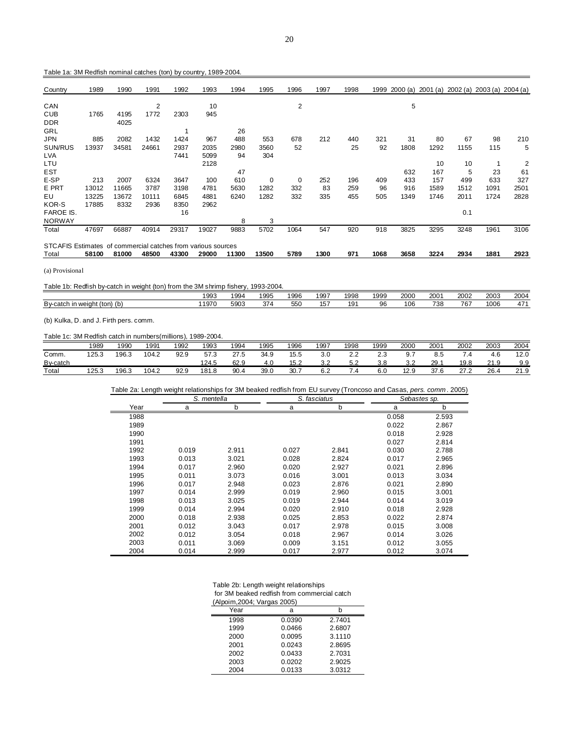|  | Table 1a: 3M Redfish nominal catches (ton) by country, 1989-2004. |  |  |  |  |
|--|-------------------------------------------------------------------|--|--|--|--|
|--|-------------------------------------------------------------------|--|--|--|--|

| Country                                                      | 1989  | 1990  | 1991  | 1992  | 1993  | 1994  | 1995  | 1996 | 1997 | 1998 | 1999 | 2000 (a) | 2001 (a) 2002 (a) 2003 (a) 2004 (a) |      |      |      |
|--------------------------------------------------------------|-------|-------|-------|-------|-------|-------|-------|------|------|------|------|----------|-------------------------------------|------|------|------|
| CAN                                                          |       |       | 2     |       | 10    |       |       | 2    |      |      |      | 5        |                                     |      |      |      |
| CUB                                                          | 1765  | 4195  | 1772  | 2303  | 945   |       |       |      |      |      |      |          |                                     |      |      |      |
| <b>DDR</b>                                                   |       | 4025  |       |       |       |       |       |      |      |      |      |          |                                     |      |      |      |
| GRL                                                          |       |       |       |       |       | 26    |       |      |      |      |      |          |                                     |      |      |      |
| <b>JPN</b>                                                   | 885   | 2082  | 1432  | 1424  | 967   | 488   | 553   | 678  | 212  | 440  | 321  | 31       | 80                                  | 67   | 98   | 210  |
| SUN/RUS                                                      | 13937 | 34581 | 24661 | 2937  | 2035  | 2980  | 3560  | 52   |      | 25   | 92   | 1808     | 1292                                | 1155 | 115  | 5    |
| <b>LVA</b>                                                   |       |       |       | 7441  | 5099  | 94    | 304   |      |      |      |      |          |                                     |      |      |      |
| LTU                                                          |       |       |       |       | 2128  |       |       |      |      |      |      |          | 10                                  | 10   |      | 2    |
| <b>EST</b>                                                   |       |       |       |       |       | 47    |       |      |      |      |      | 632      | 167                                 | 5    | 23   | 61   |
| E-SP                                                         | 213   | 2007  | 6324  | 3647  | 100   | 610   | 0     | 0    | 252  | 196  | 409  | 433      | 157                                 | 499  | 633  | 327  |
| E PRT                                                        | 13012 | 11665 | 3787  | 3198  | 4781  | 5630  | 1282  | 332  | 83   | 259  | 96   | 916      | 1589                                | 1512 | 1091 | 2501 |
| EU                                                           | 13225 | 13672 | 10111 | 6845  | 4881  | 6240  | 1282  | 332  | 335  | 455  | 505  | 1349     | 1746                                | 2011 | 1724 | 2828 |
| KOR-S                                                        | 17885 | 8332  | 2936  | 8350  | 2962  |       |       |      |      |      |      |          |                                     |      |      |      |
| <b>FAROE IS.</b>                                             |       |       |       | 16    |       |       |       |      |      |      |      |          |                                     | 0.1  |      |      |
| <b>NORWAY</b>                                                |       |       |       |       |       | 8     | 3     |      |      |      |      |          |                                     |      |      |      |
| Total                                                        | 47697 | 66887 | 40914 | 29317 | 19027 | 9883  | 5702  | 1064 | 547  | 920  | 918  | 3825     | 3295                                | 3248 | 1961 | 3106 |
| STCAFIS Estimates of commercial catches from various sources |       |       |       |       |       |       |       |      |      |      |      |          |                                     |      |      |      |
| Total                                                        | 58100 | 81000 | 48500 | 43300 | 29000 | 11300 | 13500 | 5789 | 1300 | 971  | 1068 | 3658     | 3224                                | 2934 | 1881 | 2923 |

(a) Provisional

| Table 1b: Redfish by-catch in weight (ton) from the 3M shrimp fishery, 1993-2004. |
|-----------------------------------------------------------------------------------|
|-----------------------------------------------------------------------------------|

|                                   | 1993 | $\sim$<br>994                                                                   | 1995         | 1996 | $100^\circ$<br>ັນ | 1998       | 1999 | 2000 | 2001 | 2002      | 2003 | 2004 |
|-----------------------------------|------|---------------------------------------------------------------------------------|--------------|------|-------------------|------------|------|------|------|-----------|------|------|
| (b<br>By-catch<br>in weight (ton) | 1970 | $\Gamma$ <sup><math>\cap</math><math>\cap</math><math>\cap</math></sup><br>აყსა | $\sim$<br>ىر | 550  | .F"<br>◡          | 10.5<br>ıэ | 96   | 106  | 738  | 707<br>O. | 1006 | 17.  |
|                                   |      |                                                                                 |              |      |                   |            |      |      |      |           |      |      |

(b) Kulka, D. and J. Firth pers. comm.

## Table 1c: 3M Redfish catch in numbers(millions), 1989-2004.

|          | 1989  | 1990  | 1991  | 1992 | 1993  | 1994 | 995  | 1996 | 1997 | 1998                      | 1999                 | 2000      | 2001 | 2002 | 2003          | 2004                |
|----------|-------|-------|-------|------|-------|------|------|------|------|---------------------------|----------------------|-----------|------|------|---------------|---------------------|
| Comm.    | 125.3 | 196.3 | 104.2 | 92.9 | 57.3  | 27.5 | 34.9 | 15.5 | 3.0  | $\sim$ $\sim$<br><u>.</u> | $\sim$ $\sim$<br>ے ۔ | 9.7       | 8.C  | .4   | 4.6           | 12.0                |
| By-catch |       |       |       |      | 124.5 | 62.9 | 4.U  | 15.2 | ے.د  | よっ<br>ے.د                 | 3.8                  | າາ<br>ے.د | 29.  | 19.8 | 240<br>u<br>- | 9.9                 |
| Total    | 125.3 | 196.3 | 104.2 | 92.9 | 181.8 | 90.4 | 39.0 | 30.  | 6.2  | .4                        | 6.0                  | 12.9      | 37.6 | 27.2 | 26.4          | 240<br>ັ<br>ن. اــه |

Table 2a: Length weight relationships for 3M beaked redfish from EU survey (Troncoso and Casas, *pers. comm* . 2005)

|      | S. mentella |       |       | S. fasciatus | Sebastes sp. |       |
|------|-------------|-------|-------|--------------|--------------|-------|
| Year | a           | b     | a     | b            | a            | b     |
| 1988 |             |       |       |              | 0.058        | 2.593 |
| 1989 |             |       |       |              | 0.022        | 2.867 |
| 1990 |             |       |       |              | 0.018        | 2.928 |
| 1991 |             |       |       |              | 0.027        | 2.814 |
| 1992 | 0.019       | 2.911 | 0.027 | 2.841        | 0.030        | 2.788 |
| 1993 | 0.013       | 3.021 | 0.028 | 2.824        | 0.017        | 2.965 |
| 1994 | 0.017       | 2.960 | 0.020 | 2.927        | 0.021        | 2.896 |
| 1995 | 0.011       | 3.073 | 0.016 | 3.001        | 0.013        | 3.034 |
| 1996 | 0.017       | 2.948 | 0.023 | 2.876        | 0.021        | 2.890 |
| 1997 | 0.014       | 2.999 | 0.019 | 2.960        | 0.015        | 3.001 |
| 1998 | 0.013       | 3.025 | 0.019 | 2.944        | 0.014        | 3.019 |
| 1999 | 0.014       | 2.994 | 0.020 | 2.910        | 0.018        | 2.928 |
| 2000 | 0.018       | 2.938 | 0.025 | 2.853        | 0.022        | 2.874 |
| 2001 | 0.012       | 3.043 | 0.017 | 2.978        | 0.015        | 3.008 |
| 2002 | 0.012       | 3.054 | 0.018 | 2.967        | 0.014        | 3.026 |
| 2003 | 0.011       | 3.069 | 0.009 | 3.151        | 0.012        | 3.055 |
| 2004 | 0.014       | 2.999 | 0.017 | 2.977        | 0.012        | 3.074 |

| Table 2b: Length weight relationships       |
|---------------------------------------------|
| for 3M beaked redfish from commercial catch |

|      | (Alpoim, 2004; Vargas 2005) |  |  |  |  |  |  |  |  |
|------|-----------------------------|--|--|--|--|--|--|--|--|
| Year |                             |  |  |  |  |  |  |  |  |
|      | n nagn                      |  |  |  |  |  |  |  |  |

| 1998 | 0.0390 | 2.7401 |
|------|--------|--------|
| 1999 | 0.0466 | 2.6807 |
| 2000 | 0.0095 | 3.1110 |
| 2001 | 0.0243 | 2.8695 |
| 2002 | 0.0433 | 2.7031 |
| 2003 | 0.0202 | 2.9025 |
| 2004 | 0.0133 | 3.0312 |
|      |        |        |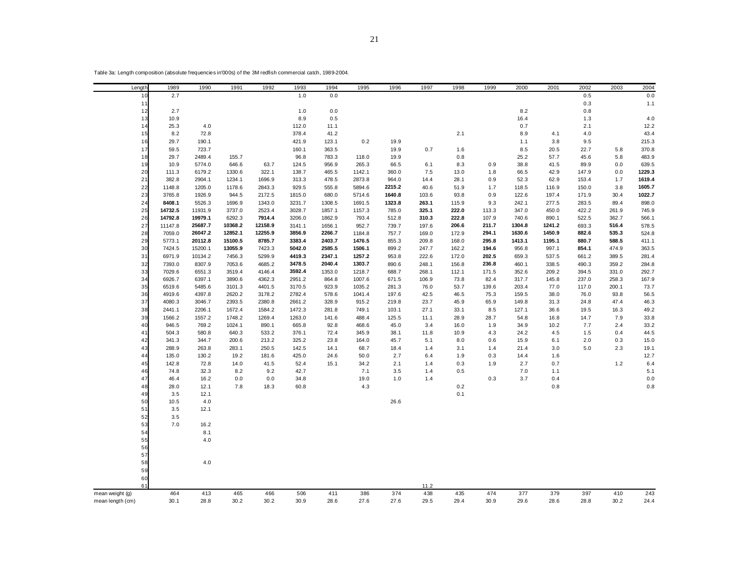| Table 3a: Length composition (absolute frequencies in 000s) of the 3M redfish commercial catch, 1989-2004. |  |  |  |  |
|------------------------------------------------------------------------------------------------------------|--|--|--|--|
|------------------------------------------------------------------------------------------------------------|--|--|--|--|

| Length           | 1989             | 1990               | 1991               | 1992              | 1993             | 1994             | 1995             | 1996           | 1997           | 1998           | 1999           | 2000             | 2001             | 2002           | 2003           | 2004           |
|------------------|------------------|--------------------|--------------------|-------------------|------------------|------------------|------------------|----------------|----------------|----------------|----------------|------------------|------------------|----------------|----------------|----------------|
| 10               | 2.7              |                    |                    |                   | 1.0              | 0.0              |                  |                |                |                |                |                  |                  | 0.5            |                | 0.0            |
| 11               |                  |                    |                    |                   |                  |                  |                  |                |                |                |                |                  |                  | 0.3            |                | 1.1            |
| 12               | 2.7              |                    |                    |                   | 1.0              | $0.0\,$          |                  |                |                |                |                | 8.2              |                  | 0.8            |                |                |
| 13               | 10.9             |                    |                    |                   | 8.9              | 0.5              |                  |                |                |                |                | 16.4             |                  | 1.3            |                | 4.0            |
| 14               | 25.3             | 4.0                |                    |                   | 112.0            | 11.1             |                  |                |                |                |                | 0.7              |                  | 2.1            |                | 12.2           |
| 15               | 8.2              | 72.8               |                    |                   | 378.4            | 41.2             |                  |                |                | 2.1            |                | 8.9              | 4.1              | 4.0            |                | 43.4           |
| 16               | 29.7             | 190.1              |                    |                   | 421.9            | 123.1            | 0.2              | 19.9           |                |                |                | 1.1              | 3.8              | 9.5            |                | 215.3          |
| 17               | 59.5             | 723.7              |                    |                   | 160.1            | 363.5            |                  | 19.9           | 0.7            | 1.6            |                | 8.5              | 20.5             | 22.7           | 5.8            | 370.8          |
| 18               | 29.7             | 2489.4             | 155.7              |                   | 96.8             | 783.3            | 118.0            | 19.9           |                | 0.8            |                | 25.2             | 57.7             | 45.6           | 5.8            | 483.9          |
| 19               | 10.9             | 5774.0             | 646.6              | 63.7              | 124.5            | 956.9            | 265.3            | 66.5           | 6.1            | 8.3            | 0.9            | 38.8             | 41.5             | 89.9           | 0.0            | 639.5          |
| 20               | 111.3            | 6179.2             | 1330.6             | 322.1             | 138.7            | 465.5            | 1142.1           | 360.0          | 7.5            | 13.0           | 1.8            | 66.5             | 42.9             | 147.9          | 0.0            | 1229.3         |
| 21               | 382.8            | 2904.1             | 1234.1             | 1696.9            | 313.3            | 478.5            | 2873.8           | 964.0          | 14.4           | 28.1           | 0.9            | 52.3             | 62.9             | 153.4          | 1.7            | 1619.4         |
| 22               | 1148.8           | 1205.0             | 1178.6             | 2843.3            | 929.5            | 555.8            | 5894.6           | 2215.2         | 40.6           | 51.9           | 1.7            | 118.5            | 116.9            | 150.0          | 3.8            | 1605.7         |
| 23               | 3765.8           | 1926.9             | 944.5              | 2172.5            | 1815.0           | 680.0            | 5714.6           | 1640.8         | 103.6          | 93.8           | 0.9            | 122.6            | 197.4            | 171.9          | 30.4           | 1022.7         |
| 24               | 8408.1           | 5526.3             | 1696.9             | 1343.0            | 3231.7           | 1308.5           | 1691.5           | 1323.8         | 263.1          | 115.9          | 9.3            | 242.1            | 277.5            | 283.5          | 89.4           | 898.0          |
| 25               | 14732.5          | 11931.9            | 3737.0             | 2523.4            | 3028.7           | 1857.1           | 1157.3           | 785.0          | 325.1          | 222.0          | 113.3          | 347.0            | 450.0            | 422.2          | 261.9          | 745.9          |
| 26               | 14792.8          | 19979.1            | 6292.3             | 7914.4            | 3206.0           | 1862.9           | 793.4            | 512.8          | 310.3          | 222.8          | 107.9          | 740.6            | 890.1            | 522.5          | 362.7          | 566.1          |
| 27               | 11147.8          | 25687.7<br>26047.2 | 10368.2            | 12158.9           | 3141.1           | 1656.1           | 952.7            | 739.7          | 197.6          | 206.6          | 211.7          | 1304.8           | 1241.2           | 693.3          | 516.4          | 578.5          |
| 28               | 7059.0<br>5773.1 | 20112.8            | 12852.1<br>15100.5 | 12255.9<br>8785.7 | 3856.9           | 2266.7           | 1184.8<br>1476.5 | 757.7          | 169.0          | 172.9          | 294.1          | 1630.6<br>1413.1 | 1450.9<br>1195.1 | 882.6<br>880.7 | 535.3<br>588.5 | 524.8          |
| 29<br>30         | 7424.5           | 15200.1            | 13055.9            | 7423.3            | 3383.4<br>5042.0 | 2403.7<br>2585.5 | 1506.1           | 855.3<br>899.2 | 209.8<br>247.7 | 168.0<br>162.2 | 295.8          | 956.8            | 997.1            | 854.1          | 474.9          | 411.1<br>363.5 |
| 31               | 6971.9           | 10134.2            | 7456.3             | 5299.9            | 4419.3           | 2347.1           | 1257.2           | 953.8          | 222.6          | 172.0          | 194.6<br>202.5 | 659.3            | 537.5            | 661.2          | 389.5          | 281.4          |
|                  |                  |                    |                    |                   | 3478.5           | 2040.4           | 1303.7           |                |                |                | 236.8          |                  |                  |                |                |                |
| 32<br>33         | 7393.0<br>7029.6 | 8307.9<br>6551.3   | 7053.6<br>3519.4   | 4685.2<br>4146.4  | 3592.4           | 1353.0           | 1218.7           | 890.6<br>688.7 | 248.1<br>268.1 | 156.8          | 171.5          | 460.1<br>352.6   | 338.5<br>209.2   | 490.3          | 359.2<br>331.0 | 284.8<br>292.7 |
| 34               | 6926.7           | 6397.1             | 3890.6             | 4362.3            | 2951.2           | 864.8            | 1007.6           | 671.5          | 106.9          | 112.1<br>73.8  | 82.4           | 317.7            | 145.8            | 394.5<br>237.0 | 258.3          | 167.9          |
| 35               | 6519.6           | 5485.6             | 3101.3             | 4401.5            | 3170.5           | 923.9            | 1035.2           | 281.3          | 76.0           | 53.7           | 139.6          | 203.4            | 77.0             | 117.0          | 200.1          | 73.7           |
| 36               | 4919.6           | 4397.8             | 2620.2             | 3178.2            | 2782.4           | 578.6            | 1041.4           | 197.6          | 42.5           | 46.5           | 75.3           | 159.5            | 38.0             | 76.0           | 93.8           | 56.5           |
| 37               | 4080.3           | 3046.7             | 2393.5             | 2380.8            | 2661.2           | 328.9            | 915.2            | 219.8          | 23.7           | 45.9           | 65.9           | 149.8            | 31.3             | 24.8           | 47.4           | 46.3           |
| 38               | 2441.1           | 2206.1             | 1672.4             | 1584.2            | 1472.3           | 281.8            | 749.1            | 103.1          | 27.1           | 33.1           | 8.5            | 127.1            | 36.6             | 19.5           | 16.3           | 49.2           |
| 39               | 1566.2           | 1557.2             | 1748.2             | 1269.4            | 1263.0           | 141.6            | 488.4            | 125.5          | 11.1           | 28.9           | 28.7           | 54.8             | 16.8             | 14.7           | 7.9            | 33.8           |
| 40               | 946.5            | 769.2              | 1024.1             | 890.1             | 665.8            | 92.8             | 468.6            | 45.0           | 3.4            | 16.0           | 1.9            | 34.9             | 10.2             | 7.7            | 2.4            | 33.2           |
| 41               | 504.3            | 580.8              | 640.3              | 533.2             | 376.1            | 72.4             | 345.9            | 38.1           | 11.8           | 10.9           | 4.3            | 24.2             | 4.5              | 1.5            | 0.4            | 44.5           |
| 42               | 341.3            | 344.7              | 200.6              | 213.2             | 325.2            | 23.8             | 164.0            | 45.7           | 5.1            | 8.0            | 0.6            | 15.9             | 6.1              | 2.0            | 0.3            | 15.0           |
| 43               | 288.9            | 263.8              | 283.1              | 250.5             | 142.5            | 14.1             | 68.7             | 18.4           | 1.4            | 3.1            | 1.4            | 21.4             | 3.0              | 5.0            | 2.3            | 19.1           |
| 44               | 135.0            | 130.2              | 19.2               | 181.6             | 425.0            | 24.6             | 50.0             | 2.7            | 6.4            | 1.9            | 0.3            | 14.4             | 1.6              |                |                | 12.7           |
| 45               | 142.8            | 72.8               | 14.0               | 41.5              | 52.4             | 15.1             | 34.2             | 2.1            | 1.4            | 0.3            | 1.9            | 2.7              | 0.7              |                | $1.2$          | 6.4            |
| 46               | 74.8             | 32.3               | 8.2                | 9.2               | 42.7             |                  | 7.1              | 3.5            | 1.4            | 0.5            |                | 7.0              | 1.1              |                |                | 5.1            |
| 47               | 46.4             | 16.2               | 0.0                | 0.0               | 34.8             |                  | 19.0             | 1.0            | 1.4            |                | 0.3            | 3.7              | 0.4              |                |                | 0.0            |
| 48               | 28.0             | 12.1               | 7.8                | 18.3              | 60.8             |                  | 4.3              |                |                | 0.2            |                |                  | 0.8              |                |                | 0.8            |
| 49               | 3.5              | 12.1               |                    |                   |                  |                  |                  |                |                | 0.1            |                |                  |                  |                |                |                |
| 50               | 10.5             | 4.0                |                    |                   |                  |                  |                  | 26.6           |                |                |                |                  |                  |                |                |                |
| 51               | 3.5              | 12.1               |                    |                   |                  |                  |                  |                |                |                |                |                  |                  |                |                |                |
| 52               | 3.5              |                    |                    |                   |                  |                  |                  |                |                |                |                |                  |                  |                |                |                |
| 53               | 7.0              | 16.2               |                    |                   |                  |                  |                  |                |                |                |                |                  |                  |                |                |                |
| 54               |                  | 8.1                |                    |                   |                  |                  |                  |                |                |                |                |                  |                  |                |                |                |
| 55               |                  | 4.0                |                    |                   |                  |                  |                  |                |                |                |                |                  |                  |                |                |                |
| 56               |                  |                    |                    |                   |                  |                  |                  |                |                |                |                |                  |                  |                |                |                |
| 57               |                  |                    |                    |                   |                  |                  |                  |                |                |                |                |                  |                  |                |                |                |
| 58               |                  | 4.0                |                    |                   |                  |                  |                  |                |                |                |                |                  |                  |                |                |                |
| 59               |                  |                    |                    |                   |                  |                  |                  |                |                |                |                |                  |                  |                |                |                |
| 60               |                  |                    |                    |                   |                  |                  |                  |                |                |                |                |                  |                  |                |                |                |
| 61               |                  |                    |                    |                   |                  |                  |                  |                | 11.2           |                |                |                  |                  |                |                |                |
| mean weight (g)  | 464              | 413                | 465                | 466               | 506              | 411              | 386              | 374            | 438            | 435            | 474            | 377              | 379              | 397            | 410            | 243            |
| mean length (cm) | 30.1             | 28.8               | 30.2               | 30.2              | 30.9             | 28.6             | 27.6             | 27.6           | 29.5           | 29.4           | 30.9           | 29.6             | 28.6             | 28.8           | 30.2           | 24.4           |
|                  |                  |                    |                    |                   |                  |                  |                  |                |                |                |                |                  |                  |                |                |                |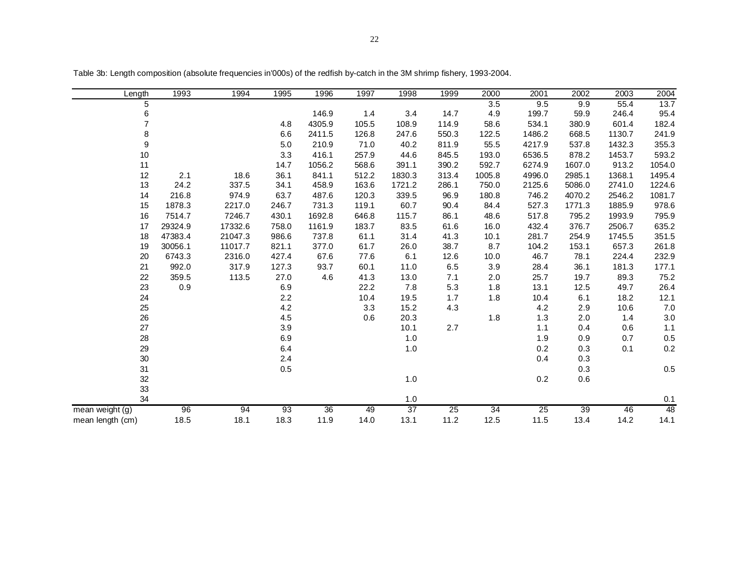| Length           | 1993    | 1994    | 1995  | 1996            | 1997  | 1998    | 1999            | 2000            | 2001            | 2002   | 2003   | 2004    |
|------------------|---------|---------|-------|-----------------|-------|---------|-----------------|-----------------|-----------------|--------|--------|---------|
| 5                |         |         |       |                 |       |         |                 | 3.5             | 9.5             | 9.9    | 55.4   | 13.7    |
| 6                |         |         |       | 146.9           | 1.4   | 3.4     | 14.7            | 4.9             | 199.7           | 59.9   | 246.4  | 95.4    |
| $\overline{7}$   |         |         | 4.8   | 4305.9          | 105.5 | 108.9   | 114.9           | 58.6            | 534.1           | 380.9  | 601.4  | 182.4   |
| 8                |         |         | 6.6   | 2411.5          | 126.8 | 247.6   | 550.3           | 122.5           | 1486.2          | 668.5  | 1130.7 | 241.9   |
| 9                |         |         | 5.0   | 210.9           | 71.0  | 40.2    | 811.9           | 55.5            | 4217.9          | 537.8  | 1432.3 | 355.3   |
| $10$             |         |         | 3.3   | 416.1           | 257.9 | 44.6    | 845.5           | 193.0           | 6536.5          | 878.2  | 1453.7 | 593.2   |
| 11               |         |         | 14.7  | 1056.2          | 568.6 | 391.1   | 390.2           | 592.7           | 6274.9          | 1607.0 | 913.2  | 1054.0  |
| 12               | 2.1     | 18.6    | 36.1  | 841.1           | 512.2 | 1830.3  | 313.4           | 1005.8          | 4996.0          | 2985.1 | 1368.1 | 1495.4  |
| 13               | 24.2    | 337.5   | 34.1  | 458.9           | 163.6 | 1721.2  | 286.1           | 750.0           | 2125.6          | 5086.0 | 2741.0 | 1224.6  |
| 14               | 216.8   | 974.9   | 63.7  | 487.6           | 120.3 | 339.5   | 96.9            | 180.8           | 746.2           | 4070.2 | 2546.2 | 1081.7  |
| 15               | 1878.3  | 2217.0  | 246.7 | 731.3           | 119.1 | 60.7    | 90.4            | 84.4            | 527.3           | 1771.3 | 1885.9 | 978.6   |
| 16               | 7514.7  | 7246.7  | 430.1 | 1692.8          | 646.8 | 115.7   | 86.1            | 48.6            | 517.8           | 795.2  | 1993.9 | 795.9   |
| 17               | 29324.9 | 17332.6 | 758.0 | 1161.9          | 183.7 | 83.5    | 61.6            | 16.0            | 432.4           | 376.7  | 2506.7 | 635.2   |
| 18               | 47383.4 | 21047.3 | 986.6 | 737.8           | 61.1  | 31.4    | 41.3            | 10.1            | 281.7           | 254.9  | 1745.5 | 351.5   |
| 19               | 30056.1 | 11017.7 | 821.1 | 377.0           | 61.7  | 26.0    | 38.7            | 8.7             | 104.2           | 153.1  | 657.3  | 261.8   |
| 20               | 6743.3  | 2316.0  | 427.4 | 67.6            | 77.6  | 6.1     | 12.6            | 10.0            | 46.7            | 78.1   | 224.4  | 232.9   |
| 21               | 992.0   | 317.9   | 127.3 | 93.7            | 60.1  | 11.0    | 6.5             | 3.9             | 28.4            | 36.1   | 181.3  | 177.1   |
| 22               | 359.5   | 113.5   | 27.0  | 4.6             | 41.3  | 13.0    | 7.1             | 2.0             | 25.7            | 19.7   | 89.3   | 75.2    |
| 23               | 0.9     |         | 6.9   |                 | 22.2  | 7.8     | 5.3             | 1.8             | 13.1            | 12.5   | 49.7   | 26.4    |
| 24               |         |         | 2.2   |                 | 10.4  | 19.5    | 1.7             | 1.8             | 10.4            | 6.1    | 18.2   | 12.1    |
| 25               |         |         | 4.2   |                 | 3.3   | 15.2    | 4.3             |                 | 4.2             | 2.9    | 10.6   | 7.0     |
| 26               |         |         | 4.5   |                 | 0.6   | 20.3    |                 | 1.8             | 1.3             | 2.0    | 1.4    | 3.0     |
| 27               |         |         | 3.9   |                 |       | 10.1    | 2.7             |                 | 1.1             | 0.4    | 0.6    | $1.1$   |
| 28               |         |         | 6.9   |                 |       | 1.0     |                 |                 | 1.9             | 0.9    | 0.7    | $0.5\,$ |
| 29               |         |         | 6.4   |                 |       | $1.0$   |                 |                 | 0.2             | 0.3    | 0.1    | 0.2     |
| $30\,$           |         |         | 2.4   |                 |       |         |                 |                 | 0.4             | 0.3    |        |         |
| 31               |         |         | 0.5   |                 |       |         |                 |                 |                 | 0.3    |        | $0.5\,$ |
| 32               |         |         |       |                 |       | $1.0\,$ |                 |                 | 0.2             | 0.6    |        |         |
| 33               |         |         |       |                 |       |         |                 |                 |                 |        |        |         |
| 34               |         |         |       |                 |       | 1.0     |                 |                 |                 |        |        | 0.1     |
| mean weight (g)  | 96      | 94      | 93    | $\overline{36}$ | 49    | 37      | $\overline{25}$ | $\overline{34}$ | $\overline{25}$ | 39     | 46     | 48      |
| mean length (cm) | 18.5    | 18.1    | 18.3  | 11.9            | 14.0  | 13.1    | 11.2            | 12.5            | 11.5            | 13.4   | 14.2   | 14.1    |

Table 3b: Length composition (absolute frequencies in'000s) of the redfish by-catch in the 3M shrimp fishery, 1993-2004.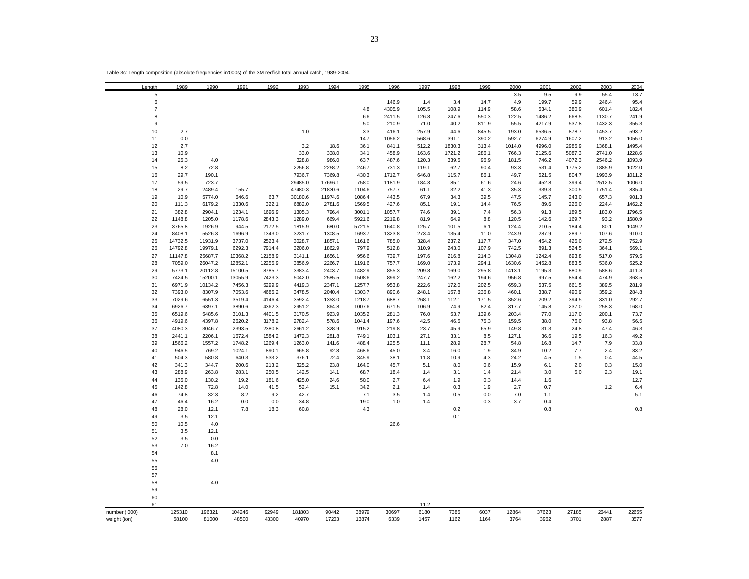|               | Length         | 1989    | 1990    | 1991    | 1992    | 1993    | 1994    | 1995   | 1996   | 1997  | 1998   | 1999  | 2000   | 2001   | 2002   | 2003   | 2004   |
|---------------|----------------|---------|---------|---------|---------|---------|---------|--------|--------|-------|--------|-------|--------|--------|--------|--------|--------|
|               | 5              |         |         |         |         |         |         |        |        |       |        |       | 3.5    | 9.5    | 9.9    | 55.4   | 13.7   |
|               | 6              |         |         |         |         |         |         |        | 146.9  | 1.4   | 3.4    | 14.7  | 4.9    | 199.7  | 59.9   | 246.4  | 95.4   |
|               | $\overline{7}$ |         |         |         |         |         |         | 4.8    | 4305.9 | 105.5 | 108.9  | 114.9 | 58.6   | 534.1  | 380.9  | 601.4  | 182.4  |
|               | 8              |         |         |         |         |         |         | 6.6    | 2411.5 | 126.8 | 247.6  | 550.3 | 122.5  | 1486.2 | 668.5  | 1130.7 | 241.9  |
|               | 9              |         |         |         |         |         |         | 5.0    | 210.9  | 71.0  | 40.2   | 811.9 | 55.5   | 4217.9 | 537.8  | 1432.3 | 355.3  |
|               | 10             | 2.7     |         |         |         | 1.0     |         | 3.3    | 416.1  | 257.9 | 44.6   | 845.5 | 193.0  | 6536.5 | 878.7  | 1453.7 | 593.2  |
|               | 11             | 0.0     |         |         |         |         |         | 14.7   | 1056.2 | 568.6 | 391.1  | 390.2 | 592.7  | 6274.9 | 1607.2 | 913.2  | 1055.0 |
|               |                |         |         |         |         |         |         |        |        |       |        |       |        |        |        |        |        |
|               | 12             | 2.7     |         |         |         | 3.2     | 18.6    | 36.1   | 841.1  | 512.2 | 1830.3 | 313.4 | 1014.0 | 4996.0 | 2985.9 | 1368.1 | 1495.4 |
|               | 13             | 10.9    |         |         |         | 33.0    | 338.0   | 34.1   | 458.9  | 163.6 | 1721.2 | 286.1 | 766.3  | 2125.6 | 5087.3 | 2741.0 | 1228.6 |
|               | 14             | 25.3    | 4.0     |         |         | 328.8   | 986.0   | 63.7   | 487.6  | 120.3 | 339.5  | 96.9  | 181.5  | 746.2  | 4072.3 | 2546.2 | 1093.9 |
|               | 15             | 8.2     | 72.8    |         |         | 2256.8  | 2258.2  | 246.7  | 731.3  | 119.1 | 62.7   | 90.4  | 93.3   | 531.4  | 1775.2 | 1885.9 | 1022.0 |
|               | 16             | 29.7    | 190.1   |         |         | 7936.7  | 7369.8  | 430.3  | 1712.7 | 646.8 | 115.7  | 86.1  | 49.7   | 521.5  | 804.7  | 1993.9 | 1011.2 |
|               | 17             | 59.5    | 723.7   |         |         | 29485.0 | 17696.1 | 758.0  | 1181.9 | 184.3 | 85.1   | 61.6  | 24.6   | 452.8  | 399.4  | 2512.5 | 1006.0 |
|               | 18             | 29.7    | 2489.4  | 155.7   |         | 47480.3 | 21830.6 | 1104.6 | 757.7  | 61.1  | 32.2   | 41.3  | 35.3   | 339.3  | 300.5  | 1751.4 | 835.4  |
|               | 19             | 10.9    | 5774.0  | 646.6   | 63.7    | 30180.6 | 11974.6 | 1086.4 | 443.5  | 67.9  | 34.3   | 39.5  | 47.5   | 145.7  | 243.0  | 657.3  | 901.3  |
|               | 20             | 111.3   | 6179.2  | 1330.6  | 322.1   | 6882.0  | 2781.6  | 1569.5 | 427.6  | 85.1  | 19.1   | 14.4  | 76.5   | 89.6   | 226.0  | 224.4  | 1462.2 |
|               | 21             | 382.8   | 2904.1  | 1234.1  | 1696.9  | 1305.3  | 796.4   | 3001.1 | 1057.7 | 74.6  | 39.1   | 7.4   | 56.3   | 91.3   | 189.5  | 183.0  | 1796.5 |
|               | 22             | 1148.8  | 1205.0  | 1178.6  | 2843.3  | 1289.0  | 669.4   | 5921.6 | 2219.8 | 81.9  | 64.9   | 8.8   | 120.5  | 142.6  | 169.7  | 93.2   | 1680.9 |
|               | 23             | 3765.8  | 1926.9  | 944.5   | 2172.5  | 1815.9  | 680.0   | 5721.5 | 1640.8 | 125.7 | 101.5  | 6.1   | 124.4  | 210.5  | 184.4  | 80.1   | 1049.2 |
|               | 24             | 8408.1  | 5526.3  | 1696.9  | 1343.0  | 3231.7  | 1308.5  | 1693.7 | 1323.8 | 273.4 | 135.4  | 11.0  | 243.9  | 287.9  | 289.7  | 107.6  | 910.0  |
|               | 25             | 14732.5 | 11931.9 | 3737.0  | 2523.4  | 3028.7  | 1857.1  | 1161.6 | 785.0  | 328.4 | 237.2  | 117.7 | 347.0  | 454.2  | 425.0  | 272.5  | 752.9  |
|               | 26             | 14792.8 | 19979.1 | 6292.3  | 7914.4  | 3206.0  | 1862.9  | 797.9  | 512.8  | 310.9 | 243.0  | 107.9 | 742.5  | 891.3  | 524.5  | 364.1  | 569.1  |
|               | 27             | 11147.8 | 25687.7 | 10368.2 | 12158.9 | 3141.1  |         | 956.6  |        | 197.6 | 216.8  | 214.3 | 1304.8 | 1242.4 |        | 517.0  | 579.5  |
|               |                |         |         |         |         |         | 1656.1  |        | 739.7  |       |        |       |        |        | 693.8  |        |        |
|               | 28             | 7059.0  | 26047.2 | 12852.1 | 12255.9 | 3856.9  | 2266.7  | 1191.6 | 757.7  | 169.0 | 173.9  | 294.1 | 1630.6 | 1452.8 | 883.5  | 536.0  | 525.2  |
|               | 29             | 5773.1  | 20112.8 | 15100.5 | 8785.7  | 3383.4  | 2403.7  | 1482.9 | 855.3  | 209.8 | 169.0  | 295.8 | 1413.1 | 1195.3 | 880.9  | 588.6  | 411.3  |
|               | 30             | 7424.5  | 15200.1 | 13055.9 | 7423.3  | 5042.0  | 2585.5  | 1508.6 | 899.2  | 247.7 | 162.2  | 194.6 | 956.8  | 997.5  | 854.4  | 474.9  | 363.5  |
|               | 31             | 6971.9  | 10134.2 | 7456.3  | 5299.9  | 4419.3  | 2347.1  | 1257.7 | 953.8  | 222.6 | 172.0  | 202.5 | 659.3  | 537.5  | 661.5  | 389.5  | 281.9  |
|               | 32             | 7393.0  | 8307.9  | 7053.6  | 4685.2  | 3478.5  | 2040.4  | 1303.7 | 890.6  | 248.1 | 157.8  | 236.8 | 460.1  | 338.7  | 490.9  | 359.2  | 284.8  |
|               | 33             | 7029.6  | 6551.3  | 3519.4  | 4146.4  | 3592.4  | 1353.0  | 1218.7 | 688.7  | 268.1 | 112.1  | 171.5 | 352.6  | 209.2  | 394.5  | 331.0  | 292.7  |
|               | 34             | 6926.7  | 6397.1  | 3890.6  | 4362.3  | 2951.2  | 864.8   | 1007.6 | 671.5  | 106.9 | 74.9   | 82.4  | 317.7  | 145.8  | 237.0  | 258.3  | 168.0  |
|               | 35             | 6519.6  | 5485.6  | 3101.3  | 4401.5  | 3170.5  | 923.9   | 1035.2 | 281.3  | 76.0  | 53.7   | 139.6 | 203.4  | 77.0   | 117.0  | 200.1  | 73.7   |
|               | 36             | 4919.6  | 4397.8  | 2620.2  | 3178.2  | 2782.4  | 578.6   | 1041.4 | 197.6  | 42.5  | 46.5   | 75.3  | 159.5  | 38.0   | 76.0   | 93.8   | 56.5   |
|               | 37             | 4080.3  | 3046.7  | 2393.5  | 2380.8  | 2661.2  | 328.9   | 915.2  | 219.8  | 23.7  | 45.9   | 65.9  | 149.8  | 31.3   | 24.8   | 47.4   | 46.3   |
|               | 38             | 2441.1  | 2206.1  | 1672.4  | 1584.2  | 1472.3  | 281.8   | 749.1  | 103.1  | 27.1  | 33.1   | 8.5   | 127.1  | 36.6   | 19.5   | 16.3   | 49.2   |
|               | 39             | 1566.2  | 1557.2  | 1748.2  | 1269.4  | 1263.0  | 141.6   | 488.4  | 125.5  | 11.1  | 28.9   | 28.7  | 54.8   | 16.8   | 14.7   | 7.9    | 33.8   |
|               | 40             | 946.5   | 769.2   | 1024.1  | 890.1   | 665.8   | 92.8    | 468.6  | 45.0   | 3.4   | 16.0   | 1.9   | 34.9   | 10.2   | 7.7    | 2.4    | 33.2   |
|               | 41             | 504.3   | 580.8   | 640.3   | 533.2   | 376.1   | 72.4    | 345.9  | 38.1   | 11.8  | 10.9   | 4.3   | 24.2   | 4.5    | 1.5    | 0.4    | 44.5   |
|               | 42             | 341.3   | 344.7   | 200.6   | 213.2   | 325.2   | 23.8    | 164.0  | 45.7   | 5.1   | 8.0    | 0.6   | 15.9   | 6.1    | 2.0    | 0.3    | 15.0   |
|               | 43             | 288.9   | 263.8   | 283.1   | 250.5   | 142.5   | 14.1    | 68.7   | 18.4   | 1.4   | 3.1    | 1.4   | 21.4   | 3.0    | 5.0    | 2.3    | 19.1   |
|               | 44             | 135.0   | 130.2   | 19.2    | 181.6   | 425.0   | 24.6    | 50.0   | 2.7    | 6.4   | 1.9    | 0.3   | 14.4   | 1.6    |        |        | 12.7   |
|               | 45             | 142.8   | 72.8    | 14.0    | 41.5    | 52.4    | 15.1    | 34.2   | 2.1    | 1.4   | 0.3    | 1.9   | 2.7    | 0.7    |        | 1.2    | 6.4    |
|               |                |         |         |         |         |         |         |        |        |       | 0.5    |       |        |        |        |        |        |
|               | 46             | 74.8    | 32.3    | 8.2     | 9.2     | 42.7    |         | 7.1    | 3.5    | 1.4   |        | 0.0   | 7.0    | 1.1    |        |        | 5.1    |
|               | 47             | 46.4    | 16.2    | 0.0     | 0.0     | 34.8    |         | 19.0   | 1.0    | 1.4   |        | 0.3   | 3.7    | 0.4    |        |        |        |
|               | 48             | 28.0    | 12.1    | 7.8     | 18.3    | 60.8    |         | 4.3    |        |       | 0.2    |       |        | 0.8    |        |        | 0.8    |
|               | 49             | 3.5     | 12.1    |         |         |         |         |        |        |       | 0.1    |       |        |        |        |        |        |
|               | 50             | 10.5    | 4.0     |         |         |         |         |        | 26.6   |       |        |       |        |        |        |        |        |
|               | 51             | 3.5     | 12.1    |         |         |         |         |        |        |       |        |       |        |        |        |        |        |
|               | 52             | 3.5     | 0.0     |         |         |         |         |        |        |       |        |       |        |        |        |        |        |
|               | 53             | 7.0     | 16.2    |         |         |         |         |        |        |       |        |       |        |        |        |        |        |
|               | 54             |         | 8.1     |         |         |         |         |        |        |       |        |       |        |        |        |        |        |
|               | 55             |         | 4.0     |         |         |         |         |        |        |       |        |       |        |        |        |        |        |
|               | 56             |         |         |         |         |         |         |        |        |       |        |       |        |        |        |        |        |
|               | 57             |         |         |         |         |         |         |        |        |       |        |       |        |        |        |        |        |
|               | 58             |         | 4.0     |         |         |         |         |        |        |       |        |       |        |        |        |        |        |
|               | 59             |         |         |         |         |         |         |        |        |       |        |       |        |        |        |        |        |
|               | 60             |         |         |         |         |         |         |        |        |       |        |       |        |        |        |        |        |
|               | 61             |         |         |         |         |         |         |        |        | 11.2  |        |       |        |        |        |        |        |
| number ('000) |                | 125310  | 196321  | 104246  | 92949   | 181803  | 90442   | 38979  | 30697  | 6180  | 7385   | 6037  | 12864  | 37623  | 27185  | 26441  | 22655  |
| weight (ton)  |                | 58100   | 81000   | 48500   | 43300   | 40970   | 17203   | 13874  | 6339   | 1457  | 1162   | 1164  | 3764   | 3962   | 3701   | 2887   | 3577   |
|               |                |         |         |         |         |         |         |        |        |       |        |       |        |        |        |        |        |

Table 3c: Length composition (absolute frequencies in'000s) of the 3M redfish total annual catch, 1989-2004.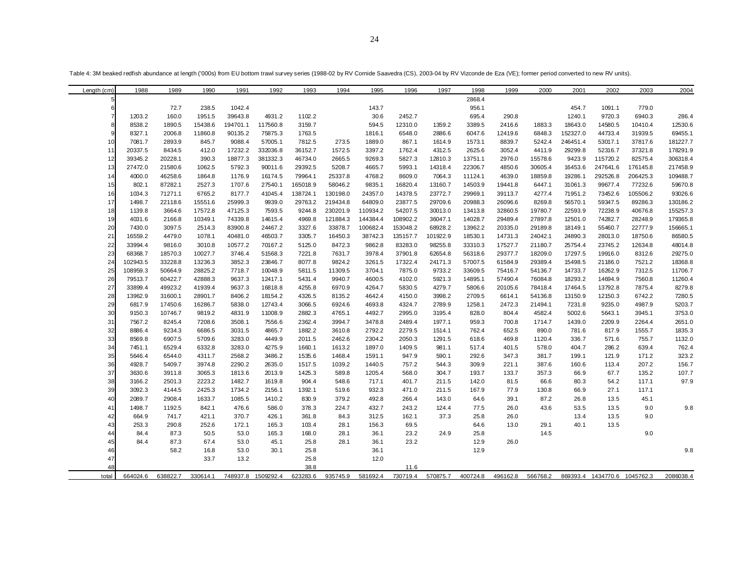Table 4: 3M beaked redfish abundance at length ('000s) from EU bottom trawl survey series (1988-02 by RV Cornide Saavedra (CS), 2003-04 by RV Vizconde de Eza (VE); former period converted to new RV units).

| Length (cm)    | 1988     | 1989     | 1990     | 1991     | 1992      | 1993     | 1994     | 1995     | 1996     | 1997     | 1998     | 1999     | 2000     | 2001     | 2002                         | 2003     | 2004      |
|----------------|----------|----------|----------|----------|-----------|----------|----------|----------|----------|----------|----------|----------|----------|----------|------------------------------|----------|-----------|
|                |          |          |          |          |           |          |          |          |          |          | 2868.4   |          |          |          |                              |          |           |
| 6              |          | 72.7     | 238.5    | 1042.4   |           |          |          | 143.7    |          |          | 956.1    |          |          | 454.7    | 1091.1                       | 779.0    |           |
| $\overline{7}$ | 1203.2   | 160.0    | 1951.5   | 39643.8  | 4931.2    | 1102.2   |          | 30.6     | 2452.7   |          | 695.4    | 290.8    |          | 1240.1   | 9720.3                       | 6940.3   | 286.4     |
| 8              | 8538.2   | 1890.5   | 15438.6  | 194701.1 | 117560.8  | 3159.7   |          | 594.5    | 12310.0  | 1359.2   | 3389.5   | 2416.6   | 1883.3   | 18643.0  | 14580.5                      | 10410.4  | 12530.6   |
|                | 8327.1   | 2006.8   | 11860.8  | 90135.2  | 75875.3   | 1763.5   |          | 1816.1   | 6548.0   | 2886.6   | 6047.6   | 12419.6  | 6848.3   | 152327.0 | 44733.4                      | 31939.5  | 69455.1   |
| 10             | 7081.7   | 2893.9   | 845.7    | 9088.4   | 57005.1   | 7812.5   | 273.5    | 1889.0   | 867.1    | 1614.9   | 1573.1   | 8839.7   | 5242.4   | 246451.4 | 53017.1                      | 37817.6  | 181227.7  |
| 11             | 20337.5  | 8434.5   | 412.0    | 17232.2  | 332036.8  | 36152.7  | 1572.5   | 3397.2   | 1762.4   | 4312.5   | 2625.6   | 3052.4   | 4411.9   | 29299.8  | 52316.7                      | 37321.8  | 178291.9  |
| 12             | 39345.2  | 20228.1  | 390.3    | 18877.3  | 381332.3  | 46734.0  | 2665.5   | 9269.3   | 5827.3   | 12810.3  | 13751.1  | 2976.0   | 15578.6  | 9423.9   | 115720.2                     | 82575.4  | 306318.4  |
| 13             | 27472.0  | 21580.6  | 1062.5   | 5792.3   | 90011.6   | 29392.5  | 5208.7   | 4665.7   | 5993.1   | 14318.4  | 22306.7  | 4850.6   | 30605.4  | 16453.6  | 247641.6                     | 176145.8 | 217458.9  |
| 14             | 4000.0   | 46258.6  | 1864.8   | 1176.9   | 16174.5   | 79964.1  | 25337.8  | 4768.2   | 8609.0   | 7064.3   | 11124.1  | 4639.0   | 18859.8  | 19286.1  | 292526.8                     | 206425.3 | 109488.7  |
| 15             | 802.1    | 87282.1  | 2527.3   | 1707.6   | 27540.1   | 165018.9 | 58046.2  | 9835.1   | 16820.4  | 13160.7  | 14503.9  | 19441.8  | 6447.1   | 31061.3  | 99677.4                      | 77232.6  | 59670.8   |
| 16             | 1034.3   | 71271.1  | 6765.2   | 8177.7   | 41045.4   | 138724.1 | 130198.0 | 24357.0  | 14378.5  | 23772.7  | 29969.1  | 39113.7  | 4277.4   | 71951.2  | 73452.6                      | 105506.2 | 93026.6   |
| 17             | 1498.7   | 22118.6  | 15551.6  | 25999.3  | 9939.0    | 29763.2  | 219434.8 | 64809.0  | 23877.5  | 29709.6  | 20988.3  | 26096.6  | 8269.8   | 56570.1  | 59347.5                      | 89286.3  | 130186.2  |
| 18             | 1139.8   | 3664.6   | 17572.8  | 47125.3  | 7593.5    | 9244.8   | 230201.9 | 110934.2 | 54207.5  | 30013.0  | 13413.8  | 32860.5  | 19780.7  | 22593.9  | 72238.9                      | 40676.8  | 155257.3  |
| 19             | 4031.6   | 2166.8   | 10349.1  | 74339.8  | 14615.4   | 4969.8   | 121884.3 | 144384.4 | 108902.2 | 36047.1  | 14028.7  | 29489.4  | 27897.8  | 12501.0  | 74282.7                      | 28248.9  | 179365.8  |
| 20             | 7430.0   | 3097.5   | 2514.3   | 83900.8  | 24467.2   | 3327.6   | 33878.7  | 100682.4 | 153048.2 | 68928.2  | 13962.2  | 20335.0  | 29189.8  | 18149.1  | 55460.7                      | 22777.9  | 156665.1  |
| 21             | 16559.2  | 4479.0   | 1078.1   | 40481.0  | 46503.7   | 3305.7   | 16450.3  | 38742.3  | 135157.7 | 101922.9 | 18530.1  | 14731.3  | 24042.1  | 24890.3  | 28013.0                      | 18750.6  | 86580.5   |
| 22             | 33994.4  | 9816.0   | 3010.8   | 10577.2  | 70167.2   | 5125.0   | 8472.3   | 9862.8   | 83283.0  | 98255.8  | 33310.3  | 17527.7  | 21180.7  | 25754.4  | 23745.2                      | 12634.8  | 48014.8   |
| 23             | 68368.7  | 18570.3  | 10027.7  | 3746.4   | 51568.3   | 7221.8   | 7631.7   | 3978.4   | 37901.8  | 62654.8  | 56318.6  | 29377.7  | 18209.0  | 17297.5  | 19916.0                      | 8312.6   | 29275.0   |
| 24             | 102943.5 | 33228.8  | 13236.3  | 3852.3   | 23846.7   | 8077.8   | 9824.2   | 3261.5   | 17322.4  | 24171.3  | 57007.5  | 61584.9  | 29389.4  | 15498.5  | 21186.0                      | 7521.2   | 18368.8   |
| 25             | 108959.3 | 50664.9  | 28825.2  | 7718.7   | 10048.9   | 5811.5   | 11309.5  | 3704.1   | 7875.0   | 9733.2   | 33609.5  | 75416.7  | 54136.7  | 14733.7  | 16262.9                      | 7312.5   | 11706.7   |
| 26             | 79513.7  | 60422.7  | 42888.3  | 9637.3   | 12417.1   | 5431.4   | 9940.7   | 4600.5   | 4102.0   | 5921.3   | 14895.1  | 57490.4  | 76084.8  | 18293.2  | 14694.9                      | 7560.8   | 11260.4   |
| 27             | 33899.4  | 49923.2  | 41939.4  | 9637.3   | 16818.8   | 4255.8   | 6970.9   | 4264.7   | 5830.5   | 4279.7   | 5806.6   | 20105.6  | 78418.4  | 17464.5  | 13792.8                      | 7875.4   | 8279.8    |
| 28             | 13962.9  | 31600.1  | 28901.7  | 8406.2   | 18154.2   | 4326.5   | 8135.2   | 4642.4   | 4150.0   | 3998.2   | 2709.5   | 6614.1   | 54136.8  | 13150.9  | 12150.3                      | 6742.2   | 7280.5    |
| 29             | 6817.9   | 17450.6  | 16286.7  | 5838.0   | 12743.4   | 3066.5   | 6924.6   | 4693.8   | 4324.7   | 2789.9   | 1258.1   | 2472.3   | 21494.1  | 7231.8   | 9235.0                       | 4987.9   | 5203.7    |
| 30             | 9150.3   | 10746.7  | 9819.2   | 4831.9   | 11008.9   | 2882.3   | 4765.1   | 4492.7   | 2995.0   | 3195.4   | 828.0    | 804.4    | 4582.4   | 5002.6   | 5643.1                       | 3945.1   | 3753.0    |
| 31             | 7567.2   | 8245.4   | 7208.6   | 3508.1   | 7556.6    | 2362.4   | 3994.7   | 3478.8   | 2489.4   | 1977.1   | 959.3    | 700.8    | 1714.7   | 1439.0   | 2209.9                       | 2264.4   | 2651.0    |
| 32             | 8886.4   | 9234.3   | 6686.5   | 3031.5   | 4865.7    | 1882.2   | 3610.8   | 2792.2   | 2279.5   | 1514.1   | 762.4    | 652.5    | 890.0    | 781.6    | 817.9                        | 1555.7   | 1835.3    |
| 33             | 8569.8   | 6907.5   | 5709.6   | 3283.0   | 4449.9    | 2011.5   | 2462.6   | 2304.2   | 2050.3   | 1291.5   | 618.6    | 469.8    | 1120.4   | 336.7    | 571.6                        | 755.7    | 1132.0    |
| 34             | 7451.1   | 6529.4   | 6332.8   | 3283.0   | 4275.9    | 1660.1   | 1613.2   | 1897.0   | 1409.5   | 981.1    | 517.4    | 401.5    | 578.0    | 404.7    | 286.2                        | 639.4    | 762.4     |
| 35             | 5646.4   | 6544.0   | 4311.7   | 2568.2   | 3486.2    | 1535.6   | 1468.4   | 1591.1   | 947.9    | 590.1    | 292.6    | 347.3    | 381.7    | 199.1    | 121.9                        | 171.2    | 323.2     |
| 36             | 4928.7   | 5409.7   | 3974.8   | 2290.2   | 2635.0    | 1517.5   | 1039.2   | 1440.5   | 757.2    | 544.3    | 309.9    | 221.1    | 387.6    | 160.6    | 113.4                        | 207.2    | 156.7     |
| 37             | 3630.6   | 3911.8   | 3065.3   | 1813.6   | 2013.9    | 1425.3   | 589.8    | 1205.4   | 568.0    | 304.7    | 193.7    | 133.7    | 357.3    | 66.9     | 67.7                         | 135.2    | 107.7     |
| 38             | 3166.2   | 2501.3   | 2223.2   | 1482.7   | 1619.8    | 904.4    | 548.6    | 717.1    | 401.7    | 211.5    | 142.0    | 81.5     | 66.6     | 80.3     | 54.2                         | 117.1    | 97.9      |
| 39             | 3092.3   | 4144.5   | 2425.3   | 1734.2   | 2156.1    | 1392.1   | 519.6    | 932.3    | 471.0    | 211.5    | 167.9    | 77.9     | 130.8    | 66.9     | 27.1                         | 117.1    |           |
| 40             | 2089.7   | 2908.4   | 1633.7   | 1085.5   | 1410.2    | 830.9    | 379.2    | 492.8    | 266.4    | 143.0    | 64.6     | 39.1     | 87.2     | 26.8     | 13.5                         | 45.1     |           |
| 41             | 1498.7   | 1192.5   | 842.1    | 476.6    | 586.0     | 378.3    | 224.7    | 432.7    | 243.2    | 124.4    | 77.5     | 26.0     | 43.6     | 53.5     | 13.5                         | 9.0      | 9.8       |
| 42             | 664.9    | 741.7    | 421.1    | 370.7    | 426.1     | 361.8    | 84.3     | 312.5    | 162.1    | 37.3     | 25.8     | 26.0     |          | 13.4     | 13.5                         | 9.0      |           |
| 43             | 253.3    | 290.8    | 252.6    | 172.1    | 165.3     | 103.4    | 28.1     | 156.3    | 69.5     |          | 64.6     | 13.0     | 29.1     | 40.1     | 13.5                         |          |           |
| 44             | 84.4     | 87.3     | 50.5     | 53.0     | 165.3     | 168.0    | 28.1     | 36.1     | 23.2     | 24.9     | 25.8     |          | 14.5     |          |                              | 9.0      |           |
| 45             | 84.4     | 87.3     | 67.4     | 53.0     | 45.1      | 25.8     | 28.1     | 36.1     | 23.2     |          | 12.9     | 26.0     |          |          |                              |          |           |
| 46             |          | 58.2     | 16.8     | 53.0     | 30.1      | 25.8     |          | 36.1     |          |          | 12.9     |          |          |          |                              |          | 9.8       |
| 47             |          |          | 33.7     | 13.2     |           | 25.8     |          | 12.0     |          |          |          |          |          |          |                              |          |           |
| 48             |          |          |          |          |           | 38.8     |          |          | 11.6     |          |          |          |          |          |                              |          |           |
| total          | 664024.6 | 638822.7 | 330614.1 | 748937.8 | 1509292.4 | 623283.6 | 935745.9 | 581692.4 | 730719.4 | 570875.7 | 400724.8 | 496162.8 | 566768.2 |          | 869393.4 1434770.6 1045762.3 |          | 2086038.4 |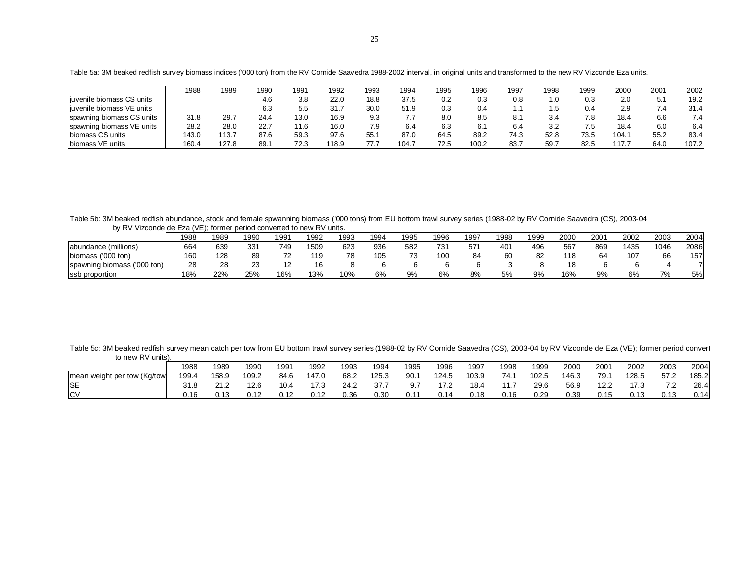|                            | 1988  | 1989  | 1990 | 1991 | 1992  | 1993         | 1994  | 1995 | 1996  | 1997 | 1998 | 1999 | 2000 | 2001     | 2002  |
|----------------------------|-------|-------|------|------|-------|--------------|-------|------|-------|------|------|------|------|----------|-------|
| liuvenile biomass CS units |       |       | 4.6  | 3.8  | 22.0  | 18.8         | 37.5  | 0.2  | 0.3   | 0.8  | . .0 | 0.3  | 2.0  | Б.<br>J. | 19.2  |
| liuvenile biomass VE units |       |       | 6.3  | ິບ.ບ | 31.7  | 30.0         | 51.9  | 0.3  | ٥.٤   |      | ں.   | 0.4  | 2.9  | 7.4      | 31.4  |
| spawning biomass CS units  | 31.8  | 29.   | 24.4 | 13.0 | 16.9  | 9.3          | 7.7   | 8.0  | 8.5   |      | 3.4  | 7.8  | 18.4 | 6.6      | 7.4   |
| spawning biomass VE units  | 28.2  | 28.C  | 22.7 | 1.6  | 16.0  | 7.9          | 6.4   | 6.3  | 6.1   | 6.4  | 3.2  | 7.5  | 18.4 | 6.0      | 6.4   |
| biomass CS units           | 143.0 | 113.7 | 87.6 | 59.3 | 97.6  | 55.          | 87.0  | 64.5 | 89.2  | 74.3 | 52.8 | 73.5 | 104. | 55.2     | 83.4  |
| biomass VE units           | 160.  | 127.8 | 89.1 | 72.3 | 118.9 | 77<br>$\sim$ | 104.7 | 72.5 | 100.2 | 83.  | 59.  | 82.5 | 17.  | 64.C     | 107.2 |

Table 5a: 3M beaked redfish survey biomass indices ('000 ton) from the RV Cornide Saavedra 1988-2002 interval, in original units and transformed to the new RV Vizconde Eza units.

Table 5b: 3M beaked redfish abundance, stock and female spwanning biomass ('000 tons) from EU bottom trawl survey series (1988-02 by RV Cornide Saavedra (CS), 2003-04 by RV Vizconde de Eza (VE); former period converted to new RV units.

|                                          | 1988 | 1989 | 1990 | 1991 | 1992 | 1993 | 1994 | 1995    | 1996 | 1997 | 1998 | 1999 | 2000 | 2001 | 2002 | 2003 | 2004 |
|------------------------------------------|------|------|------|------|------|------|------|---------|------|------|------|------|------|------|------|------|------|
| abundance (millions)                     | 664  | 639  | 33'  | 749  | 1509 | 623  | 936  | 582     | 73'  | 57'  | 401  | 496  | 567  | 869  | 1435 | 1046 | 2086 |
| $(000 \text{ ton})$<br>biomass           | 160  | 128  |      |      |      |      | 105  | 72<br>ు | 100  | 84   | 60   | 82   | 118  | 64   | 107  | 66   | 157  |
| $(1000 \text{ ton})$<br>spawning biomass | 28   | 28   | د∠   |      |      |      |      |         |      |      |      |      |      |      |      |      |      |
| ssb proportion                           | 18%  | 22%  | 25%  | 16%  | 13%  | 10%  | 6%   | 9%      | 6%   | 8%   | 5%   | 9%   | 16%  | 9%   | 6%   | 7%   | 5%   |

Table 5c: 3M beaked redfish survey mean catch per tow from EU bottom trawl survey series (1988-02 by RV Cornide Saavedra (CS), 2003-04 by RV Vizconde de Eza (VE); former period convert to new RV units).

|                             | 1988  | 1989  | 1990  | 1991 | 1992  | 1993 | 1994  | 1995 | 1996  | 1997  | 1998 | 1999  | 2000  | 2001 | 2002  | 2003      | 2004  |
|-----------------------------|-------|-------|-------|------|-------|------|-------|------|-------|-------|------|-------|-------|------|-------|-----------|-------|
| mean weight per tow (Kg/tow | 199.4 | 158.9 | 109.2 | 84.6 | 147.0 | 68.2 | 125.3 | 90.1 | 124.5 | 103.9 | 74.1 | 102.5 | 146.3 | 79.1 | 128.5 | 57.2      | 185.2 |
| <b>SE</b>                   |       |       | 12.6  | 10.4 |       | 24.2 | 37.7  | 9.7  | 17.2  | 18.4  |      | 29.6  | 56.9  | 12.2 | 17.3  | 72<br>. . | 26.4  |
| <b>ICV</b>                  | .16   | ົ 4 ຕ | 0.12  |      |       | 0.36 | 0.30  | 0.11 | 0.14  | 0.18  | 0.16 | 0.29  | 0.39  | 0.15 | 0.13  | 0.13      | 0.14  |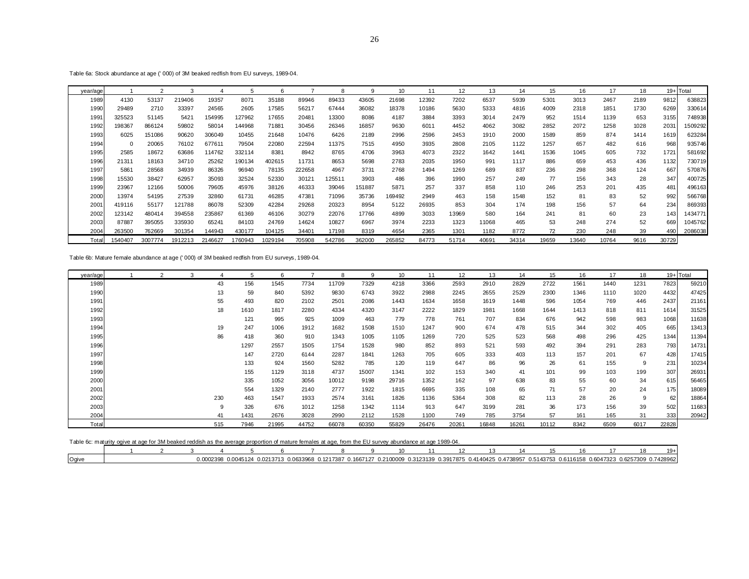Table 6a: Stock abundance at age (' 000) of 3M beaked redfish from EU surveys, 1989-04.

| year/age |         |         |         |         | 5      | 6       |        | 8      | q      | 10     | 11    | 12    | 13    | 14    | 15    | 16    | 17    | 18   |       | 19+Total |
|----------|---------|---------|---------|---------|--------|---------|--------|--------|--------|--------|-------|-------|-------|-------|-------|-------|-------|------|-------|----------|
| 1989     | 4130    | 53137   | 219406  | 19357   | 8071   | 35188   | 89946  | 89433  | 43605  | 21698  | 12392 | 7202  | 6537  | 5939  | 5301  | 3013  | 2467  | 2189 | 9812  | 638823   |
| 1990     | 29489   | 2710    | 33397   | 24565   | 2605   | 17585   | 56217  | 67444  | 36082  | 18378  | 10186 | 5630  | 5333  | 4816  | 4009  | 2318  | 1851  | 1730 | 6269  | 330614   |
| 1991     | 325523  | 51145   | 5421    | 154995  | 127962 | 17655   | 20481  | 13300  | 8086   | 4187   | 3884  | 3393  | 3014  | 2479  | 952   | 1514  | 1139  | 653  | 3155  | 748938   |
| 1992     | 198367  | 866124  | 59802   | 58014   | 144968 | 71881   | 30456  | 26346  | 16857  | 9630   | 6011  | 4452  | 4062  | 3082  | 2852  | 2072  | 1258  | 1028 | 2031  | 1509292  |
| 1993     | 6025    | 151086  | 90620   | 306049  | 10455  | 21648   | 10476  | 6426   | 2189   | 2996   | 2596  | 2453  | 1910  | 2000  | 1589  | 859   | 874   | 1414 | 1619  | 623284   |
| 1994     | 0       | 20065   | 76102   | 677611  | 79504  | 22080   | 22594  | 11375  | 7515   | 4950   | 3935  | 2808  | 2105  | 1122  | 1257  | 657   | 482   | 616  | 968   | 935746   |
| 1995     | 2585    | 18672   | 63686   | 114762  | 332114 | 8381    | 8942   | 8765   | 4706   | 3963   | 4073  | 2322  | 1642  | 1441  | 1536  | 1045  | 605   | 732  | 1721  | 581692   |
| 1996     | 21311   | 18163   | 34710   | 25262   | 190134 | 402615  | 11731  | 8653   | 5698   | 2783   | 2035  | 1950  | 991   | 1117  | 886   | 659   | 453   | 436  | 1132  | 730719   |
| 1997     | 5861    | 28568   | 34939   | 86326   | 96940  | 78135   | 222658 | 4967   | 3731   | 2768   | 1494  | 1269  | 689   | 837   | 236   | 298   | 368   | 124  | 667   | 570876   |
| 1998     | 15530   | 38427   | 62957   | 35093   | 32524  | 52330   | 30121  | 125511 | 3903   | 486    | 396   | 1990  | 257   | 249   | 77    | 156   | 343   | 28   | 347   | 400725   |
| 1999     | 23967   | 12166   | 50006   | 79605   | 45976  | 38126   | 46333  | 39046  | 151887 | 5871   | 257   | 337   | 858   | 110   | 246   | 253   | 201   | 435  | 481   | 496163   |
| 2000     | 13974   | 54195   | 27539   | 32860   | 61731  | 46285   | 47381  | 71096  | 35736  | 169492 | 2949  | 463   | 158   | 1548  | 152   | 81    | 83    | 52   | 992   | 566768   |
| 2001     | 419116  | 55177   | 121788  | 86078   | 52309  | 42284   | 29268  | 20323  | 8954   | 5122   | 26935 | 853   | 304   | 174   | 198   | 156   | 57    | 64   | 234   | 869393   |
| 2002     | 123142  | 480414  | 394558  | 235867  | 61369  | 46106   | 30279  | 22076  | 17766  | 4899   | 3033  | 13969 | 580   | 164   | 241   | 81    | 60    | 23   | 143   | 1434771  |
| 2003     | 87887   | 395055  | 335930  | 65241   | 84103  | 24769   | 14624  | 10827  | 6967   | 3974   | 2233  | 1323  | 11068 | 465   | 53    | 248   | 274   | 52   | 669   | 1045762  |
| 2004     | 263500  | 762669  | 301354  | 144943  | 430177 | 104125  | 34401  | 17198  | 8319   | 4654   | 2365  | 1301  | 1182  | 8772  | 72    | 230   | 248   | 39   | 490   | 2086038  |
| Total    | 1540407 | 3007774 | 1912213 | 2146627 | 760943 | 1029194 | 705908 | 542786 | 362000 | 265852 | 84773 | 51714 | 40691 | 34314 | 19659 | 13640 | 10764 | 9616 | 30729 |          |

Table 6b: Mature female abundance at age (' 000) of 3M beaked redfish from EU surveys, 1989-04.

| year/age | $\overline{2}$ | 3 |     | 5    | 6     |       | 8     | 9     | 10    | 11    | 12    | 13    | 14    | 15    | 16   | 17   | 18   | $19 +$ Total |       |
|----------|----------------|---|-----|------|-------|-------|-------|-------|-------|-------|-------|-------|-------|-------|------|------|------|--------------|-------|
| 1989     |                |   | 43  | 156  | 1545  | 7734  | 11709 | 7329  | 4218  | 3366  | 2593  | 2910  | 2829  | 2722  | 1561 | 1440 | 1231 | 7823         | 59210 |
| 1990     |                |   | 13  | 59   | 840   | 5392  | 9830  | 6743  | 3922  | 2988  | 2245  | 2655  | 2529  | 2300  | 1346 | 1110 | 1020 | 4432         | 47425 |
| 1991     |                |   | 55  | 493  | 820   | 2102  | 2501  | 2086  | 1443  | 1634  | 1658  | 1619  | 1448  | 596   | 1054 | 769  | 446  | 2437         | 21161 |
| 1992     |                |   | 18  | 1610 | 1817  | 2280  | 4334  | 4320  | 3147  | 2222  | 1829  | 1981  | 1668  | 1644  | 1413 | 818  | 811  | 1614         | 31525 |
| 1993     |                |   |     | 121  | 995   | 925   | 1009  | 463   | 779   | 778   | 761   | 707   | 834   | 676   | 942  | 598  | 983  | 1068         | 11638 |
| 1994     |                |   | 19  | 247  | 1006  | 1912  | 1682  | 1508  | 1510  | 1247  | 900   | 674   | 478   | 515   | 344  | 302  | 405  | 665          | 13413 |
| 1995     |                |   | 86  | 418  | 360   | 910   | 1343  | 1005  | 1105  | 1269  | 720   | 525   | 523   | 568   | 498  | 296  | 425  | 1344         | 11394 |
| 1996     |                |   |     | 1297 | 2557  | 1505  | 1754  | 1528  | 980   | 852   | 893   | 521   | 593   | 492   | 394  | 291  | 283  | 793          | 14731 |
| 1997     |                |   |     | 147  | 2720  | 6144  | 2287  | 1841  | 1263  | 705   | 605   | 333   | 403   | 113   | 157  | 201  | 67   | 428          | 17415 |
| 1998     |                |   |     | 133  | 924   | 1560  | 5282  | 785   | 120   | 119   | 647   | 86    | 96    | 26    | 61   | 155  | 9    | 231          | 10234 |
| 1999     |                |   |     | 155  | 1129  | 3118  | 4737  | 15007 | 1341  | 102   | 153   | 340   | 41    | 101   | 99   | 103  | 199  | 307          | 26931 |
| 2000     |                |   |     | 335  | 1052  | 3056  | 10012 | 9198  | 29716 | 1352  | 162   | 97    | 638   | 83    | 55   | 60   | 34   | 615          | 56465 |
| 2001     |                |   |     | 554  | 1329  | 2140  | 2777  | 1922  | 1815  | 6695  | 335   | 108   | 65    | 71    | 57   | 20   | 24   | 175          | 18089 |
| 2002     |                |   | 230 | 463  | 1547  | 1933  | 2574  | 3161  | 1826  | 1136  | 5364  | 308   | 82    | 113   | 28   | 26   | 9    | 62           | 18864 |
| 2003     |                |   | 9   | 326  | 676   | 1012  | 1258  | 1342  | 1114  | 913   | 647   | 3199  | 281   | 36    | 173  | 156  | 39   | 502          | 11683 |
| 2004     |                |   | 41  | 1431 | 2676  | 3028  | 2990  | 2112  | 1528  | 1100  | 749   | 785   | 3754  | 57    | 161  | 165  | 31   | 333          | 20942 |
| Total    |                |   | 515 | 7946 | 21995 | 44752 | 66078 | 60350 | 55829 | 26476 | 20261 | 16848 | 16261 | 10112 | 8342 | 6509 | 6017 | 22828        |       |

| Table 6c: maturity ogive at age for 3M beaked reddish as the average proportion of mature females at age, from the EU survey abundance at age 1989-04. |
|--------------------------------------------------------------------------------------------------------------------------------------------------------|
|--------------------------------------------------------------------------------------------------------------------------------------------------------|

|                                       |  |     |       |                        |    |               |         |           |           |           |           |           |           |           |           | $19+$   |
|---------------------------------------|--|-----|-------|------------------------|----|---------------|---------|-----------|-----------|-----------|-----------|-----------|-----------|-----------|-----------|---------|
| $^{\circ}$ $^{\circ}$ $^{\circ}$<br>w |  | ה ה | ገ በ21 | 333968<br>- ר<br>-0.06 | 12 | 0.166<br>7127 | 2100009 | 0.3123139 | .13917875 | 0.4140425 | 0.4738957 | 0.5143753 | 0.6116158 | 0.6047323 | 0.6257309 | 7428962 |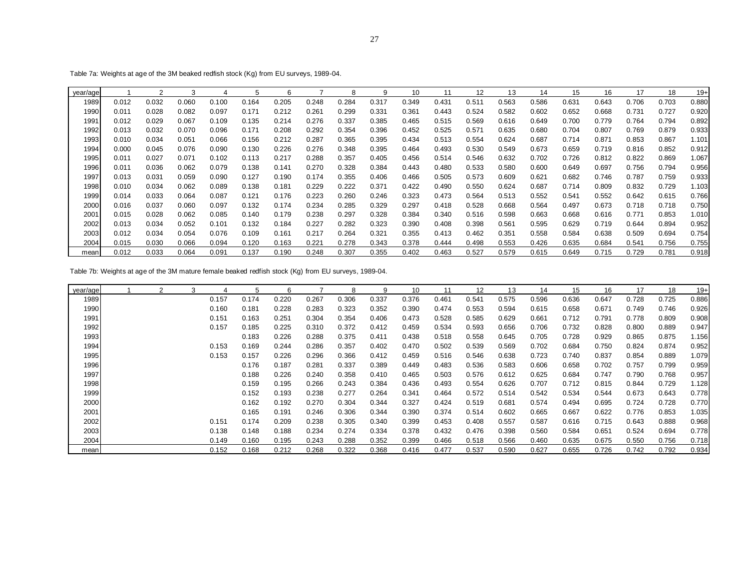Table 7a: Weights at age of the 3M beaked redfish stock (Kg) from EU surveys, 1989-04.

| year/age |       |       |       |       |       |       |       |       | 9     | 10    |       | 12    | 13    | 14    | 15    | 16    | 17    | 18    | $19+$ |
|----------|-------|-------|-------|-------|-------|-------|-------|-------|-------|-------|-------|-------|-------|-------|-------|-------|-------|-------|-------|
| 1989     | 0.012 | 0.032 | 0.060 | 0.100 | 0.164 | 0.205 | 0.248 | 0.284 | 0.317 | 0.349 | 0.431 | 0.511 | 0.563 | 0.586 | 0.631 | 0.643 | 0.706 | 0.703 | 0.880 |
| 1990     | 0.011 | 0.028 | 0.082 | 0.097 | 0.171 | 0.212 | 0.261 | 0.299 | 0.331 | 0.361 | 0.443 | 0.524 | 0.582 | 0.602 | 0.652 | 0.668 | 0.731 | 0.727 | 0.920 |
| 1991     | 0.012 | 0.029 | 0.067 | 0.109 | 0.135 | 0.214 | 0.276 | 0.337 | 0.385 | 0.465 | 0.515 | 0.569 | 0.616 | 0.649 | 0.700 | 0.779 | 0.764 | 0.794 | 0.892 |
| 1992     | 0.013 | 0.032 | 0.070 | 0.096 | 0.171 | 0.208 | 0.292 | 0.354 | 0.396 | 0.452 | 0.525 | 0.571 | 0.635 | 0.680 | 0.704 | 0.807 | 0.769 | 0.879 | 0.933 |
| 1993     | 0.010 | 0.034 | 0.051 | 0.066 | 0.156 | 0.212 | 0.287 | 0.365 | 0.395 | 0.434 | 0.513 | 0.554 | 0.624 | 0.687 | 0.714 | 0.871 | 0.853 | 0.867 | 1.101 |
| 1994     | 0.000 | 0.045 | 0.076 | 0.090 | 0.130 | 0.226 | 0.276 | 0.348 | 0.395 | 0.464 | 0.493 | 0.530 | 0.549 | 0.673 | 0.659 | 0.719 | 0.816 | 0.852 | 0.912 |
| 1995     | 0.011 | 0.027 | 0.071 | 0.102 | 0.113 | 0.217 | 0.288 | 0.357 | 0.405 | 0.456 | 0.514 | 0.546 | 0.632 | 0.702 | 0.726 | 0.812 | 0.822 | 0.869 | 1.067 |
| 1996     | 0.011 | 0.036 | 0.062 | 0.079 | 0.138 | 0.141 | 0.270 | 0.328 | 0.384 | 0.443 | 0.480 | 0.533 | 0.580 | 0.600 | 0.649 | 0.697 | 0.756 | 0.794 | 0.956 |
| 1997     | 0.013 | 0.031 | 0.059 | 0.090 | 0.127 | 0.190 | 0.174 | 0.355 | 0.406 | 0.466 | 0.505 | 0.573 | 0.609 | 0.621 | 0.682 | 0.746 | 0.787 | 0.759 | 0.933 |
| 1998     | 0.010 | 0.034 | 0.062 | 0.089 | 0.138 | 0.181 | 0.229 | 0.222 | 0.371 | 0.422 | 0.490 | 0.550 | 0.624 | 0.687 | 0.714 | 0.809 | 0.832 | 0.729 | 1.103 |
| 1999     | 0.014 | 0.033 | 0.064 | 0.087 | 0.121 | 0.176 | 0.223 | 0.260 | 0.246 | 0.323 | 0.473 | 0.564 | 0.513 | 0.552 | 0.541 | 0.552 | 0.642 | 0.615 | 0.766 |
| 2000     | 0.016 | 0.037 | 0.060 | 0.097 | 0.132 | 0.174 | 0.234 | 0.285 | 0.329 | 0.297 | 0.418 | 0.528 | 0.668 | 0.564 | 0.497 | 0.673 | 0.718 | 0.718 | 0.750 |
| 2001     | 0.015 | 0.028 | 0.062 | 0.085 | 0.140 | 0.179 | 0.238 | 0.297 | 0.328 | 0.384 | 0.340 | 0.516 | 0.598 | 0.663 | 0.668 | 0.616 | 0.771 | 0.853 | 1.010 |
| 2002     | 0.013 | 0.034 | 0.052 | 0.101 | 0.132 | 0.184 | 0.227 | 0.282 | 0.323 | 0.390 | 0.408 | 0.398 | 0.561 | 0.595 | 0.629 | 0.719 | 0.644 | 0.894 | 0.952 |
| 2003     | 0.012 | 0.034 | 0.054 | 0.076 | 0.109 | 0.161 | 0.217 | 0.264 | 0.321 | 0.355 | 0.413 | 0.462 | 0.351 | 0.558 | 0.584 | 0.638 | 0.509 | 0.694 | 0.754 |
| 2004     | 0.015 | 0.030 | 0.066 | 0.094 | 0.120 | 0.163 | 0.221 | 0.278 | 0.343 | 0.378 | 0.444 | 0.498 | 0.553 | 0.426 | 0.635 | 0.684 | 0.541 | 0.756 | 0.755 |
| mean     | 0.012 | 0.033 | 0.064 | 0.091 | 0.137 | 0.190 | 0.248 | 0.307 | 0.355 | 0.402 | 0.463 | 0.527 | 0.579 | 0.615 | 0.649 | 0.715 | 0.729 | 0.781 | 0.918 |

| Table 7b: Weights at age of the 3M mature female beaked redfish stock (Kg) from EU surveys, 1989-04. |  |  |
|------------------------------------------------------------------------------------------------------|--|--|
|                                                                                                      |  |  |

| year/age |  | 3 |       | 5     | 6     |       | 8     | 9     | 10    | 11    | 12    | 13    | 14    | 15    | 16    | 17    | 18    | $19+$ |
|----------|--|---|-------|-------|-------|-------|-------|-------|-------|-------|-------|-------|-------|-------|-------|-------|-------|-------|
| 1989     |  |   | 0.157 | 0.174 | 0.220 | 0.267 | 0.306 | 0.337 | 0.376 | 0.461 | 0.541 | 0.575 | 0.596 | 0.636 | 0.647 | 0.728 | 0.725 | 0.886 |
| 1990     |  |   | 0.160 | 0.181 | 0.228 | 0.283 | 0.323 | 0.352 | 0.390 | 0.474 | 0.553 | 0.594 | 0.615 | 0.658 | 0.671 | 0.749 | 0.746 | 0.926 |
| 1991     |  |   | 0.151 | 0.163 | 0.251 | 0.304 | 0.354 | 0.406 | 0.473 | 0.528 | 0.585 | 0.629 | 0.661 | 0.712 | 0.791 | 0.778 | 0.809 | 0.908 |
| 1992     |  |   | 0.157 | 0.185 | 0.225 | 0.310 | 0.372 | 0.412 | 0.459 | 0.534 | 0.593 | 0.656 | 0.706 | 0.732 | 0.828 | 0.800 | 0.889 | 0.947 |
| 1993     |  |   |       | 0.183 | 0.226 | 0.288 | 0.375 | 0.411 | 0.438 | 0.518 | 0.558 | 0.645 | 0.705 | 0.728 | 0.929 | 0.865 | 0.875 | 1.156 |
| 1994     |  |   | 0.153 | 0.169 | 0.244 | 0.286 | 0.357 | 0.402 | 0.470 | 0.502 | 0.539 | 0.569 | 0.702 | 0.684 | 0.750 | 0.824 | 0.874 | 0.952 |
| 1995     |  |   | 0.153 | 0.157 | 0.226 | 0.296 | 0.366 | 0.412 | 0.459 | 0.516 | 0.546 | 0.638 | 0.723 | 0.740 | 0.837 | 0.854 | 0.889 | 1.079 |
| 1996     |  |   |       | 0.176 | 0.187 | 0.281 | 0.337 | 0.389 | 0.449 | 0.483 | 0.536 | 0.583 | 0.606 | 0.658 | 0.702 | 0.757 | 0.799 | 0.959 |
| 1997     |  |   |       | 0.188 | 0.226 | 0.240 | 0.358 | 0.410 | 0.465 | 0.503 | 0.576 | 0.612 | 0.625 | 0.684 | 0.747 | 0.790 | 0.768 | 0.957 |
| 1998     |  |   |       | 0.159 | 0.195 | 0.266 | 0.243 | 0.384 | 0.436 | 0.493 | 0.554 | 0.626 | 0.707 | 0.712 | 0.815 | 0.844 | 0.729 | 1.128 |
| 1999     |  |   |       | 0.152 | 0.193 | 0.238 | 0.277 | 0.264 | 0.341 | 0.464 | 0.572 | 0.514 | 0.542 | 0.534 | 0.544 | 0.673 | 0.643 | 0.778 |
| 2000     |  |   |       | 0.162 | 0.192 | 0.270 | 0.304 | 0.344 | 0.327 | 0.424 | 0.519 | 0.681 | 0.574 | 0.494 | 0.695 | 0.724 | 0.728 | 0.770 |
| 2001     |  |   |       | 0.165 | 0.191 | 0.246 | 0.306 | 0.344 | 0.390 | 0.374 | 0.514 | 0.602 | 0.665 | 0.667 | 0.622 | 0.776 | 0.853 | 1.035 |
| 2002     |  |   | 0.151 | 0.174 | 0.209 | 0.238 | 0.305 | 0.340 | 0.399 | 0.453 | 0.408 | 0.557 | 0.587 | 0.616 | 0.715 | 0.643 | 0.888 | 0.968 |
| 2003     |  |   | 0.138 | 0.148 | 0.188 | 0.234 | 0.274 | 0.334 | 0.378 | 0.432 | 0.476 | 0.398 | 0.560 | 0.584 | 0.651 | 0.524 | 0.694 | 0.778 |
| 2004     |  |   | 0.149 | 0.160 | 0.195 | 0.243 | 0.288 | 0.352 | 0.399 | 0.466 | 0.518 | 0.566 | 0.460 | 0.635 | 0.675 | 0.550 | 0.756 | 0.718 |
| mean     |  |   | 0.152 | 0.168 | 0.212 | 0.268 | 0.322 | 0.368 | 0.416 | 0.477 | 0.537 | 0.590 | 0.627 | 0.655 | 0.726 | 0.742 | 0.792 | 0.934 |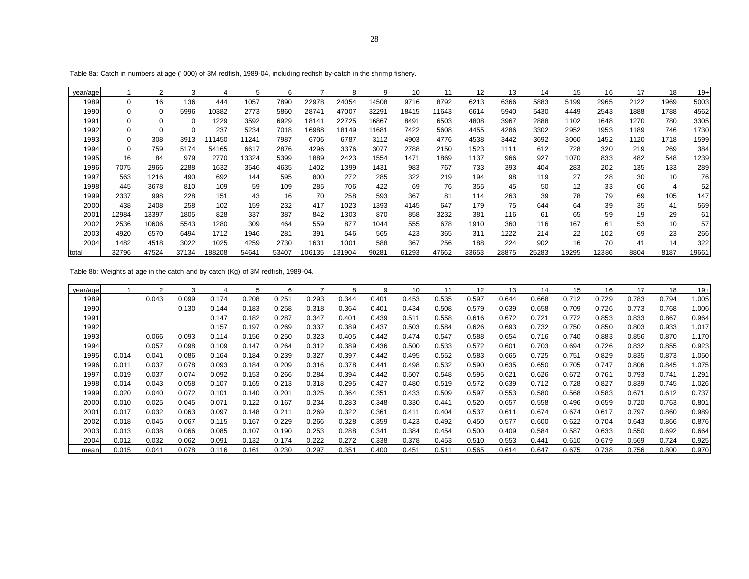| year/age |          | 2     | 3           | 4      | 5     | 6     |        | 8      | 9     | 10    | 11    | 12    | 13    | 14    | 15    | 16    | 17   | 18   | $19+$ |
|----------|----------|-------|-------------|--------|-------|-------|--------|--------|-------|-------|-------|-------|-------|-------|-------|-------|------|------|-------|
| 1989     | $\Omega$ | 16    | 136         | 444    | 1057  | 7890  | 22978  | 24054  | 14508 | 9716  | 8792  | 6213  | 6366  | 5883  | 5199  | 2965  | 2122 | 1969 | 5003  |
| 1990     |          | 0     | 5996        | 10382  | 2773  | 5860  | 28741  | 47007  | 32291 | 18415 | 11643 | 6614  | 5940  | 5430  | 4449  | 2543  | 1888 | 1788 | 4562  |
| 1991     |          | 0     | $\mathbf 0$ | 1229   | 3592  | 6929  | 18141  | 22725  | 16867 | 8491  | 6503  | 4808  | 3967  | 2888  | 1102  | 1648  | 1270 | 780  | 3305  |
| 1992     |          | 0     | $\mathbf 0$ | 237    | 5234  | 7018  | 16988  | 18149  | 11681 | 7422  | 5608  | 4455  | 4286  | 3302  | 2952  | 1953  | 1189 | 746  | 1730  |
| 1993     | $\Omega$ | 308   | 3913        | 11450  | 11241 | 7987  | 6706   | 6787   | 3112  | 4903  | 4776  | 4538  | 3442  | 3692  | 3060  | 1452  | 1120 | 1718 | 1599  |
| 1994     | $\Omega$ | 759   | 5174        | 54165  | 6617  | 2876  | 4296   | 3376   | 3077  | 2788  | 2150  | 1523  | 1111  | 612   | 728   | 320   | 219  | 269  | 384   |
| 1995     | 16       | 84    | 979         | 2770   | 13324 | 5399  | 1889   | 2423   | 1554  | 1471  | 1869  | 1137  | 966   | 927   | 1070  | 833   | 482  | 548  | 1239  |
| 1996     | 7075     | 2966  | 2288        | 1632   | 3546  | 4635  | 1402   | 1399   | 1431  | 983   | 767   | 733   | 393   | 404   | 283   | 202   | 135  | 133  | 289   |
| 1997     | 563      | 1216  | 490         | 692    | 144   | 595   | 800    | 272    | 285   | 322   | 219   | 194   | 98    | 119   | 27    | 28    | 30   | 10   | 76    |
| 1998     | 445      | 3678  | 810         | 109    | 59    | 109   | 285    | 706    | 422   | 69    | 76    | 355   | 45    | 50    | 12    | 33    | 66   | 4    | 52    |
| 1999     | 2337     | 998   | 228         | 151    | 43    | 16    | 70     | 258    | 593   | 367   | 81    | 114   | 263   | 39    | 78    | 79    | 69   | 105  | 147   |
| 2000     | 438      | 2408  | 258         | 102    | 159   | 232   | 417    | 1023   | 1393  | 4145  | 647   | 179   | 75    | 644   | 64    | 39    | 35   | 41   | 569   |
| 2001     | 12984    | 13397 | 1805        | 828    | 337   | 387   | 842    | 1303   | 870   | 858   | 3232  | 381   | 116   | 61    | 65    | 59    | 19   | 29   | 61    |
| 2002     | 2536     | 10606 | 5543        | 1280   | 309   | 464   | 559    | 877    | 1044  | 555   | 678   | 1910  | 360   | 116   | 167   | 61    | 53   | 10   | 57    |
| 2003     | 4920     | 6570  | 6494        | 1712   | 1946  | 281   | 391    | 546    | 565   | 423   | 365   | 311   | 1222  | 214   | 22    | 102   | 69   | 23   | 266   |
| 2004     | 1482     | 4518  | 3022        | 1025   | 4259  | 2730  | 1631   | 1001   | 588   | 367   | 256   | 188   | 224   | 902   | 16    | 70    | 41   | 14   | 322   |
| Itotal   | 32796    | 47524 | 37134       | 188208 | 54641 | 53407 | 106135 | 131904 | 90281 | 61293 | 47662 | 33653 | 28875 | 25283 | 19295 | 12386 | 8804 | 8187 | 19661 |

Table 8a: Catch in numbers at age (' 000) of 3M redfish, 1989-04, including redfish by-catch in the shrimp fishery.

Table 8b: Weights at age in the catch and by catch (Kg) of 3M redfish, 1989-04.

| year/age |       | ◠     | 3     | 4     | 5     | 6     |       | 8     | 9     | 10    | 11    | 12    | 13    | 14    | 15    | 16    | 17    | 18    | $19+$ |
|----------|-------|-------|-------|-------|-------|-------|-------|-------|-------|-------|-------|-------|-------|-------|-------|-------|-------|-------|-------|
| 1989     |       | 0.043 | 0.099 | 0.174 | 0.208 | 0.251 | 0.293 | 0.344 | 0.401 | 0.453 | 0.535 | 0.597 | 0.644 | 0.668 | 0.712 | 0.729 | 0.783 | 0.794 | 1.005 |
| 1990     |       |       | 0.130 | 0.144 | 0.183 | 0.258 | 0.318 | 0.364 | 0.401 | 0.434 | 0.508 | 0.579 | 0.639 | 0.658 | 0.709 | 0.726 | 0.773 | 0.768 | 1.006 |
| 1991     |       |       |       | 0.147 | 0.182 | 0.287 | 0.347 | 0.401 | 0.439 | 0.511 | 0.558 | 0.616 | 0.672 | 0.721 | 0.772 | 0.853 | 0.833 | 0.867 | 0.964 |
| 1992     |       |       |       | 0.157 | 0.197 | 0.269 | 0.337 | 0.389 | 0.437 | 0.503 | 0.584 | 0.626 | 0.693 | 0.732 | 0.750 | 0.850 | 0.803 | 0.933 | 1.017 |
| 1993     |       | 0.066 | 0.093 | 0.114 | 0.156 | 0.250 | 0.323 | 0.405 | 0.442 | 0.474 | 0.547 | 0.588 | 0.654 | 0.716 | 0.740 | 0.883 | 0.856 | 0.870 | 1.170 |
| 1994     |       | 0.057 | 0.098 | 0.109 | 0.147 | 0.264 | 0.312 | 0.389 | 0.436 | 0.500 | 0.533 | 0.572 | 0.601 | 0.703 | 0.694 | 0.726 | 0.832 | 0.855 | 0.923 |
| 1995     | 0.014 | 0.041 | 0.086 | 0.164 | 0.184 | 0.239 | 0.327 | 0.397 | 0.442 | 0.495 | 0.552 | 0.583 | 0.665 | 0.725 | 0.751 | 0.829 | 0.835 | 0.873 | 1.050 |
| 1996     | 0.011 | 0.037 | 0.078 | 0.093 | 0.184 | 0.209 | 0.316 | 0.378 | 0.441 | 0.498 | 0.532 | 0.590 | 0.635 | 0.650 | 0.705 | 0.747 | 0.806 | 0.845 | 1.075 |
| 1997     | 0.019 | 0.037 | 0.074 | 0.092 | 0.153 | 0.266 | 0.284 | 0.394 | 0.442 | 0.507 | 0.548 | 0.595 | 0.621 | 0.626 | 0.672 | 0.761 | 0.793 | 0.741 | 1.291 |
| 1998     | 0.014 | 0.043 | 0.058 | 0.107 | 0.165 | 0.213 | 0.318 | 0.295 | 0.427 | 0.480 | 0.519 | 0.572 | 0.639 | 0.712 | 0.728 | 0.827 | 0.839 | 0.745 | 1.026 |
| 1999     | 0.020 | 0.040 | 0.072 | 0.101 | 0.140 | 0.201 | 0.325 | 0.364 | 0.351 | 0.433 | 0.509 | 0.597 | 0.553 | 0.580 | 0.568 | 0.583 | 0.671 | 0.612 | 0.737 |
| 2000     | 0.010 | 0.025 | 0.045 | 0.071 | 0.122 | 0.167 | 0.234 | 0.283 | 0.348 | 0.330 | 0.441 | 0.520 | 0.657 | 0.558 | 0.496 | 0.659 | 0.720 | 0.763 | 0.801 |
| 2001     | 0.017 | 0.032 | 0.063 | 0.097 | 0.148 | 0.211 | 0.269 | 0.322 | 0.361 | 0.411 | 0.404 | 0.537 | 0.611 | 0.674 | 0.674 | 0.617 | 0.797 | 0.860 | 0.989 |
| 2002     | 0.018 | 0.045 | 0.067 | 0.115 | 0.167 | 0.229 | 0.266 | 0.328 | 0.359 | 0.423 | 0.492 | 0.450 | 0.577 | 0.600 | 0.622 | 0.704 | 0.643 | 0.866 | 0.876 |
| 2003     | 0.013 | 0.038 | 0.066 | 0.085 | 0.107 | 0.190 | 0.253 | 0.288 | 0.341 | 0.384 | 0.454 | 0.500 | 0.409 | 0.584 | 0.587 | 0.633 | 0.550 | 0.692 | 0.664 |
| 2004     | 0.012 | 0.032 | 0.062 | 0.091 | 0.132 | 0.174 | 0.222 | 0.272 | 0.338 | 0.378 | 0.453 | 0.510 | 0.553 | 0.441 | 0.610 | 0.679 | 0.569 | 0.724 | 0.925 |
| mean     | 0.015 | 0.041 | 0.078 | 0.116 | 0.161 | 0.230 | 0.297 | 0.351 | 0.400 | 0.451 | 0.511 | 0.565 | 0.614 | 0.647 | 0.675 | 0.738 | 0.756 | 0.800 | 0.970 |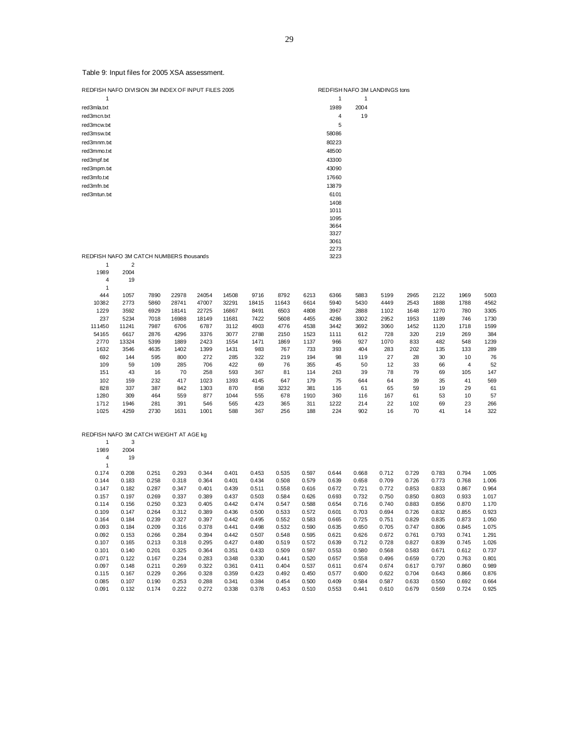Table 9: Input files for 2005 XSA assessment.

REDFISH NAFO DIVISION 3M INDEX OF INPUT FILES 2005 REDFISH NAFO 3M LANDINGS tons  $1 \quad 1 \quad 1$ red3mla.txt 1989 2004 red3mcn.txt 4 19 red3mcw.txt 5<br>red3msw.txt 58086 red3msw.txt red3mnm.txt 80223  $red3mmo.txt$ red3mpf.txt 43300 red3mpm.txt 43090 red3mfo.txt 17660 red3mfn.txt 13879 red3mtun.txt 6101 1408 1011 1095 3664 3327

#### REDFISH NAFO 3M CATCH NUMBERS thousands 1 2

| 1989   | 2004  |      |       |       |       |       |       |      |      |      |      |      |      |                |      |
|--------|-------|------|-------|-------|-------|-------|-------|------|------|------|------|------|------|----------------|------|
| 4      | 19    |      |       |       |       |       |       |      |      |      |      |      |      |                |      |
| 1      |       |      |       |       |       |       |       |      |      |      |      |      |      |                |      |
| 444    | 1057  | 7890 | 22978 | 24054 | 14508 | 9716  | 8792  | 6213 | 6366 | 5883 | 5199 | 2965 | 2122 | 1969           | 5003 |
| 10382  | 2773  | 5860 | 28741 | 47007 | 32291 | 18415 | 11643 | 6614 | 5940 | 5430 | 4449 | 2543 | 1888 | 1788           | 4562 |
| 1229   | 3592  | 6929 | 18141 | 22725 | 16867 | 8491  | 6503  | 4808 | 3967 | 2888 | 1102 | 1648 | 1270 | 780            | 3305 |
| 237    | 5234  | 7018 | 16988 | 18149 | 11681 | 7422  | 5608  | 4455 | 4286 | 3302 | 2952 | 1953 | 1189 | 746            | 1730 |
| 111450 | 11241 | 7987 | 6706  | 6787  | 3112  | 4903  | 4776  | 4538 | 3442 | 3692 | 3060 | 1452 | 1120 | 1718           | 1599 |
| 54165  | 6617  | 2876 | 4296  | 3376  | 3077  | 2788  | 2150  | 1523 | 1111 | 612  | 728  | 320  | 219  | 269            | 384  |
| 2770   | 13324 | 5399 | 1889  | 2423  | 1554  | 1471  | 1869  | 1137 | 966  | 927  | 1070 | 833  | 482  | 548            | 1239 |
| 1632   | 3546  | 4635 | 1402  | 1399  | 1431  | 983   | 767   | 733  | 393  | 404  | 283  | 202  | 135  | 133            | 289  |
| 692    | 144   | 595  | 800   | 272   | 285   | 322   | 219   | 194  | 98   | 119  | 27   | 28   | 30   | 10             | 76   |
| 109    | 59    | 109  | 285   | 706   | 422   | 69    | 76    | 355  | 45   | 50   | 12   | 33   | 66   | $\overline{4}$ | 52   |
| 151    | 43    | 16   | 70    | 258   | 593   | 367   | 81    | 114  | 263  | 39   | 78   | 79   | 69   | 105            | 147  |
| 102    | 159   | 232  | 417   | 1023  | 1393  | 4145  | 647   | 179  | 75   | 644  | 64   | 39   | 35   | 41             | 569  |
| 828    | 337   | 387  | 842   | 1303  | 870   | 858   | 3232  | 381  | 116  | 61   | 65   | 59   | 19   | 29             | 61   |
| 1280   | 309   | 464  | 559   | 877   | 1044  | 555   | 678   | 1910 | 360  | 116  | 167  | 61   | 53   | 10             | 57   |
| 1712   | 1946  | 281  | 391   | 546   | 565   | 423   | 365   | 311  | 1222 | 214  | 22   | 102  | 69   | 23             | 266  |
| 1025   | 4259  | 2730 | 1631  | 1001  | 588   | 367   | 256   | 188  | 224  | 902  | 16   | 70   | 41   | 14             | 322  |

3061 2273

#### REDFISH NAFO 3M CATCH WEIGHT AT AGE kg

|       | 3     |       |       |       |       |       |       |       |       |       |       |       |       |       |       |
|-------|-------|-------|-------|-------|-------|-------|-------|-------|-------|-------|-------|-------|-------|-------|-------|
| 1989  | 2004  |       |       |       |       |       |       |       |       |       |       |       |       |       |       |
| 4     | 19    |       |       |       |       |       |       |       |       |       |       |       |       |       |       |
| 1     |       |       |       |       |       |       |       |       |       |       |       |       |       |       |       |
| 0.174 | 0.208 | 0.251 | 0.293 | 0.344 | 0.401 | 0.453 | 0.535 | 0.597 | 0.644 | 0.668 | 0.712 | 0.729 | 0.783 | 0.794 | 1.005 |
| 0.144 | 0.183 | 0.258 | 0.318 | 0.364 | 0.401 | 0.434 | 0.508 | 0.579 | 0.639 | 0.658 | 0.709 | 0.726 | 0.773 | 0.768 | 1.006 |
| 0.147 | 0.182 | 0.287 | 0.347 | 0.401 | 0.439 | 0.511 | 0.558 | 0.616 | 0.672 | 0.721 | 0.772 | 0.853 | 0.833 | 0.867 | 0.964 |
| 0.157 | 0.197 | 0.269 | 0.337 | 0.389 | 0.437 | 0.503 | 0.584 | 0.626 | 0.693 | 0.732 | 0.750 | 0.850 | 0.803 | 0.933 | 1.017 |
| 0.114 | 0.156 | 0.250 | 0.323 | 0.405 | 0.442 | 0.474 | 0.547 | 0.588 | 0.654 | 0.716 | 0.740 | 0.883 | 0.856 | 0.870 | 1.170 |
| 0.109 | 0.147 | 0.264 | 0.312 | 0.389 | 0.436 | 0.500 | 0.533 | 0.572 | 0.601 | 0.703 | 0.694 | 0.726 | 0.832 | 0.855 | 0.923 |
| 0.164 | 0.184 | 0.239 | 0.327 | 0.397 | 0.442 | 0.495 | 0.552 | 0.583 | 0.665 | 0.725 | 0.751 | 0.829 | 0.835 | 0.873 | 1.050 |
| 0.093 | 0.184 | 0.209 | 0.316 | 0.378 | 0.441 | 0.498 | 0.532 | 0.590 | 0.635 | 0.650 | 0.705 | 0.747 | 0.806 | 0.845 | 1.075 |
| 0.092 | 0.153 | 0.266 | 0.284 | 0.394 | 0.442 | 0.507 | 0.548 | 0.595 | 0.621 | 0.626 | 0.672 | 0.761 | 0.793 | 0.741 | 1.291 |
| 0.107 | 0.165 | 0.213 | 0.318 | 0.295 | 0.427 | 0.480 | 0.519 | 0.572 | 0.639 | 0.712 | 0.728 | 0.827 | 0.839 | 0.745 | 1.026 |
| 0.101 | 0.140 | 0.201 | 0.325 | 0.364 | 0.351 | 0.433 | 0.509 | 0.597 | 0.553 | 0.580 | 0.568 | 0.583 | 0.671 | 0.612 | 0.737 |
| 0.071 | 0.122 | 0.167 | 0.234 | 0.283 | 0.348 | 0.330 | 0.441 | 0.520 | 0.657 | 0.558 | 0.496 | 0.659 | 0.720 | 0.763 | 0.801 |
| 0.097 | 0.148 | 0.211 | 0.269 | 0.322 | 0.361 | 0.411 | 0.404 | 0.537 | 0.611 | 0.674 | 0.674 | 0.617 | 0.797 | 0.860 | 0.989 |
| 0.115 | 0.167 | 0.229 | 0.266 | 0.328 | 0.359 | 0.423 | 0.492 | 0.450 | 0.577 | 0.600 | 0.622 | 0.704 | 0.643 | 0.866 | 0.876 |
| 0.085 | 0.107 | 0.190 | 0.253 | 0.288 | 0.341 | 0.384 | 0.454 | 0.500 | 0.409 | 0.584 | 0.587 | 0.633 | 0.550 | 0.692 | 0.664 |
| 0.091 | 0.132 | 0.174 | 0.222 | 0.272 | 0.338 | 0.378 | 0.453 | 0.510 | 0.553 | 0.441 | 0.610 | 0.679 | 0.569 | 0.724 | 0.925 |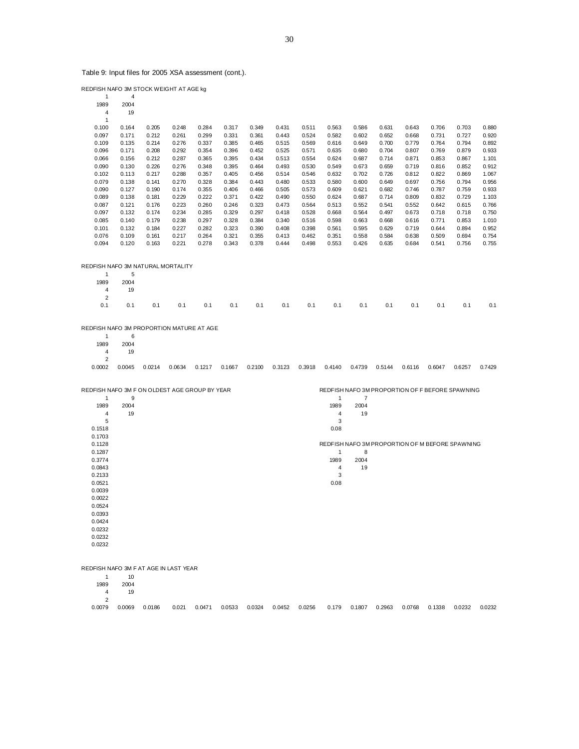Table 9: Input files for 2005 XSA assessment (cont.).

| REDFISH NAFO 3M STOCK WEIGHT AT AGE kg             |                |                |                |                |                |                |                |                |                                                 |                |                |                |                |                                                 |                |
|----------------------------------------------------|----------------|----------------|----------------|----------------|----------------|----------------|----------------|----------------|-------------------------------------------------|----------------|----------------|----------------|----------------|-------------------------------------------------|----------------|
| $\mathbf{1}$<br>1989                               | 4<br>2004      |                |                |                |                |                |                |                |                                                 |                |                |                |                |                                                 |                |
| 4<br>1                                             | 19             |                |                |                |                |                |                |                |                                                 |                |                |                |                |                                                 |                |
| 0.100                                              | 0.164          | 0.205          | 0.248          | 0.284          | 0.317          | 0.349          | 0.431          | 0.511          | 0.563                                           | 0.586          | 0.631          | 0.643          | 0.706          | 0.703                                           | 0.880          |
| 0.097                                              | 0.171          | 0.212          | 0.261          | 0.299          | 0.331          | 0.361          | 0.443          | 0.524          | 0.582                                           | 0.602          | 0.652          | 0.668          | 0.731          | 0.727                                           | 0.920          |
| 0.109                                              | 0.135          | 0.214          | 0.276          | 0.337          | 0.385          | 0.465          | 0.515          | 0.569          | 0.616                                           | 0.649          | 0.700          | 0.779          | 0.764          | 0.794                                           | 0.892          |
| 0.096                                              | 0.171          | 0.208          | 0.292          | 0.354          | 0.396          | 0.452          | 0.525          | 0.571          | 0.635                                           | 0.680          | 0.704          | 0.807          | 0.769          | 0.879                                           | 0.933          |
| 0.066                                              | 0.156          | 0.212          | 0.287          | 0.365          | 0.395          | 0.434          | 0.513          | 0.554          | 0.624                                           | 0.687          | 0.714          | 0.871          | 0.853          | 0.867                                           | 1.101          |
| 0.090                                              | 0.130          | 0.226          | 0.276          | 0.348          | 0.395          | 0.464          | 0.493          | 0.530          | 0.549                                           | 0.673          | 0.659          | 0.719          | 0.816          | 0.852                                           | 0.912          |
| 0.102                                              | 0.113          | 0.217          | 0.288          | 0.357          | 0.405          | 0.456          | 0.514          | 0.546          | 0.632                                           | 0.702          | 0.726          | 0.812          | 0.822          | 0.869                                           | 1.067          |
| 0.079                                              | 0.138          | 0.141          | 0.270          | 0.328          | 0.384          | 0.443          | 0.480          | 0.533          | 0.580                                           | 0.600          | 0.649          | 0.697          | 0.756          | 0.794                                           | 0.956          |
| 0.090<br>0.089                                     | 0.127<br>0.138 | 0.190<br>0.181 | 0.174<br>0.229 | 0.355<br>0.222 | 0.406<br>0.371 | 0.466<br>0.422 | 0.505<br>0.490 | 0.573<br>0.550 | 0.609<br>0.624                                  | 0.621<br>0.687 | 0.682<br>0.714 | 0.746<br>0.809 | 0.787<br>0.832 | 0.759<br>0.729                                  | 0.933<br>1.103 |
| 0.087                                              | 0.121          | 0.176          | 0.223          | 0.260          | 0.246          | 0.323          | 0.473          | 0.564          | 0.513                                           | 0.552          | 0.541          | 0.552          | 0.642          | 0.615                                           | 0.766          |
| 0.097                                              | 0.132          | 0.174          | 0.234          | 0.285          | 0.329          | 0.297          | 0.418          | 0.528          | 0.668                                           | 0.564          | 0.497          | 0.673          | 0.718          | 0.718                                           | 0.750          |
| 0.085                                              | 0.140          | 0.179          | 0.238          | 0.297          | 0.328          | 0.384          | 0.340          | 0.516          | 0.598                                           | 0.663          | 0.668          | 0.616          | 0.771          | 0.853                                           | 1.010          |
| 0.101                                              | 0.132          | 0.184          | 0.227          | 0.282          | 0.323          | 0.390          | 0.408          | 0.398          | 0.561                                           | 0.595          | 0.629          | 0.719          | 0.644          | 0.894                                           | 0.952          |
| 0.076                                              | 0.109          | 0.161          | 0.217          | 0.264          | 0.321          | 0.355          | 0.413          | 0.462          | 0.351                                           | 0.558          | 0.584          | 0.638          | 0.509          | 0.694                                           | 0.754          |
| 0.094                                              | 0.120          | 0.163          | 0.221          | 0.278          | 0.343          | 0.378          | 0.444          | 0.498          | 0.553                                           | 0.426          | 0.635          | 0.684          | 0.541          | 0.756                                           | 0.755          |
| REDFISH NAFO 3M NATURAL MORTALITY                  |                |                |                |                |                |                |                |                |                                                 |                |                |                |                |                                                 |                |
| 1                                                  | 5              |                |                |                |                |                |                |                |                                                 |                |                |                |                |                                                 |                |
| 1989                                               | 2004           |                |                |                |                |                |                |                |                                                 |                |                |                |                |                                                 |                |
| 4                                                  | 19             |                |                |                |                |                |                |                |                                                 |                |                |                |                |                                                 |                |
| 2                                                  |                |                |                |                |                |                |                |                |                                                 |                |                |                |                |                                                 |                |
| 0.1                                                | 0.1            | 0.1            | 0.1            | 0.1            | 0.1            | 0.1            | 0.1            | 0.1            | 0.1                                             | 0.1            | 0.1            | 0.1            | 0.1            | 0.1                                             | 0.1            |
| REDFISH NAFO 3M PROPORTION MATURE AT AGE           |                |                |                |                |                |                |                |                |                                                 |                |                |                |                |                                                 |                |
| 1                                                  | 6              |                |                |                |                |                |                |                |                                                 |                |                |                |                |                                                 |                |
| 1989<br>4                                          | 2004<br>19     |                |                |                |                |                |                |                |                                                 |                |                |                |                |                                                 |                |
| 2                                                  |                |                |                |                |                |                |                |                |                                                 |                |                |                |                |                                                 |                |
| 0.0002                                             | 0.0045         | 0.0214         | 0.0634         | 0.1217         | 0.1667         | 0.2100         | 0.3123         | 0.3918         | 0.4140                                          | 0.4739         | 0.5144         | 0.6116         | 0.6047         | 0.6257                                          | 0.7429         |
|                                                    |                |                |                |                |                |                |                |                |                                                 |                |                |                |                |                                                 |                |
| REDFISH NAFO 3M F ON OLDEST AGE GROUP BY YEAR<br>1 | 9              |                |                |                |                |                |                |                | $\mathbf{1}$                                    | 7              |                |                |                | REDFISH NAFO 3M PROPORTION OF F BEFORE SPAWNING |                |
| 1989                                               | 2004           |                |                |                |                |                |                |                | 1989                                            | 2004           |                |                |                |                                                 |                |
| 4                                                  | 19             |                |                |                |                |                |                |                | 4                                               | 19             |                |                |                |                                                 |                |
| 5                                                  |                |                |                |                |                |                |                |                | 3                                               |                |                |                |                |                                                 |                |
| 0.1518                                             |                |                |                |                |                |                |                |                | 0.08                                            |                |                |                |                |                                                 |                |
| 0.1703                                             |                |                |                |                |                |                |                |                |                                                 |                |                |                |                |                                                 |                |
| 0.1128                                             |                |                |                |                |                |                |                |                | REDFISH NAFO 3M PROPORTION OF M BEFORE SPAWNING |                |                |                |                |                                                 |                |
| 0.1287<br>0.3774                                   |                |                |                |                |                |                |                |                | 1<br>1989                                       | 8<br>2004      |                |                |                |                                                 |                |
| 0.0843                                             |                |                |                |                |                |                |                |                | 4                                               | 19             |                |                |                |                                                 |                |
| 0.2133                                             |                |                |                |                |                |                |                |                | 3                                               |                |                |                |                |                                                 |                |
| 0.0521                                             |                |                |                |                |                |                |                |                | 0.08                                            |                |                |                |                |                                                 |                |
| 0.0039                                             |                |                |                |                |                |                |                |                |                                                 |                |                |                |                |                                                 |                |
| 0.0022                                             |                |                |                |                |                |                |                |                |                                                 |                |                |                |                |                                                 |                |
| 0.0524                                             |                |                |                |                |                |                |                |                |                                                 |                |                |                |                |                                                 |                |
| 0.0393                                             |                |                |                |                |                |                |                |                |                                                 |                |                |                |                |                                                 |                |
| 0.0424                                             |                |                |                |                |                |                |                |                |                                                 |                |                |                |                |                                                 |                |
| 0.0232                                             |                |                |                |                |                |                |                |                |                                                 |                |                |                |                |                                                 |                |
| 0.0232<br>0.0232                                   |                |                |                |                |                |                |                |                |                                                 |                |                |                |                |                                                 |                |
|                                                    |                |                |                |                |                |                |                |                |                                                 |                |                |                |                |                                                 |                |
| REDFISH NAFO 3M F AT AGE IN LAST YEAR              |                |                |                |                |                |                |                |                |                                                 |                |                |                |                |                                                 |                |
| 1<br>1989                                          | 10<br>2004     |                |                |                |                |                |                |                |                                                 |                |                |                |                |                                                 |                |
| 4                                                  | 19             |                |                |                |                |                |                |                |                                                 |                |                |                |                |                                                 |                |
| $\overline{2}$                                     |                |                |                |                |                |                |                |                |                                                 |                |                |                |                |                                                 |                |

0.0079 0.0069 0.0186 0.021 0.0471 0.0533 0.0324 0.0452 0.0256 0.179 0.1807 0.2963 0.0768 0.1338 0.0232 0.0232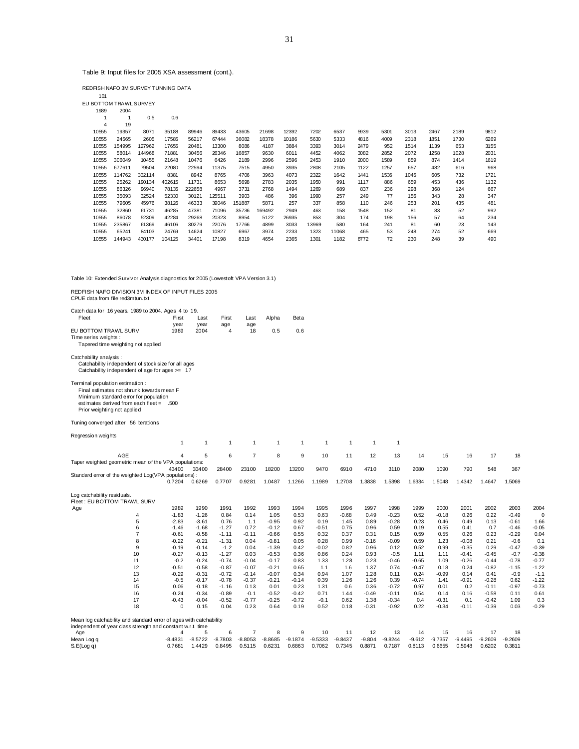Table 9: Input files for 2005 XSA assessment (cont.).

REDFISH NAFO 3M SURVEY TUNNING DATA

| 101                    |              |        |        |        |        |        |        |       |       |       |      |      |      |      |      |      |
|------------------------|--------------|--------|--------|--------|--------|--------|--------|-------|-------|-------|------|------|------|------|------|------|
| EU BOTTOM TRAWL SURVEY |              |        |        |        |        |        |        |       |       |       |      |      |      |      |      |      |
| 1989                   | 2004         |        |        |        |        |        |        |       |       |       |      |      |      |      |      |      |
| 1                      | $\mathbf{1}$ | 0.5    | 0.6    |        |        |        |        |       |       |       |      |      |      |      |      |      |
| $\overline{4}$         | 19           |        |        |        |        |        |        |       |       |       |      |      |      |      |      |      |
| 10555                  | 19357        | 8071   | 35188  | 89946  | 89433  | 43605  | 21698  | 12392 | 7202  | 6537  | 5939 | 5301 | 3013 | 2467 | 2189 | 9812 |
| 10555                  | 24565        | 2605   | 17585  | 56217  | 67444  | 36082  | 18378  | 10186 | 5630  | 5333  | 4816 | 4009 | 2318 | 1851 | 1730 | 6269 |
| 10555                  | 154995       | 127962 | 17655  | 20481  | 13300  | 8086   | 4187   | 3884  | 3393  | 3014  | 2479 | 952  | 1514 | 1139 | 653  | 3155 |
| 10555                  | 58014        | 144968 | 71881  | 30456  | 26346  | 16857  | 9630   | 6011  | 4452  | 4062  | 3082 | 2852 | 2072 | 1258 | 1028 | 2031 |
| 10555                  | 306049       | 10455  | 21648  | 10476  | 6426   | 2189   | 2996   | 2596  | 2453  | 1910  | 2000 | 1589 | 859  | 874  | 1414 | 1619 |
| 10555                  | 677611       | 79504  | 22080  | 22594  | 11375  | 7515   | 4950   | 3935  | 2808  | 2105  | 1122 | 1257 | 657  | 482  | 616  | 968  |
| 10555                  | 114762       | 332114 | 8381   | 8942   | 8765   | 4706   | 3963   | 4073  | 2322  | 1642  | 1441 | 1536 | 1045 | 605  | 732  | 1721 |
| 10555                  | 25262        | 190134 | 402615 | 11731  | 8653   | 5698   | 2783   | 2035  | 1950  | 991   | 1117 | 886  | 659  | 453  | 436  | 1132 |
| 10555                  | 86326        | 96940  | 78135  | 222658 | 4967   | 3731   | 2768   | 1494  | 1269  | 689   | 837  | 236  | 298  | 368  | 124  | 667  |
| 10555                  | 35093        | 32524  | 52330  | 30121  | 125511 | 3903   | 486    | 396   | 1990  | 257   | 249  | 77   | 156  | 343  | 28   | 347  |
| 10555                  | 79605        | 45976  | 38126  | 46333  | 39046  | 151887 | 5871   | 257   | 337   | 858   | 110  | 246  | 253  | 201  | 435  | 481  |
| 10555                  | 32860        | 61731  | 46285  | 47381  | 71096  | 35736  | 169492 | 2949  | 463   | 158   | 1548 | 152  | 81   | 83   | 52   | 992  |
| 10555                  | 86078        | 52309  | 42284  | 29268  | 20323  | 8954   | 5122   | 26935 | 853   | 304   | 174  | 198  | 156  | 57   | 64   | 234  |
| 10555                  | 235867       | 61369  | 46106  | 30279  | 22076  | 17766  | 4899   | 3033  | 13969 | 580   | 164  | 241  | 81   | 60   | 23   | 143  |
| 10555                  | 65241        | 84103  | 24769  | 14624  | 10827  | 6967   | 3974   | 2233  | 1323  | 11068 | 465  | 53   | 248  | 274  | 52   | 669  |
| 10555                  | 144943       | 430177 | 104125 | 34401  | 17198  | 8319   | 4654   | 2365  | 1301  | 1182  | 8772 | 72   | 230  | 248  | 39   | 490  |
|                        |              |        |        |        |        |        |        |       |       |       |      |      |      |      |      |      |
|                        |              |        |        |        |        |        |        |       |       |       |      |      |      |      |      |      |
|                        |              |        |        |        |        |        |        |       |       |       |      |      |      |      |      |      |
|                        |              |        |        |        |        |        |        |       |       |       |      |      |      |      |      |      |

Table 10: Extended Survivor Analysis diagnostics for 2005 (Lowestoft VPA Version 3.1)

REDFISH NAFO DIVISION 3M INDEX OF INPUT FILES 2005 CPUE data from file red3mtun.txt

| Catch data for 16 years. 1989 to 2004. Ages 4 to 19.<br>Fleet<br>EU BOTTOM TRAWL SURV<br>Time series weights :<br>Tapered time weighting not applied<br>Catchability analysis :<br>Catchability independent of stock size for all ages<br>Catchability independent of age for ages $>= 17$ | First<br>year<br>1989  | Last<br>year<br>2004 | First<br>age<br>$\overline{4}$ | Last<br>age<br>18 | Alpha<br>0.5       | Beta<br>0.6     |                 |              |                 |                    |              |                    |                |                    |                    |                 |
|--------------------------------------------------------------------------------------------------------------------------------------------------------------------------------------------------------------------------------------------------------------------------------------------|------------------------|----------------------|--------------------------------|-------------------|--------------------|-----------------|-----------------|--------------|-----------------|--------------------|--------------|--------------------|----------------|--------------------|--------------------|-----------------|
| Terminal population estimation :<br>Final estimates not shrunk towards mean F<br>Minimum standard error for population<br>estimates derived from each fleet = .500<br>Prior weighting not applied                                                                                          |                        |                      |                                |                   |                    |                 |                 |              |                 |                    |              |                    |                |                    |                    |                 |
| Tuning converged after 56 iterations                                                                                                                                                                                                                                                       |                        |                      |                                |                   |                    |                 |                 |              |                 |                    |              |                    |                |                    |                    |                 |
| Regression weights                                                                                                                                                                                                                                                                         | $\mathbf{1}$           | $\overline{1}$       | $\overline{1}$                 | $\overline{1}$    | $\overline{1}$     | $\mathbf{1}$    | $\mathbf{1}$    | $\mathbf{1}$ | $\mathbf{1}$    | $\overline{1}$     |              |                    |                |                    |                    |                 |
| AGE                                                                                                                                                                                                                                                                                        | $\overline{A}$         | 5                    | 6                              | $\overline{7}$    | 8                  | 9               | 10              | 11           | 12              | 13                 | 14           | 15                 | 16             | 17                 | 18                 |                 |
| Taper weighted geometric mean of the VPA populations:                                                                                                                                                                                                                                      |                        |                      |                                |                   |                    |                 |                 |              |                 |                    |              |                    |                |                    |                    |                 |
| Standard error of the weighted Log(VPA populations) :                                                                                                                                                                                                                                      | 43400                  | 33400                | 28400                          | 23100             | 18200              | 13200           | 9470            | 6910         | 4710            | 3110               | 2080         | 1090               | 790            | 548                | 367                |                 |
|                                                                                                                                                                                                                                                                                            | 0.7204                 | 0.6269               | 0.7707                         | 0.9281            | 1.0487             | 1.1266          | 1.1989          | 1.2708       | 1.3838          | 1.5398             | 1.6334       | 1.5048             | 1.4342         | 1.4647             | 1.5069             |                 |
| Log catchability residuals.<br>Fleet: EU BOTTOM TRAWL SURV                                                                                                                                                                                                                                 |                        |                      |                                |                   |                    |                 |                 |              |                 |                    |              |                    |                |                    |                    |                 |
| Age                                                                                                                                                                                                                                                                                        | 1989                   | 1990                 | 1991                           | 1992              | 1993               | 1994            | 1995            | 1996         | 1997            | 1998               | 1999         | 2000               | 2001           | 2002               | 2003               | 2004            |
| 4                                                                                                                                                                                                                                                                                          | $-1.83$                | $-1.26$              | 0.84                           | 0.14              | 1.05               | 0.53            | 0.63            | $-0.68$      | 0.49            | $-0.23$            | 0.52         | $-0.18$            | 0.26           | 0.22               | $-0.49$            | $\mathbf 0$     |
| 5<br>6                                                                                                                                                                                                                                                                                     | $-2.83$<br>$-1.46$     | $-3.61$<br>$-1.68$   | 0.76<br>$-1.27$                | 1.1<br>0.72       | $-0.95$<br>$-0.12$ | 0.92<br>0.67    | 0.19<br>$-0.51$ | 1.45<br>0.75 | 0.89<br>0.96    | $-0.28$<br>0.59    | 0.23<br>0.19 | 0.46<br>0.55       | 0.49<br>0.41   | 0.13<br>0.7        | $-0.61$<br>$-0.46$ | 1.66<br>$-0.05$ |
| $\overline{7}$                                                                                                                                                                                                                                                                             | $-0.61$                | $-0.58$              | $-1.11$                        | $-0.11$           | $-0.66$            | 0.55            | 0.32            | 0.37         | 0.31            | 0.15               | 0.59         | 0.55               | 0.26           | 0.23               | $-0.29$            | 0.04            |
| 8                                                                                                                                                                                                                                                                                          | $-0.22$                | $-0.21$              | $-1.31$                        | 0.04              | $-0.81$            | 0.05            | 0.28            | 0.99         | $-0.16$         | $-0.09$            | 0.59         | 1.23               | $-0.08$        | 0.21               | $-0.6$             | 0.1             |
| 9                                                                                                                                                                                                                                                                                          | $-0.19$                | $-0.14$              | $-1.2$                         | 0.04              | $-1.39$            | 0.42            | $-0.02$         | 0.82         | 0.96            | 0.12               | 0.52         | 0.99               | $-0.35$        | 0.29               | $-0.47$            | $-0.39$         |
| 10                                                                                                                                                                                                                                                                                         | $-0.27$                | $-0.13$              | $-1.27$                        | 0.03              | $-0.53$            | 0.36            | 0.86            | 0.24         | 0.93            | $-0.5$             | 1.11         | 1.11               | $-0.41$        | $-0.45$            | $-0.7$             | $-0.38$         |
| 11                                                                                                                                                                                                                                                                                         | $-0.2$                 | $-0.24$              | $-0.74$                        | $-0.04$           | $-0.17$            | 0.83            | 1.33            | 1.28         | 0.23            | $-0.46$            | $-0.65$      | 1.09               | $-0.26$        | $-0.44$            | $-0.78$            | $-0.77$         |
| 12                                                                                                                                                                                                                                                                                         | $-0.51$                | $-0.58$              | $-0.87$                        | $-0.07$           | $-0.21$            | 0.65            | 1.1             | 1.6          | 1.37            | 0.74               | $-0.47$      | 0.18               | 0.24           | $-0.82$            | $-1.15$            | $-1.22$         |
| 13                                                                                                                                                                                                                                                                                         | $-0.29$                | $-0.31$              | $-0.72$                        | $-0.14$           | $-0.07$            | 0.34            | 0.94            | 1.07         | 1.28            | 0.11               | 0.24         | $-0.99$            | 0.14           | 0.41               | $-0.9$             | $-1.1$          |
| 14                                                                                                                                                                                                                                                                                         | $-0.5$                 | $-0.17$              | $-0.78$                        | $-0.37$           | $-0.21$            | $-0.14$         | 0.39            | 1.26         | 1.26            | 0.39               | $-0.74$      | 1.41               | $-0.91$        | $-0.28$            | 0.62               | $-1.22$         |
| 15                                                                                                                                                                                                                                                                                         | 0.06                   | $-0.18$              | $-1.16$                        | 0.13              | 0.01               | 0.23            | 1.31            | 0.6          | 0.36            | $-0.72$            | 0.97         | 0.01               | 0.2            | $-0.11$            | $-0.97$            | $-0.73$         |
| 16                                                                                                                                                                                                                                                                                         | $-0.24$                | $-0.34$              | $-0.89$                        | $-0.1$            | $-0.52$            | $-0.42$         | 0.71            | 1.44         | $-0.49$         | $-0.11$            | 0.54         | 0.14               | 0.16           | $-0.58$            | 0.11               | 0.61            |
| 17<br>18                                                                                                                                                                                                                                                                                   | $-0.43$<br>$\mathbf 0$ | $-0.04$<br>0.15      | $-0.52$<br>0.04                | $-0.77$<br>0.23   | $-0.25$<br>0.64    | $-0.72$<br>0.19 | $-0.1$<br>0.52  | 0.62<br>0.18 | 1.38<br>$-0.31$ | $-0.34$<br>$-0.92$ | 0.4<br>0.22  | $-0.31$<br>$-0.34$ | 0.1<br>$-0.11$ | $-0.42$<br>$-0.39$ | 1.09<br>0.03       | 0.3<br>$-0.29$  |
|                                                                                                                                                                                                                                                                                            |                        |                      |                                |                   |                    |                 |                 |              |                 |                    |              |                    |                |                    |                    |                 |
| Mean log catchability and standard error of ages with catchability                                                                                                                                                                                                                         |                        |                      |                                |                   |                    |                 |                 |              |                 |                    |              |                    |                |                    |                    |                 |
| independent of year class strength and constant w.r.t. time                                                                                                                                                                                                                                |                        | 5                    | 6                              | $\overline{7}$    | 8                  | 9               | 10              | 11           | 12              | 13                 | 14           | 15                 | 16             | 17                 | 18                 |                 |
| Age<br>Mean Log q                                                                                                                                                                                                                                                                          | $-8.4831$              | $-8.5722$            | $-8.7803$                      | $-8.8053$         | $-8.8685$          | $-9.1874$       | $-9.5333$       | $-9.8437$    | $-9.804$        | $-9.8244$          | $-9.612$     | $-9.7357$          | $-9.4495$      | $-9.2609$          | $-9.2609$          |                 |
| S.E(Log q)                                                                                                                                                                                                                                                                                 | 0.7681                 | 1.4429               | 0.8495                         | 0.5115            | 0.6231             | 0.6863          | 0.7062          | 0.7345       | 0.8871          | 0.7187             | 0.8113       | 0.6655             | 0.5948         | 0.6202             | 0.3811             |                 |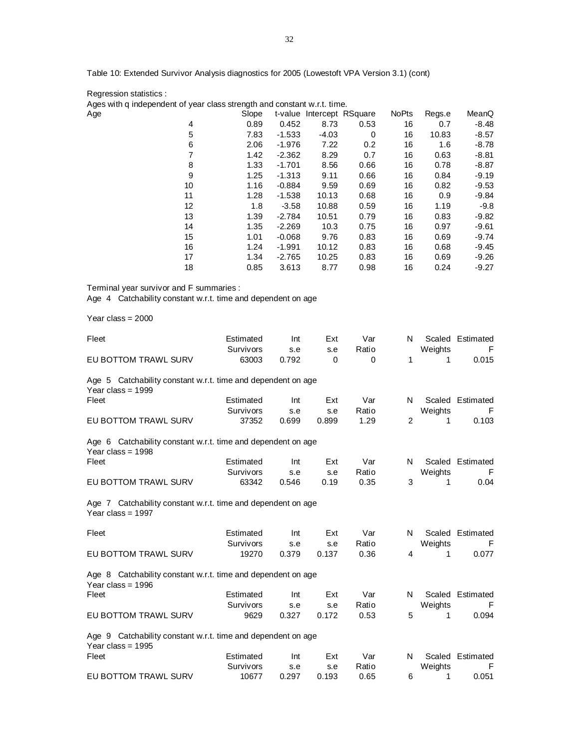Table 10: Extended Survivor Analysis diagnostics for 2005 (Lowestoft VPA Version 3.1) (cont)

Regression statistics :

Ages with q independent of year class strength and constant w.r.t. time.

| Age |    | Slope |          | t-value Intercept RSquare |      | <b>NoPts</b> | Regs.e | MeanQ   |
|-----|----|-------|----------|---------------------------|------|--------------|--------|---------|
|     | 4  | 0.89  | 0.452    | 8.73                      | 0.53 | 16           | 0.7    | $-8.48$ |
|     | 5  | 7.83  | $-1.533$ | $-4.03$                   | 0    | 16           | 10.83  | $-8.57$ |
|     | 6  | 2.06  | $-1.976$ | 7.22                      | 0.2  | 16           | 1.6    | $-8.78$ |
|     | 7  | 1.42  | $-2.362$ | 8.29                      | 0.7  | 16           | 0.63   | $-8.81$ |
|     | 8  | 1.33  | $-1.701$ | 8.56                      | 0.66 | 16           | 0.78   | -8.87   |
|     | 9  | 1.25  | $-1.313$ | 9.11                      | 0.66 | 16           | 0.84   | $-9.19$ |
|     | 10 | 1.16  | $-0.884$ | 9.59                      | 0.69 | 16           | 0.82   | $-9.53$ |
|     | 11 | 1.28  | $-1.538$ | 10.13                     | 0.68 | 16           | 0.9    | $-9.84$ |
|     | 12 | 1.8   | $-3.58$  | 10.88                     | 0.59 | 16           | 1.19   | $-9.8$  |
|     | 13 | 1.39  | $-2.784$ | 10.51                     | 0.79 | 16           | 0.83   | $-9.82$ |
|     | 14 | 1.35  | $-2.269$ | 10.3                      | 0.75 | 16           | 0.97   | $-9.61$ |
|     | 15 | 1.01  | $-0.068$ | 9.76                      | 0.83 | 16           | 0.69   | $-9.74$ |
|     | 16 | 1.24  | $-1.991$ | 10.12                     | 0.83 | 16           | 0.68   | $-9.45$ |
|     | 17 | 1.34  | $-2.765$ | 10.25                     | 0.83 | 16           | 0.69   | $-9.26$ |
|     | 18 | 0.85  | 3.613    | 8.77                      | 0.98 | 16           | 0.24   | $-9.27$ |

Terminal year survivor and F summaries :

Age 4 Catchability constant w.r.t. time and dependent on age

Year class = 2000

| Fleet                                                                               | Estimated<br>Survivors | Int<br>s.e | Ext<br>s.e | Var<br>Ratio | N              | Weights | Scaled Estimated<br>F |
|-------------------------------------------------------------------------------------|------------------------|------------|------------|--------------|----------------|---------|-----------------------|
| EU BOTTOM TRAWL SURV                                                                | 63003                  | 0.792      | $\Omega$   | 0            | 1              | 1       | 0.015                 |
| Age 5 Catchability constant w.r.t. time and dependent on age<br>Year class = $1999$ |                        |            |            |              |                |         |                       |
| Fleet                                                                               | Estimated              | Int        | Ext        | Var          | N              |         | Scaled Estimated      |
|                                                                                     | Survivors              | s.e        | s.e        | Ratio        |                | Weights | F                     |
| EU BOTTOM TRAWL SURV                                                                | 37352                  | 0.699      | 0.899      | 1.29         | $\overline{2}$ | 1       | 0.103                 |
| Age 6 Catchability constant w.r.t. time and dependent on age<br>Year class = $1998$ |                        |            |            |              |                |         |                       |
| Fleet                                                                               | Estimated              | Int        | Ext        | Var          | N              |         | Scaled Estimated      |
|                                                                                     | Survivors              | s.e        | s.e        | Ratio        |                | Weights | F                     |
| EU BOTTOM TRAWL SURV                                                                | 63342                  | 0.546      | 0.19       | 0.35         | 3              | 1       | 0.04                  |
| Age 7 Catchability constant w.r.t. time and dependent on age<br>Year class = $1997$ |                        |            |            |              |                |         |                       |
| Fleet                                                                               | Estimated              | Int        | Ext        | Var          | N              |         | Scaled Estimated      |
|                                                                                     | Survivors              | s.e        | s.e        | Ratio        |                | Weights | F                     |
| EU BOTTOM TRAWL SURV                                                                | 19270                  | 0.379      | 0.137      | 0.36         | 4              | 1       | 0.077                 |
| Age 8 Catchability constant w.r.t. time and dependent on age<br>Year class = $1996$ |                        |            |            |              |                |         |                       |
| Fleet                                                                               | Estimated              | Int        | Ext        | Var          | N              | Scaled  | Estimated             |
|                                                                                     | Survivors              | s.e        | s.e        | Ratio        |                | Weights | F                     |
| EU BOTTOM TRAWL SURV                                                                | 9629                   | 0.327      | 0.172      | 0.53         | 5              | 1       | 0.094                 |
| Age 9 Catchability constant w.r.t. time and dependent on age<br>Year class = $1995$ |                        |            |            |              |                |         |                       |
| Fleet                                                                               | Estimated              | Int        | Ext        | Var          | N              |         | Scaled Estimated      |
|                                                                                     | Survivors              | s.e        | s.e        | Ratio        |                | Weights | F                     |
| EU BOTTOM TRAWL SURV                                                                | 10677                  | 0.297      | 0.193      | 0.65         | 6              | 1       | 0.051                 |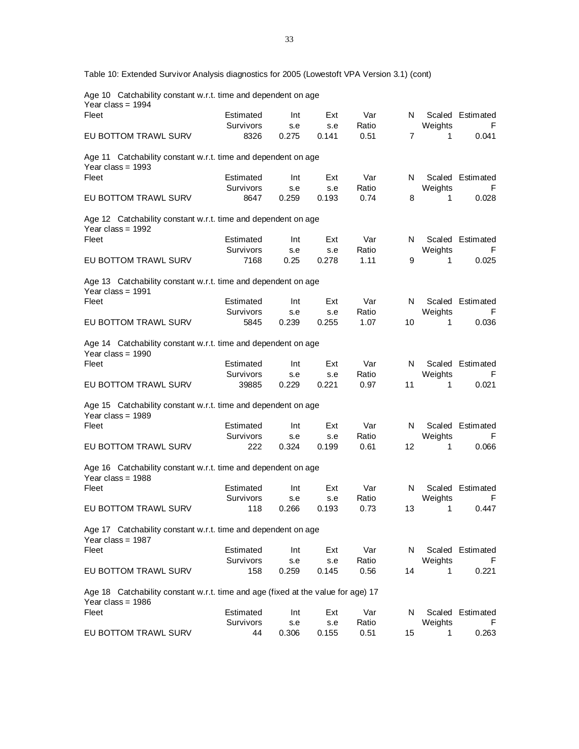Table 10: Extended Survivor Analysis diagnostics for 2005 (Lowestoft VPA Version 3.1) (cont)

Age 10 Catchability constant w.r.t. time and dependent on age Year class = 1994

| Fleet                                                                                                   | Estimated | Int   | Ext   | Var   | N              |         | Scaled Estimated |
|---------------------------------------------------------------------------------------------------------|-----------|-------|-------|-------|----------------|---------|------------------|
|                                                                                                         | Survivors | s.e   | s.e   | Ratio |                | Weights | F                |
| EU BOTTOM TRAWL SURV                                                                                    | 8326      | 0.275 | 0.141 | 0.51  | $\overline{7}$ | 1       | 0.041            |
| Age 11 Catchability constant w.r.t. time and dependent on age<br>Year class = $1993$                    |           |       |       |       |                |         |                  |
| Fleet                                                                                                   | Estimated | Int   | Ext   | Var   | N              |         | Scaled Estimated |
|                                                                                                         | Survivors | s.e   | s.e   | Ratio |                | Weights | F                |
| EU BOTTOM TRAWL SURV                                                                                    | 8647      | 0.259 | 0.193 | 0.74  | 8              | 1       | 0.028            |
| Age 12 Catchability constant w.r.t. time and dependent on age<br>Year class = $1992$                    |           |       |       |       |                |         |                  |
| Fleet                                                                                                   | Estimated | Int   | Ext   | Var   | N              | Scaled  | Estimated        |
|                                                                                                         | Survivors | s.e   | s.e   | Ratio |                | Weights | F                |
| EU BOTTOM TRAWL SURV                                                                                    | 7168      | 0.25  | 0.278 | 1.11  | 9              | 1       | 0.025            |
| Age 13 Catchability constant w.r.t. time and dependent on age<br>Year class = $1991$                    |           |       |       |       |                |         |                  |
| Fleet                                                                                                   | Estimated | Int   | Ext   | Var   | N              |         | Scaled Estimated |
|                                                                                                         | Survivors | s.e   | s.e   | Ratio |                | Weights | F                |
| EU BOTTOM TRAWL SURV                                                                                    | 5845      | 0.239 | 0.255 | 1.07  | 10             | 1       | 0.036            |
| Age 14 Catchability constant w.r.t. time and dependent on age<br>Year class = $1990$                    |           |       |       |       |                |         |                  |
| Fleet                                                                                                   | Estimated | Int   | Ext   | Var   | N              | Scaled  | Estimated        |
|                                                                                                         | Survivors | s.e   | s.e   | Ratio |                | Weights | F                |
| EU BOTTOM TRAWL SURV                                                                                    | 39885     | 0.229 | 0.221 | 0.97  | 11             | 1       | 0.021            |
| Age 15 Catchability constant w.r.t. time and dependent on age<br>Year class = $1989$                    |           |       |       |       |                |         |                  |
| Fleet                                                                                                   | Estimated | Int   | Ext   | Var   | N              |         | Scaled Estimated |
|                                                                                                         | Survivors | s.e   | s.e   | Ratio |                | Weights | F.               |
| EU BOTTOM TRAWL SURV                                                                                    | 222       | 0.324 | 0.199 | 0.61  | 12             | 1       | 0.066            |
| Age 16 Catchability constant w.r.t. time and dependent on age<br>Year class = $1988$                    |           |       |       |       |                |         |                  |
| Fleet                                                                                                   | Estimated | Int   | Ext   | Var   | N              |         | Scaled Estimated |
|                                                                                                         | Survivors | s.e   | s.e   | Ratio |                | Weights | F                |
| EU BOTTOM TRAWL SURV                                                                                    | 118       | 0.266 | 0.193 | 0.73  | 13             | 1       | 0.447            |
| Age 17 Catchability constant w.r.t. time and dependent on age<br>Year class = 1987                      |           |       |       |       |                |         |                  |
| Fleet                                                                                                   | Estimated | Int   | Ext   | Var   | N              |         | Scaled Estimated |
|                                                                                                         | Survivors | s.e   | s.e   | Ratio |                | Weights | F.               |
| EU BOTTOM TRAWL SURV                                                                                    | 158       | 0.259 | 0.145 | 0.56  | 14             | 1       | 0.221            |
| Age 18 Catchability constant w.r.t. time and age (fixed at the value for age) 17<br>Year class = $1986$ |           |       |       |       |                |         |                  |
| Fleet                                                                                                   | Estimated | Int   | Ext   | Var   | N              |         | Scaled Estimated |
|                                                                                                         | Survivors | s.e   | s.e   | Ratio |                | Weights | F                |
| EU BOTTOM TRAWL SURV                                                                                    | 44        | 0.306 | 0.155 | 0.51  | 15             | 1       | 0.263            |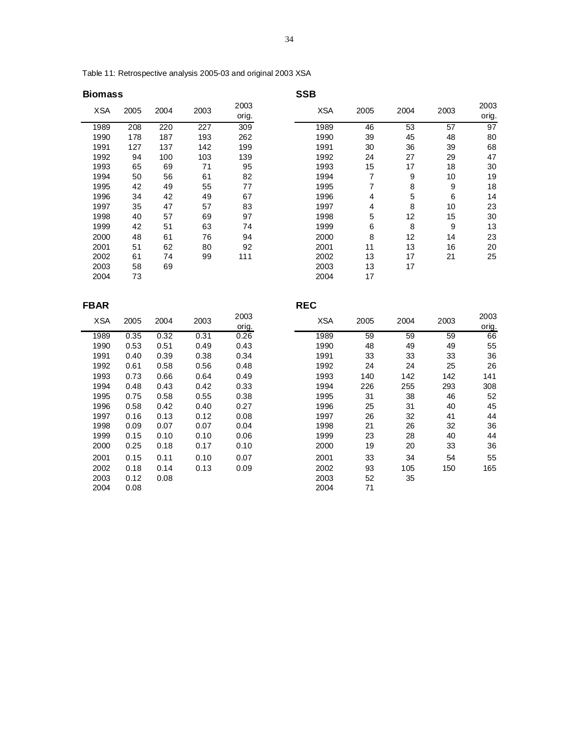Table 11: Retrospective analysis 2005-03 and original 2003 XSA

# **Biomass** SSB

| <b>XSA</b> | 2005 | 2004 | 2003 | 2003<br>orig. | <b>XSA</b> | 2005 | 2004 | 2003 | 2003<br>orig. |
|------------|------|------|------|---------------|------------|------|------|------|---------------|
| 1989       | 208  | 220  | 227  | 309           | 1989       | 46   | 53   | 57   | 97            |
| 1990       | 178  | 187  | 193  | 262           | 1990       | 39   | 45   | 48   | 80            |
| 1991       | 127  | 137  | 142  | 199           | 1991       | 30   | 36   | 39   | 68            |
| 1992       | 94   | 100  | 103  | 139           | 1992       | 24   | 27   | 29   | 47            |
| 1993       | 65   | 69   | 71   | 95            | 1993       | 15   | 17   | 18   | 30            |
| 1994       | 50   | 56   | 61   | 82            | 1994       | 7    | 9    | 10   | 19            |
| 1995       | 42   | 49   | 55   | 77            | 1995       | 7    | 8    | 9    | 18            |
| 1996       | 34   | 42   | 49   | 67            | 1996       | 4    | 5    | 6    | 14            |
| 1997       | 35   | 47   | 57   | 83            | 1997       | 4    | 8    | 10   | 23            |
| 1998       | 40   | 57   | 69   | 97            | 1998       | 5    | 12   | 15   | 30            |
| 1999       | 42   | 51   | 63   | 74            | 1999       | 6    | 8    | 9    | 13            |
| 2000       | 48   | 61   | 76   | 94            | 2000       | 8    | 12   | 14   | 23            |
| 2001       | 51   | 62   | 80   | 92            | 2001       | 11   | 13   | 16   | 20            |
| 2002       | 61   | 74   | 99   | 111           | 2002       | 13   | 17   | 21   | 25            |
| 2003       | 58   | 69   |      |               | 2003       | 13   | 17   |      |               |
| 2004       | 73   |      |      |               | 2004       | 17   |      |      |               |
|            |      |      |      |               |            |      |      |      |               |

| <b>FBAR</b> |      |      |      |               | <b>REC</b> |      |      |      |               |
|-------------|------|------|------|---------------|------------|------|------|------|---------------|
| <b>XSA</b>  | 2005 | 2004 | 2003 | 2003<br>orig. | <b>XSA</b> | 2005 | 2004 | 2003 | 2003<br>orig. |
| 1989        | 0.35 | 0.32 | 0.31 | 0.26          | 1989       | 59   | 59   | 59   | 66            |
| 1990        | 0.53 | 0.51 | 0.49 | 0.43          | 1990       | 48   | 49   | 49   | 55            |
| 1991        | 0.40 | 0.39 | 0.38 | 0.34          | 1991       | 33   | 33   | 33   | 36            |
| 1992        | 0.61 | 0.58 | 0.56 | 0.48          | 1992       | 24   | 24   | 25   | 26            |
| 1993        | 0.73 | 0.66 | 0.64 | 0.49          | 1993       | 140  | 142  | 142  | 141           |
| 1994        | 0.48 | 0.43 | 0.42 | 0.33          | 1994       | 226  | 255  | 293  | 308           |
| 1995        | 0.75 | 0.58 | 0.55 | 0.38          | 1995       | 31   | 38   | 46   | 52            |
| 1996        | 0.58 | 0.42 | 0.40 | 0.27          | 1996       | 25   | 31   | 40   | 45            |
| 1997        | 0.16 | 0.13 | 0.12 | 0.08          | 1997       | 26   | 32   | 41   | 44            |
| 1998        | 0.09 | 0.07 | 0.07 | 0.04          | 1998       | 21   | 26   | 32   | 36            |
| 1999        | 0.15 | 0.10 | 0.10 | 0.06          | 1999       | 23   | 28   | 40   | 44            |
| 2000        | 0.25 | 0.18 | 0.17 | 0.10          | 2000       | 19   | 20   | 33   | 36            |
| 2001        | 0.15 | 0.11 | 0.10 | 0.07          | 2001       | 33   | 34   | 54   | 55            |
| 2002        | 0.18 | 0.14 | 0.13 | 0.09          | 2002       | 93   | 105  | 150  | 165           |
| 2003        | 0.12 | 0.08 |      |               | 2003       | 52   | 35   |      |               |
| 2004        | 0.08 |      |      |               | 2004       | 71   |      |      |               |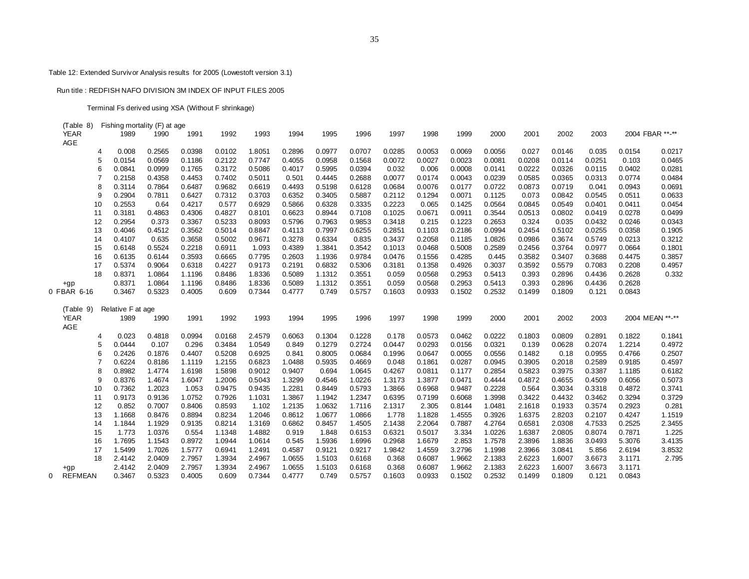## Table 12: Extended Survivor Analysis results for 2005 (Lowestoft version 3.1)

#### Run title : REDFISH NAFO DIVISION 3M INDEX OF INPUT FILES 2005

Terminal Fs derived using XSA (Without F shrinkage)

| (Table      | 8) | Fishing mortality (F) at age |        |        |        |        |        |        |        |        |        |        |        |        |        |        |        |                 |
|-------------|----|------------------------------|--------|--------|--------|--------|--------|--------|--------|--------|--------|--------|--------|--------|--------|--------|--------|-----------------|
| <b>YEAR</b> |    | 1989                         | 1990   | 1991   | 1992   | 1993   | 1994   | 1995   | 1996   | 1997   | 1998   | 1999   | 2000   | 2001   | 2002   | 2003   |        | 2004 FBAR **-** |
| AGE         |    |                              |        |        |        |        |        |        |        |        |        |        |        |        |        |        |        |                 |
|             | 4  | 0.008                        | 0.2565 | 0.0398 | 0.0102 | 1.8051 | 0.2896 | 0.0977 | 0.0707 | 0.0285 | 0.0053 | 0.0069 | 0.0056 | 0.027  | 0.0146 | 0.035  | 0.0154 | 0.0217          |
|             | 5  | 0.0154                       | 0.0569 | 0.1186 | 0.2122 | 0.7747 | 0.4055 | 0.0958 | 0.1568 | 0.0072 | 0.0027 | 0.0023 | 0.0081 | 0.0208 | 0.0114 | 0.0251 | 0.103  | 0.0465          |
|             | 6  | 0.0841                       | 0.0999 | 0.1765 | 0.3172 | 0.5086 | 0.4017 | 0.5995 | 0.0394 | 0.032  | 0.006  | 0.0008 | 0.0141 | 0.0222 | 0.0326 | 0.0115 | 0.0402 | 0.0281          |
|             |    | 0.2158                       | 0.4358 | 0.4453 | 0.7402 | 0.5011 | 0.501  | 0.4445 | 0.2688 | 0.0077 | 0.0174 | 0.0043 | 0.0239 | 0.0585 | 0.0365 | 0.0313 | 0.0774 | 0.0484          |
|             | 8  | 0.3114                       | 0.7864 | 0.6487 | 0.9682 | 0.6619 | 0.4493 | 0.5198 | 0.6128 | 0.0684 | 0.0076 | 0.0177 | 0.0722 | 0.0873 | 0.0719 | 0.041  | 0.0943 | 0.0691          |
|             | 9  | 0.2904                       | 0.7811 | 0.6427 | 0.7312 | 0.3703 | 0.6352 | 0.3405 | 0.5887 | 0.2112 | 0.1294 | 0.0071 | 0.1125 | 0.073  | 0.0842 | 0.0545 | 0.0511 | 0.0633          |
|             | 10 | 0.2553                       | 0.64   | 0.4217 | 0.577  | 0.6929 | 0.5866 | 0.6328 | 0.3335 | 0.2223 | 0.065  | 0.1425 | 0.0564 | 0.0845 | 0.0549 | 0.0401 | 0.0411 | 0.0454          |
|             | 11 | 0.3181                       | 0.4863 | 0.4306 | 0.4827 | 0.8101 | 0.6623 | 0.8944 | 0.7108 | 0.1025 | 0.0671 | 0.0911 | 0.3544 | 0.0513 | 0.0802 | 0.0419 | 0.0278 | 0.0499          |
|             | 12 | 0.2954                       | 0.373  | 0.3367 | 0.5233 | 0.8093 | 0.5796 | 0.7963 | 0.9853 | 0.3418 | 0.215  | 0.1223 | 0.2653 | 0.324  | 0.035  | 0.0432 | 0.0246 | 0.0343          |
|             | 13 | 0.4046                       | 0.4512 | 0.3562 | 0.5014 | 0.8847 | 0.4113 | 0.7997 | 0.6255 | 0.2851 | 0.1103 | 0.2186 | 0.0994 | 0.2454 | 0.5102 | 0.0255 | 0.0358 | 0.1905          |
|             | 14 | 0.4107                       | 0.635  | 0.3658 | 0.5002 | 0.9671 | 0.3278 | 0.6334 | 0.835  | 0.3437 | 0.2058 | 0.1185 | 1.0826 | 0.0986 | 0.3674 | 0.5749 | 0.0213 | 0.3212          |
|             | 15 | 0.6148                       | 0.5524 | 0.2218 | 0.6911 | 1.093  | 0.4389 | 1.3841 | 0.3542 | 0.1013 | 0.0468 | 0.5008 | 0.2589 | 0.2456 | 0.3764 | 0.0977 | 0.0664 | 0.1801          |
|             | 16 | 0.6135                       | 0.6144 | 0.3593 | 0.6665 | 0.7795 | 0.2603 | 1.1936 | 0.9784 | 0.0476 | 0.1556 | 0.4285 | 0.445  | 0.3582 | 0.3407 | 0.3688 | 0.4475 | 0.3857          |
|             | 17 | 0.5374                       | 0.9064 | 0.6318 | 0.4227 | 0.9173 | 0.2191 | 0.6832 | 0.5306 | 0.3181 | 0.1358 | 0.4926 | 0.3037 | 0.3592 | 0.5579 | 0.7083 | 0.2208 | 0.4957          |
|             | 18 | 0.8371                       | 1.0864 | 1.1196 | 0.8486 | 1.8336 | 0.5089 | 1.1312 | 0.3551 | 0.059  | 0.0568 | 0.2953 | 0.5413 | 0.393  | 0.2896 | 0.4436 | 0.2628 | 0.332           |
| +gp         |    | 0.8371                       | 1.0864 | 1.1196 | 0.8486 | 1.8336 | 0.5089 | 1.1312 | 0.3551 | 0.059  | 0.0568 | 0.2953 | 0.5413 | 0.393  | 0.2896 | 0.4436 | 0.2628 |                 |
| 0 FBAR 6-16 |    | 0.3467                       | 0.5323 | 0.4005 | 0.609  | 0.7344 | 0.4777 | 0.749  | 0.5757 | 0.1603 | 0.0933 | 0.1502 | 0.2532 | 0.1499 | 0.1809 | 0.121  | 0.0843 |                 |
| (Table 9)   |    | Relative F at age            |        |        |        |        |        |        |        |        |        |        |        |        |        |        |        |                 |
| <b>YEAR</b> |    | 1989                         | 1990   | 1991   | 1992   | 1993   | 1994   | 1995   | 1996   | 1997   | 1998   | 1999   | 2000   | 2001   | 2002   | 2003   |        | 2004 MEAN **-** |
| AGE         |    |                              |        |        |        |        |        |        |        |        |        |        |        |        |        |        |        |                 |
|             | 4  | 0.023                        | 0.4818 | 0.0994 | 0.0168 | 2.4579 | 0.6063 | 0.1304 | 0.1228 | 0.178  | 0.0573 | 0.0462 | 0.0222 | 0.1803 | 0.0809 | 0.2891 | 0.1822 | 0.1841          |
|             | 5  | 0.0444                       | 0.107  | 0.296  | 0.3484 | 1.0549 | 0.849  | 0.1279 | 0.2724 | 0.0447 | 0.0293 | 0.0156 | 0.0321 | 0.139  | 0.0628 | 0.2074 | 1.2214 | 0.4972          |
|             | 6  | 0.2426                       | 0.1876 | 0.4407 | 0.5208 | 0.6925 | 0.841  | 0.8005 | 0.0684 | 0.1996 | 0.0647 | 0.0055 | 0.0556 | 0.1482 | 0.18   | 0.0955 | 0.4766 | 0.2507          |
|             |    | 0.6224                       | 0.8186 | 1.1119 | 1.2155 | 0.6823 | 1.0488 | 0.5935 | 0.4669 | 0.048  | 0.1861 | 0.0287 | 0.0945 | 0.3905 | 0.2018 | 0.2589 | 0.9185 | 0.4597          |
|             | 8  | 0.8982                       | 1.4774 | 1.6198 | 1.5898 | 0.9012 | 0.9407 | 0.694  | 1.0645 | 0.4267 | 0.0811 | 0.1177 | 0.2854 | 0.5823 | 0.3975 | 0.3387 | 1.1185 | 0.6182          |
|             | 9  | 0.8376                       | 1.4674 | 1.6047 | 1.2006 | 0.5043 | 1.3299 | 0.4546 | 1.0226 | 1.3173 | 1.3877 | 0.0471 | 0.4444 | 0.4872 | 0.4655 | 0.4509 | 0.6056 | 0.5073          |
|             | 10 | 0.7362                       | 1.2023 | 1.053  | 0.9475 | 0.9435 | 1.2281 | 0.8449 | 0.5793 | 1.3866 | 0.6968 | 0.9487 | 0.2228 | 0.564  | 0.3034 | 0.3318 | 0.4872 | 0.3741          |
|             | 11 | 0.9173                       | 0.9136 | 1.0752 | 0.7926 | 1.1031 | 1.3867 | 1.1942 | 1.2347 | 0.6395 | 0.7199 | 0.6068 | 1.3998 | 0.3422 | 0.4432 | 0.3462 | 0.3294 | 0.3729          |
|             | 12 | 0.852                        | 0.7007 | 0.8406 | 0.8593 | 1.102  | 1.2135 | 1.0632 | 1.7116 | 2.1317 | 2.305  | 0.8144 | 1.0481 | 2.1618 | 0.1933 | 0.3574 | 0.2923 | 0.281           |
|             | 13 | 1.1668                       | 0.8476 | 0.8894 | 0.8234 | 1.2046 | 0.8612 | 1.0677 | 1.0866 | 1.778  | 1.1828 | 1.4555 | 0.3926 | 1.6375 | 2.8203 | 0.2107 | 0.4247 | 1.1519          |
|             | 14 | 1.1844                       | 1.1929 | 0.9135 | 0.8214 | 1.3169 | 0.6862 | 0.8457 | 1.4505 | 2.1438 | 2.2064 | 0.7887 | 4.2764 | 0.6581 | 2.0308 | 4.7533 | 0.2525 | 2.3455          |
|             | 15 | 1.773                        | 1.0376 | 0.554  | 1.1348 | 1.4882 | 0.919  | 1.848  | 0.6153 | 0.6321 | 0.5017 | 3.334  | 1.0226 | 1.6387 | 2.0805 | 0.8074 | 0.7871 | 1.225           |
|             | 16 | 1.7695                       | 1.1543 | 0.8972 | 1.0944 | 1.0614 | 0.545  | 1.5936 | 1.6996 | 0.2968 | 1.6679 | 2.853  | 1.7578 | 2.3896 | 1.8836 | 3.0493 | 5.3076 | 3.4135          |
|             | 17 | 1.5499                       | 1.7026 | 1.5777 | 0.6941 | 1.2491 | 0.4587 | 0.9121 | 0.9217 | 1.9842 | 1.4559 | 3.2796 | 1.1998 | 2.3966 | 3.0841 | 5.856  | 2.6194 | 3.8532          |
|             | 18 | 2.4142                       | 2.0409 | 2.7957 | 1.3934 | 2.4967 | 1.0655 | 1.5103 | 0.6168 | 0.368  | 0.6087 | 1.9662 | 2.1383 | 2.6223 | 1.6007 | 3.6673 | 3.1171 | 2.795           |
| $+gp$       |    | 2.4142                       | 2.0409 | 2.7957 | 1.3934 | 2.4967 | 1.0655 | 1.5103 | 0.6168 | 0.368  | 0.6087 | 1.9662 | 2.1383 | 2.6223 | 1.6007 | 3.6673 | 3.1171 |                 |
| 0 REFMEAN   |    | 0.3467                       | 0.5323 | 0.4005 | 0.609  | 0.7344 | 0.4777 | 0.749  | 0.5757 | 0.1603 | 0.0933 | 0.1502 | 0.2532 | 0.1499 | 0.1809 | 0.121  | 0.0843 |                 |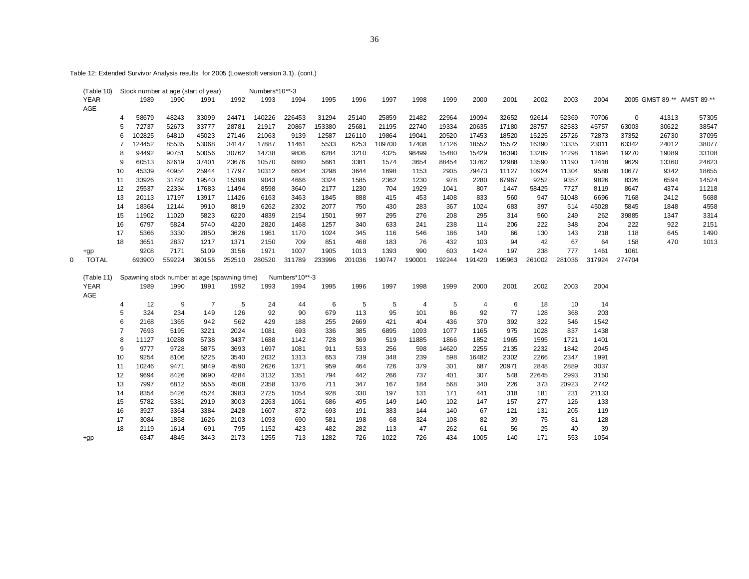Table 12: Extended Survivor Analysis results for 2005 (Lowestoft version 3.1). (cont.)

|   | (Table 10)   |    |              |              | Stock number at age (start of year)          |             | Numbers*10**-3 |                |        |        |             |           |        |        |           |           |        |            |        |                            |       |
|---|--------------|----|--------------|--------------|----------------------------------------------|-------------|----------------|----------------|--------|--------|-------------|-----------|--------|--------|-----------|-----------|--------|------------|--------|----------------------------|-------|
|   | <b>YEAR</b>  |    | 1989         | 1990         | 1991                                         | 1992        | 1993           | 1994           | 1995   | 1996   | 1997        | 1998      | 1999   | 2000   | 2001      | 2002      | 2003   | 2004       |        | 2005 GMST 89-** AMST 89-** |       |
|   | AGE          |    |              |              |                                              |             |                |                |        |        |             |           |        |        |           |           |        |            |        |                            |       |
|   |              | 4  | 58679        | 48243        | 33099                                        | 24471       | 140226         | 226453         | 31294  | 25140  | 25859       | 21482     | 22964  | 19094  | 32652     | 92614     | 52369  | 70706      | 0      | 41313                      | 57305 |
|   |              | 5  | 72737        | 52673        | 33777                                        | 28781       | 21917          | 20867          | 153380 | 25681  | 21195       | 22740     | 19334  | 20635  | 17180     | 28757     | 82583  | 45757      | 63003  | 30622                      | 38547 |
|   |              | 6  | 102825       | 64810        | 45023                                        | 27146       | 21063          | 9139           | 12587  | 126110 | 19864       | 19041     | 20520  | 17453  | 18520     | 15225     | 25726  | 72873      | 37352  | 26730                      | 37095 |
|   |              |    | 124452       | 85535        | 53068                                        | 34147       | 17887          | 11461          | 5533   | 6253   | 109700      | 17408     | 17126  | 18552  | 15572     | 16390     | 13335  | 23011      | 63342  | 24012                      | 38077 |
|   |              | 8  | 94492        | 90751        | 50056                                        | 30762       | 14738          | 9806           | 6284   | 3210   | 4325        | 98499     | 15480  | 15429  | 16390     | 13289     | 14298  | 11694      | 19270  | 19089                      | 33108 |
|   |              | 9  | 60513        | 62619        | 37401                                        | 23676       | 10570          | 6880           | 5661   | 3381   | 1574        | 3654      | 88454  | 13762  | 12988     | 13590     | 11190  | 12418      | 9629   | 13360                      | 24623 |
|   |              | 10 | 45339        | 40954        | 25944                                        | 17797       | 10312          | 6604           | 3298   | 3644   | 1698        | 1153      | 2905   | 79473  | 11127     | 10924     | 11304  | 9588       | 10677  | 9342                       | 18655 |
|   |              | 11 | 33926        | 31782        | 19540                                        | 15398       | 9043           | 4666           | 3324   | 1585   | 2362        | 1230      | 978    | 2280   | 67967     | 9252      | 9357   | 9826       | 8326   | 6594                       | 14524 |
|   |              | 12 | 25537        | 22334        | 17683                                        | 11494       | 8598           | 3640           | 2177   | 1230   | 704         | 1929      | 1041   | 807    | 1447      | 58425     | 7727   | 8119       | 8647   | 4374                       | 11218 |
|   |              | 13 | 20113        | 17197        | 13917                                        | 11426       | 6163           | 3463           | 1845   | 888    | 415         | 453       | 1408   | 833    | 560       | 947       | 51048  | 6696       | 7168   | 2412                       | 5688  |
|   |              | 14 | 18364        | 12144        | 9910                                         | 8819        | 6262           | 2302           | 2077   | 750    | 430         | 283       | 367    | 1024   | 683       | 397       | 514    | 45028      | 5845   | 1848                       | 4558  |
|   |              | 15 | 11902        | 11020        | 5823                                         | 6220        | 4839           | 2154           | 1501   | 997    | 295         | 276       | 208    | 295    | 314       | 560       | 249    | 262        | 39885  | 1347                       | 3314  |
|   |              | 16 | 6797         | 5824         | 5740                                         | 4220        | 2820           | 1468           | 1257   | 340    | 633         | 241       | 238    | 114    | 206       | 222       | 348    | 204        | 222    | 922                        | 2151  |
|   |              | 17 | 5366         | 3330         | 2850                                         | 3626        | 1961           | 1170           | 1024   | 345    | 116         | 546       | 186    | 140    | 66        | 130       | 143    | 218        | 118    | 645                        | 1490  |
|   |              | 18 | 3651         | 2837         | 1217                                         | 1371        | 2150           | 709            | 851    | 468    | 183         | 76        | 432    | 103    | 94        | 42        | 67     | 64         | 158    | 470                        | 1013  |
|   | $+qp$        |    | 9208         | 7171         | 5109                                         | 3156        | 1971           | 1007           | 1905   | 1013   | 1393        | 990       | 603    | 1424   | 197       | 238       | 777    | 1461       | 1061   |                            |       |
|   |              |    | 693900       | 559224       | 360156                                       | 252510      | 280520         | 311789         | 233996 | 201036 | 190747      | 190001    | 192244 | 191420 | 195963    | 261002    | 281036 | 317924     | 274704 |                            |       |
| 0 | <b>TOTAL</b> |    |              |              |                                              |             |                |                |        |        |             |           |        |        |           |           |        |            |        |                            |       |
|   |              |    |              |              |                                              |             |                |                |        |        |             |           |        |        |           |           |        |            |        |                            |       |
|   | (Table 11)   |    |              |              | Spawning stock number at age (spawning time) |             |                | Numbers*10**-3 |        |        |             |           |        |        |           |           |        |            |        |                            |       |
|   | <b>YEAR</b>  |    | 1989         | 1990         | 1991                                         | 1992        | 1993           | 1994           | 1995   | 1996   | 1997        | 1998      | 1999   | 2000   | 2001      | 2002      | 2003   | 2004       |        |                            |       |
|   | AGE          |    |              |              |                                              |             |                |                |        |        |             |           |        |        |           |           |        |            |        |                            |       |
|   |              | 4  | 12           | 9            | $\overline{7}$                               | 5           | 24             | 44             | 6      | 5      | 5           | 4         | 5      | 4      | 6         | 18        | 10     | 14         |        |                            |       |
|   |              | 5  | 324          | 234          | 149                                          | 126         | 92             | 90             | 679    | 113    | 95          | 101       | 86     | 92     | 77        | 128       | 368    | 203        |        |                            |       |
|   |              | 6  | 2168         | 1365         | 942                                          | 562         | 429            | 188            | 255    | 2669   | 421         | 404       | 436    | 370    | 392       | 322       | 546    | 1542       |        |                            |       |
|   |              |    | 7693         | 5195         | 3221                                         | 2024        | 1081           | 693            | 336    | 385    | 6895        | 1093      | 1077   | 1165   | 975       | 1028      | 837    | 1438       |        |                            |       |
|   |              | 8  | 11127        | 10288        | 5738                                         | 3437        | 1688           | 1142           | 728    | 369    | 519         | 11885     | 1866   | 1852   | 1965      | 1595      | 1721   | 1401       |        |                            |       |
|   |              | 9  | 9777         | 9728         | 5875                                         | 3693        | 1697           | 1081           | 911    | 533    | 256         | 598       | 14620  | 2255   | 2135      | 2232      | 1842   | 2045       |        |                            |       |
|   |              | 10 | 9254         | 8106         | 5225                                         | 3540        | 2032           | 1313           | 653    | 739    | 348         | 239       | 598    | 16482  | 2302      | 2266      | 2347   | 1991       |        |                            |       |
|   |              | 11 | 10246        | 9471         | 5849                                         | 4590        | 2626           | 1371           | 959    | 464    | 726         | 379       | 301    | 687    | 20971     | 2848      | 2889   | 3037       |        |                            |       |
|   |              | 12 | 9694         | 8426         | 6690                                         | 4284        | 3132           | 1351           | 794    | 442    | 266         | 737       | 401    | 307    | 548       | 22645     | 2993   | 3150       |        |                            |       |
|   |              | 13 | 7997         | 6812         | 5555                                         | 4508        | 2358           | 1376           | 711    | 347    | 167         | 184       | 568    | 340    | 226       | 373       | 20923  | 2742       |        |                            |       |
|   |              | 14 | 8354         | 5426         | 4524                                         | 3983        | 2725           | 1054           | 928    | 330    | 197         | 131       | 171    | 441    | 318       | 181       | 231    | 21133      |        |                            |       |
|   |              | 15 | 5782         | 5381         | 2919                                         | 3003        | 2263           | 1061           | 686    | 495    | 149         | 140       | 102    | 147    | 157       | 277       | 126    | 133        |        |                            |       |
|   |              | 16 | 3927         | 3364         | 3384                                         | 2428        | 1607           | 872            | 693    | 191    | 383         | 144       | 140    | 67     | 121       | 131       | 205    | 119        |        |                            |       |
|   |              | 17 | 3084         | 1858         | 1626                                         | 2103        | 1093           | 690            | 581    | 198    | 68          | 324       | 108    | 82     | 39        | 75        | 81     | 128        |        |                            |       |
|   |              | 18 | 2119<br>6347 | 1614<br>4845 | 691                                          | 795<br>2173 | 1152<br>1255   | 423            | 482    | 282    | 113<br>1022 | 47<br>726 | 262    | 61     | 56<br>140 | 25<br>171 | 40     | 39<br>1054 |        |                            |       |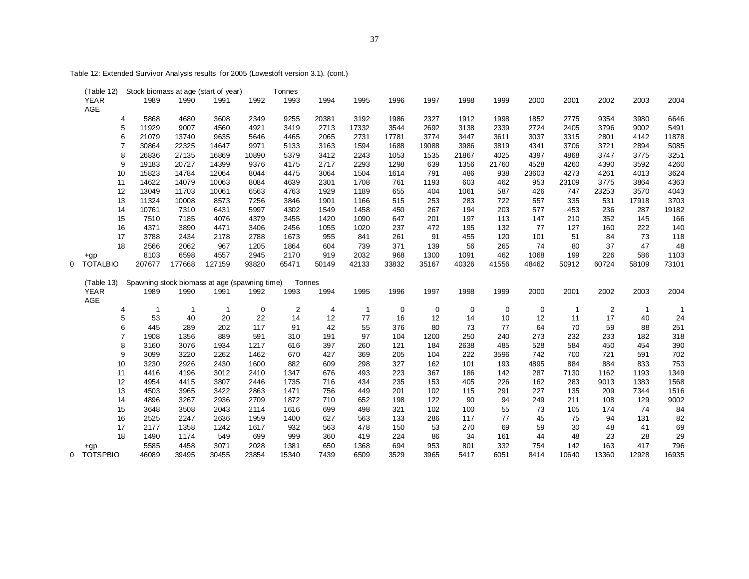(Table 12) Stock biomass at age (start of year) Tonnes YEAR 1989 1990 1991 1992 1993 1994 1995 1996 1997 1998 1999 2000 2001 2002 2003 AGE 5868 4680 3608 2349 9255 20381 3192 1986 2327 1912 1998 1852 2775 9354 3980 11929 9007 4560 4921 3419 2713 17332 3544 2692 3138 2339 2724 2405 3796 9002 21079 13740 9635 5646 4465 2065 2731 17781 3774 3447 3611 3037 3315 2801 4142 30864 22325 14647 9971 5133 3163 1594 1688 19088 3986 3819 4341 3706 3721 2894 26836 27135 16869 10890 5379 3412 2243 1053 1535 21867 4025 4397 4868 3747 3775 19183 20727 14399 9376 4175 2717 2293 1298 639 1356 21760 4528 4260 4390 3592 15823 14784 12064 8044 4475 3064 1504 1614 791 486 938 23603 4273 4261 4013 14622 14079 10063 8084 4639 2301 1708 761 1193 603 462 953 23109 3775 3864 13049 11703 10061 6563 4763 1929 1189 655 404 1061 587 426 747 23253 3570 11324 10008 8573 7256 3846 1901 1166 515 253 283 722 557 335 531 17918 10761 7310 6431 5997 4302 1549 1458 450 267 194 203 577 453 236 287 7510 7185 4076 4379 3455 1420 1090 647 201 197 113 147 210 352 145 4371 3890 4471 3406 2456 1055 1020 237 472 195 132 77 127 160 222 3788 2434 2178 2788 1673 955 841 261 91 455 120 101 51 84 73 2566 2062 967 1205 1864 604 739 371 139 56 265 74 80 37 47 +gp 8103 6598 4557 2945 2170 919 2032 968 1300 1091 462 1068 199 226 586 1103 0 TOTALBIO 207677 177668 127159 93820 65471 50149 42133 33832 35167 40326 41556 48462 50912 60724 58109 (Table 13) Spawning stock biomass at age (spawning time) Tonnes YEAR 1989 1990 1991 1992 1993 1994 1995 1996 1997 1998 1999 2000 2001 2002 2003 AGE 53 40 20 22 14 12 77 16 12 14 10 12 11 17 40 445 289 202 117 91 42 55 376 80 73 77 64 70 59 88 1908 1356 889 591 310 191 97 104 1200 250 240 273 232 233 182 3160 3076 1934 1217 616 397 260 121 184 2638 485 528 584 450 454 3099 3220 2262 1462 670 427 369 205 104 222 3596 742 700 721 591 3230 2926 2430 1600 882 609 298 327 162 101 193 4895 884 884 833 4416 4196 3012 2410 1347 676 493 223 367 186 142 287 7130 1162 1193 4954 4415 3807 2446 1735 716 434 235 153 405 226 162 283 9013 1383 4503 3965 3422 2863 1471 756 449 201 102 115 291 227 135 209 7344 4896 3267 2936 2709 1872 710 652 198 122 90 94 249 211 108 129 3648 3508 2043 2114 1616 699 498 321 102 100 55 73 105 174 74 2525 2247 2636 1959 1400 627 563 133 286 117 77 45 75 94 131 2177 1358 1242 1617 932 563 478 150 53 270 69 59 30 48 41 1490 1174 549 699 999 360 419 224 86 34 161 44 48 23 28

 +gp 5585 4458 3071 2028 1381 650 1368 694 953 801 332 754 142 163 417 796 0 TOTSPBIO 46089 39495 30455 23854 15340 7439 6509 3529 3965 5417 6051 8414 10640 13360 12928 16935

Table 12: Extended Survivor Analysis results for 2005 (Lowestoft version 3.1). (cont.)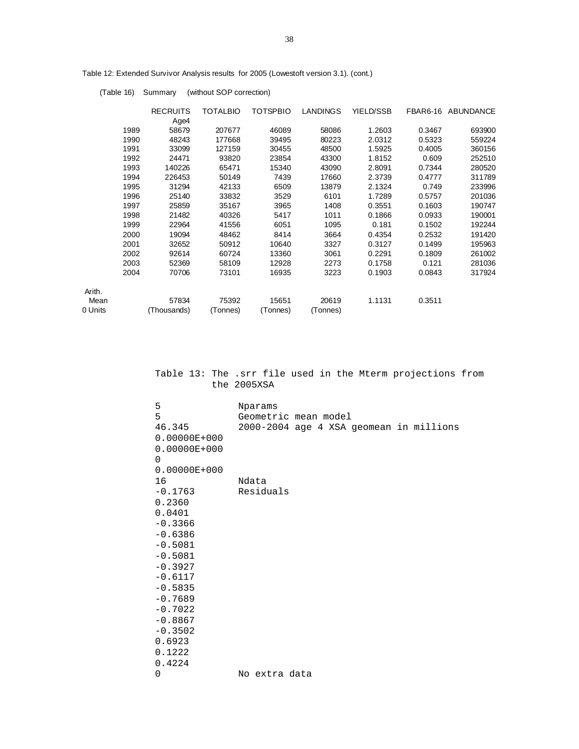|         |      | <b>RECRUITS</b> | <b>TOTALBIO</b> | <b>TOTSPBIO</b> | <b>LANDINGS</b> | YIELD/SSB |        | FBAR6-16 ABUNDANCE |
|---------|------|-----------------|-----------------|-----------------|-----------------|-----------|--------|--------------------|
|         |      | Age4            |                 |                 |                 |           |        |                    |
|         | 1989 | 58679           | 207677          | 46089           | 58086           | 1.2603    | 0.3467 | 693900             |
|         | 1990 | 48243           | 177668          | 39495           | 80223           | 2.0312    | 0.5323 | 559224             |
|         | 1991 | 33099           | 127159          | 30455           | 48500           | 1.5925    | 0.4005 | 360156             |
|         | 1992 | 24471           | 93820           | 23854           | 43300           | 1.8152    | 0.609  | 252510             |
|         | 1993 | 140226          | 65471           | 15340           | 43090           | 2.8091    | 0.7344 | 280520             |
|         | 1994 | 226453          | 50149           | 7439            | 17660           | 2.3739    | 0.4777 | 311789             |
|         | 1995 | 31294           | 42133           | 6509            | 13879           | 2.1324    | 0.749  | 233996             |
|         | 1996 | 25140           | 33832           | 3529            | 6101            | 1.7289    | 0.5757 | 201036             |
|         | 1997 | 25859           | 35167           | 3965            | 1408            | 0.3551    | 0.1603 | 190747             |
|         | 1998 | 21482           | 40326           | 5417            | 1011            | 0.1866    | 0.0933 | 190001             |
|         | 1999 | 22964           | 41556           | 6051            | 1095            | 0.181     | 0.1502 | 192244             |
|         | 2000 | 19094           | 48462           | 8414            | 3664            | 0.4354    | 0.2532 | 191420             |
|         | 2001 | 32652           | 50912           | 10640           | 3327            | 0.3127    | 0.1499 | 195963             |
|         | 2002 | 92614           | 60724           | 13360           | 3061            | 0.2291    | 0.1809 | 261002             |
|         | 2003 | 52369           | 58109           | 12928           | 2273            | 0.1758    | 0.121  | 281036             |
|         | 2004 | 70706           | 73101           | 16935           | 3223            | 0.1903    | 0.0843 | 317924             |
| Arith.  |      |                 |                 |                 |                 |           |        |                    |
| Mean    |      | 57834           | 75392           | 15651           | 20619           | 1.1131    | 0.3511 |                    |
| 0 Units |      | (Thousands)     | (Tonnes)        | (Tonnes)        | (Tonnes)        |           |        |                    |
|         |      |                 |                 |                 |                 |           |        |                    |

Table 12: Extended Survivor Analysis results for 2005 (Lowestoft version 3.1). (cont.)

(Table 16) Summary (without SOP correction)

|  |             |  |  | Table 13: The .srr file used in the Mterm projections from |  |
|--|-------------|--|--|------------------------------------------------------------|--|
|  | the 2005XSA |  |  |                                                            |  |

| 5                | Nparams                                 |
|------------------|-----------------------------------------|
| 5                | Geometric mean model                    |
| 46.345           | 2000-2004 age 4 XSA geomean in millions |
| $0.00000E+000$   |                                         |
| $0.00000E+000$   |                                         |
| $\Omega$         |                                         |
| $0.00000E + 000$ |                                         |
| 16               | Ndata                                   |
| $-0.1763$        | Residuals                               |
| 0.2360           |                                         |
| 0.0401           |                                         |
| $-0.3366$        |                                         |
| $-0.6386$        |                                         |
| $-0.5081$        |                                         |
| $-0.5081$        |                                         |
| $-0.3927$        |                                         |
| $-0.6117$        |                                         |
| $-0.5835$        |                                         |
| $-0.7689$        |                                         |
| $-0.7022$        |                                         |
| $-0.8867$        |                                         |
| $-0.3502$        |                                         |
| 0.6923           |                                         |
| 0.1222           |                                         |
| 0.4224           |                                         |
| 0                | No extra data                           |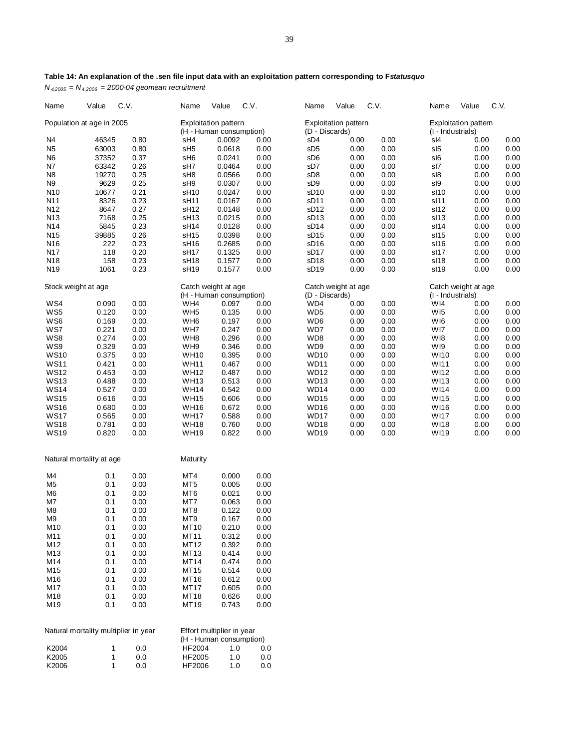| Name            | Value                                | C.V.         |      | Name             | Value                                                  | C.V. | Name             | Value                       | C.V. | Name              | Value                       | C.V. |
|-----------------|--------------------------------------|--------------|------|------------------|--------------------------------------------------------|------|------------------|-----------------------------|------|-------------------|-----------------------------|------|
|                 | Population at age in 2005            |              |      |                  | <b>Exploitation pattern</b><br>(H - Human consumption) |      | (D - Discards)   | <b>Exploitation pattern</b> |      | (I - Industrials) | <b>Exploitation pattern</b> |      |
| N4              | 46345                                |              | 0.80 | sH4              | 0.0092                                                 | 0.00 | sD4              | 0.00                        | 0.00 | sl4               | 0.00                        | 0.00 |
| N <sub>5</sub>  | 63003                                |              | 0.80 | sH <sub>5</sub>  | 0.0618                                                 | 0.00 | sD <sub>5</sub>  | 0.00                        | 0.00 | sl <sub>5</sub>   | 0.00                        | 0.00 |
| N <sub>6</sub>  | 37352                                |              | 0.37 | sH <sub>6</sub>  | 0.0241                                                 | 0.00 | sD6              | 0.00                        | 0.00 | sl6               | 0.00                        | 0.00 |
| N7              | 63342                                |              | 0.26 | sH7              | 0.0464                                                 | 0.00 | sD7              | 0.00                        | 0.00 | sl7               | 0.00                        | 0.00 |
| N <sub>8</sub>  | 19270                                |              | 0.25 | sH8              | 0.0566                                                 | 0.00 | sD <sub>8</sub>  | 0.00                        | 0.00 | sl8               | 0.00                        | 0.00 |
| N <sub>9</sub>  | 9629                                 |              | 0.25 | sH9              | 0.0307                                                 | 0.00 | sD <sub>9</sub>  | 0.00                        | 0.00 | sl9               |                             | 0.00 |
|                 |                                      |              |      |                  |                                                        |      |                  |                             |      |                   | 0.00                        |      |
| N10             | 10677                                |              | 0.21 | sH <sub>10</sub> | 0.0247                                                 | 0.00 | sD <sub>10</sub> | 0.00                        | 0.00 | sl10              | 0.00                        | 0.00 |
| N11             | 8326                                 |              | 0.23 | sH11             | 0.0167                                                 | 0.00 | sD <sub>11</sub> | 0.00                        | 0.00 | sl11              | 0.00                        | 0.00 |
| N <sub>12</sub> | 8647                                 |              | 0.27 | sH <sub>12</sub> | 0.0148                                                 | 0.00 | sD <sub>12</sub> | 0.00                        | 0.00 | sl12              | 0.00                        | 0.00 |
| N <sub>13</sub> | 7168                                 |              | 0.25 | sH <sub>13</sub> | 0.0215                                                 | 0.00 | sD <sub>13</sub> | 0.00                        | 0.00 | sl13              | 0.00                        | 0.00 |
| N14             | 5845                                 |              | 0.23 | sH <sub>14</sub> | 0.0128                                                 | 0.00 | sD <sub>14</sub> | 0.00                        | 0.00 | sl14              | 0.00                        | 0.00 |
| N <sub>15</sub> | 39885                                |              | 0.26 | sH <sub>15</sub> | 0.0398                                                 | 0.00 | sD <sub>15</sub> | 0.00                        | 0.00 | sl15              | 0.00                        | 0.00 |
| N <sub>16</sub> | 222                                  |              | 0.23 | sH <sub>16</sub> | 0.2685                                                 | 0.00 | sD <sub>16</sub> | 0.00                        | 0.00 | sl16              | 0.00                        | 0.00 |
| N17             | 118                                  |              | 0.20 | sH <sub>17</sub> | 0.1325                                                 | 0.00 | sD <sub>17</sub> | 0.00                        | 0.00 | sl17              | 0.00                        | 0.00 |
| N <sub>18</sub> | 158                                  |              | 0.23 | sH <sub>18</sub> | 0.1577                                                 | 0.00 | sD <sub>18</sub> | 0.00                        | 0.00 | sl18              | 0.00                        | 0.00 |
| N <sub>19</sub> | 1061                                 |              | 0.23 | sH <sub>19</sub> | 0.1577                                                 | 0.00 | sD <sub>19</sub> | 0.00                        | 0.00 | sl19              | 0.00                        | 0.00 |
|                 | Stock weight at age                  |              |      |                  | Catch weight at age                                    |      |                  | Catch weight at age         |      |                   | Catch weight at age         |      |
|                 |                                      |              |      |                  | (H - Human consumption)                                |      | (D - Discards)   |                             |      | (I - Industrials) |                             |      |
| WS4             | 0.090                                |              | 0.00 | WH4              | 0.097                                                  | 0.00 | WD4              | 0.00                        | 0.00 | WI4               | 0.00                        | 0.00 |
| WS5             | 0.120                                |              | 0.00 | WH <sub>5</sub>  | 0.135                                                  | 0.00 | WD <sub>5</sub>  | 0.00                        | 0.00 | W <sub>15</sub>   | 0.00                        | 0.00 |
| WS6             | 0.169                                |              | 0.00 | WH <sub>6</sub>  | 0.197                                                  | 0.00 | WD <sub>6</sub>  | 0.00                        | 0.00 | WI6               | 0.00                        | 0.00 |
| WS7             | 0.221                                |              | 0.00 | WH7              | 0.247                                                  | 0.00 | WD7              | 0.00                        | 0.00 | WI7               | 0.00                        | 0.00 |
| WS8             | 0.274                                |              | 0.00 | WH8              | 0.296                                                  | 0.00 | WD8              | 0.00                        | 0.00 | W <sub>18</sub>   | 0.00                        | 0.00 |
| WS9             | 0.329                                |              | 0.00 | WH9              | 0.346                                                  | 0.00 | WD9              | 0.00                        | 0.00 | W <sub>19</sub>   | 0.00                        | 0.00 |
| <b>WS10</b>     | 0.375                                |              | 0.00 | <b>WH10</b>      | 0.395                                                  | 0.00 | WD <sub>10</sub> | 0.00                        | 0.00 | <b>WI10</b>       | 0.00                        | 0.00 |
| <b>WS11</b>     | 0.421                                |              | 0.00 | <b>WH11</b>      | 0.467                                                  | 0.00 | <b>WD11</b>      | 0.00                        | 0.00 | WI11              | 0.00                        | 0.00 |
| <b>WS12</b>     | 0.453                                |              | 0.00 | <b>WH12</b>      | 0.487                                                  | 0.00 | <b>WD12</b>      | 0.00                        | 0.00 | <b>WI12</b>       | 0.00                        | 0.00 |
| <b>WS13</b>     | 0.488                                |              | 0.00 | <b>WH13</b>      | 0.513                                                  | 0.00 | WD <sub>13</sub> | 0.00                        | 0.00 | <b>WI13</b>       | 0.00                        | 0.00 |
| <b>WS14</b>     | 0.527                                |              | 0.00 | <b>WH14</b>      | 0.542                                                  | 0.00 | <b>WD14</b>      | 0.00                        | 0.00 | <b>WI14</b>       | 0.00                        | 0.00 |
| <b>WS15</b>     | 0.616                                |              | 0.00 | <b>WH15</b>      | 0.606                                                  | 0.00 | <b>WD15</b>      | 0.00                        | 0.00 | WI15              | 0.00                        | 0.00 |
| <b>WS16</b>     | 0.680                                |              | 0.00 | <b>WH16</b>      | 0.672                                                  | 0.00 | <b>WD16</b>      | 0.00                        | 0.00 | <b>WI16</b>       | 0.00                        | 0.00 |
| <b>WS17</b>     | 0.565                                |              | 0.00 | <b>WH17</b>      | 0.588                                                  | 0.00 | WD17             | 0.00                        | 0.00 | <b>WI17</b>       | 0.00                        | 0.00 |
| <b>WS18</b>     | 0.781                                |              | 0.00 | <b>WH18</b>      | 0.760                                                  | 0.00 | <b>WD18</b>      | 0.00                        | 0.00 | <b>WI18</b>       | 0.00                        | 0.00 |
| <b>WS19</b>     | 0.820                                |              | 0.00 | <b>WH19</b>      | 0.822                                                  | 0.00 | <b>WD19</b>      | 0.00                        | 0.00 | WI19              | 0.00                        | 0.00 |
|                 | Natural mortality at age             |              |      | Maturity         |                                                        |      |                  |                             |      |                   |                             |      |
|                 |                                      |              |      |                  |                                                        |      |                  |                             |      |                   |                             |      |
| M4              | 0.1                                  |              | 0.00 | MT4              | 0.000                                                  | 0.00 |                  |                             |      |                   |                             |      |
| M <sub>5</sub>  | 0.1                                  |              | 0.00 | MT <sub>5</sub>  | 0.005                                                  | 0.00 |                  |                             |      |                   |                             |      |
| M <sub>6</sub>  | 0.1                                  |              | 0.00 | MT <sub>6</sub>  | 0.021                                                  | 0.00 |                  |                             |      |                   |                             |      |
| M7              | 0.1                                  |              | 0.00 | MT7              | 0.063                                                  | 0.00 |                  |                             |      |                   |                             |      |
| M <sub>8</sub>  | 0.1                                  |              | 0.00 | MT <sub>8</sub>  | 0.122                                                  | 0.00 |                  |                             |      |                   |                             |      |
| M9              | 0.1                                  |              | 0.00 | MT9              | 0.167                                                  | 0.00 |                  |                             |      |                   |                             |      |
| M10             | 0.1                                  |              | 0.00 | M110             | 0.210                                                  | 0.00 |                  |                             |      |                   |                             |      |
| M11             | 0.1                                  |              | 0.00 | MT11             | 0.312                                                  | 0.00 |                  |                             |      |                   |                             |      |
| M12             | 0.1                                  |              | 0.00 | MT12             | 0.392                                                  | 0.00 |                  |                             |      |                   |                             |      |
| M13             | 0.1                                  |              | 0.00 | MT13             | 0.414                                                  | 0.00 |                  |                             |      |                   |                             |      |
| M14             | 0.1                                  |              | 0.00 | MT14             | 0.474                                                  | 0.00 |                  |                             |      |                   |                             |      |
| M15             | 0.1                                  |              | 0.00 | MT15             | 0.514                                                  | 0.00 |                  |                             |      |                   |                             |      |
| M16             | 0.1                                  |              | 0.00 | MT16             | 0.612                                                  | 0.00 |                  |                             |      |                   |                             |      |
| M17             | 0.1                                  |              | 0.00 | MT17             | 0.605                                                  | 0.00 |                  |                             |      |                   |                             |      |
| M18             | 0.1                                  |              | 0.00 | MT18             | 0.626                                                  | 0.00 |                  |                             |      |                   |                             |      |
| M19             | 0.1                                  |              | 0.00 | MT19             | 0.743                                                  | 0.00 |                  |                             |      |                   |                             |      |
|                 |                                      |              |      |                  |                                                        |      |                  |                             |      |                   |                             |      |
|                 | Natural mortality multiplier in year |              |      |                  | Effort multiplier in year<br>(H - Human consumption)   |      |                  |                             |      |                   |                             |      |
| K2004           |                                      | 1            | 0.0  | HF2004           | 1.0                                                    | 0.0  |                  |                             |      |                   |                             |      |
| K2005           |                                      | $\mathbf{1}$ | 0.0  | HF2005           | 1.0                                                    | 0.0  |                  |                             |      |                   |                             |      |
| K2006           |                                      | 1            | 0.0  | HF2006           | 1.0                                                    | 0.0  |                  |                             |      |                   |                             |      |

# **Table 14: An explanation of the .sen file input data with an exploitation pattern corresponding to F***statusquo*

*N 4,2005 = N4,2006 = 2000-04 geomean recruitment*